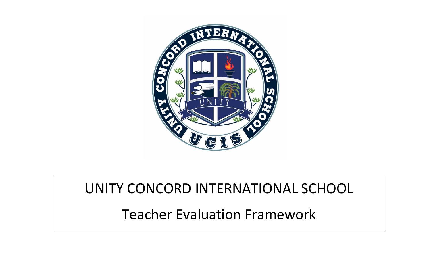

## UNITY CONCORD INTERNATIONAL SCHOOL

Teacher Evaluation Framework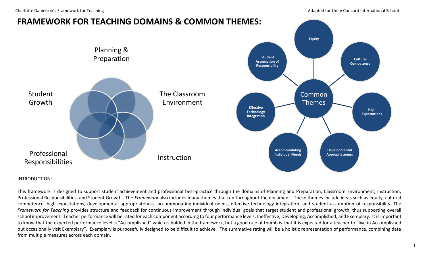Charlotte Danielson's Framework for Teaching and adapted for Unity Concord International School



#### INTRODUCTION:

This framework is designed to support student achievement and professional best-practice through the domains of Planning and Preparation, Classroom Environment, Instruction, Professional Responsibilities, and Student Growth. The *Framework* also includes many themes that run throughout the document. These themes include ideas such as equity, cultural competence, high expectations, developmental appropriateness, accommodating individual needs, effective technology integration, and student assumption of responsibility. The *Framework for Teaching* provides structure and feedback for continuous improvement through individual goals that target student and professional growth, thus supporting overall school improvement. Teacher performance will be rated for each component according to four performance levels: Ineffective, Developing, Accomplished, and Exemplary. It is important to know that the expected performance level is "Accomplished" which is bolded in the framework, but a good rule of thumb is that it is expected for a teacher to "live in Accomplished but occasionally visit Exemplary". Exemplary is purposefully designed to be difficult to achieve. The summative rating will be a holistic representation of performance, combining data from multiple measures across each domain.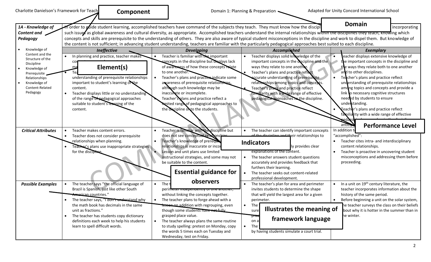| Charlotte Danielson's Framework for Teach                                                                                                                          | Component                                                                                                                                                                                                                                                                                                                                                             |                                                                                                                                                                                                                                                                                                                                                                                                                                                                 | Domain 1: Planning & Preparation .                                                                                                                                                                                                                                                                                                                                                                                                                                                               | Adapted for Unity Concord International School                                                                                                                                                                                                                                                                                                                                                                                                                                                                                                |
|--------------------------------------------------------------------------------------------------------------------------------------------------------------------|-----------------------------------------------------------------------------------------------------------------------------------------------------------------------------------------------------------------------------------------------------------------------------------------------------------------------------------------------------------------------|-----------------------------------------------------------------------------------------------------------------------------------------------------------------------------------------------------------------------------------------------------------------------------------------------------------------------------------------------------------------------------------------------------------------------------------------------------------------|--------------------------------------------------------------------------------------------------------------------------------------------------------------------------------------------------------------------------------------------------------------------------------------------------------------------------------------------------------------------------------------------------------------------------------------------------------------------------------------------------|-----------------------------------------------------------------------------------------------------------------------------------------------------------------------------------------------------------------------------------------------------------------------------------------------------------------------------------------------------------------------------------------------------------------------------------------------------------------------------------------------------------------------------------------------|
| 1A - Knowledge of<br>Content and $\sim$<br>Pedagogy                                                                                                                |                                                                                                                                                                                                                                                                                                                                                                       |                                                                                                                                                                                                                                                                                                                                                                                                                                                                 | Torder to guide student learning, accomplished teachers have command of the subjects they teach. They must know how the discipl<br>such issues as global awareness and cultural diversity, as appropriate. Accomplished teachers understand the internal relationships within the alsciplines they teach, knowing which<br>the content is not sufficient; in advancing student understanding, teachers are familiar with the particularly pedagogical approaches best suited to each discipline. | <b>Domain</b><br>incorporating<br>concepts and skills are prerequisite to the understanding of others. They are also aware of typical student misconceptions in the discipline and work to dispel them. But knowledge of                                                                                                                                                                                                                                                                                                                      |
| Knowledge of<br>Content and the<br>Structure of the<br>Discipline<br>Knowledge of<br>Prerequisite.<br>Relationships<br>Knowledge of<br>Content-Related<br>Pedagogy | <b>Ineffective</b><br>In planning and practice, teacher makes<br>Element(s)<br>ma<br>Tea<br>understanding of prerequisite relationships<br>important to student's learning of the<br>content.<br>Teacher displays little or no understanding<br>of the range of pedagogical approaches<br>suitable to student's learning of the<br>content.                           | <b>Developing</b><br>Teacher is familiar with the important<br>concepts in the discipline but displays lack<br>of awareness of how these concepts relate<br>to one another.<br>Teacher's plans and practice indicate some<br>awareness of prerequisite relationships<br>although such knowledge may be<br>inaccurate or incomplete.<br>Teacher's plans and practice reflect a<br>mited range of pedagogical approaches to<br>the discipline onto the students.  | Accompliched<br>Teacher displays solid knowledge of the<br>important concepts in the discipline and the<br>ways they relate to one another.<br>Teacher's plans and practice reflect<br>accurate understanding of prerequisite<br>relationships among topics and concents.<br>Teacher's plans and practice reflect<br>familiarity with a wide range of effective<br>pedagogical approaches to the discipline.                                                                                     | <b>Exemplary</b><br>eacher displays extensive knowledge of<br>the important concepts in the discipline and<br>the ways they relate both to one another<br>and to other disciplines.<br>Teacher's plans and practice reflect<br>understanding of prerequisite relationships<br>among topics and concepts and provide a<br>link to necessary cognitive structures<br>needed by students to ensure<br>understanding.<br>Veacher's plans and practice reflect<br>familia ity with a wide range of effective<br><b>Performance Level</b><br>anticr |
| <b>Critical Attributes</b>                                                                                                                                         | Teacher makes content errors.<br>Teacher does not consider prerequisite<br>relationships when planning.<br>Teacher's plans use inappropriate strategies<br>for the discipl                                                                                                                                                                                            | Teacher is familiar with the discipline but<br>does not see conceptual relations<br>Teacher's knowledge of prerequip<br>$\bullet$<br>relationships is inaccurate or incor<br>Lesson and unit plans use limited<br>instructional strategies, and some may not<br>be suitable to the content.<br><b>Essential guidance for</b>                                                                                                                                    | The teacher can identify important concepts<br>eir relationships toبه مط±ه ونا منه المسلم به عط<br><b>Indicators</b><br>ly provides clear<br>explanations of the content.<br>The teacher answers student questions<br>accurately and provides feedback that<br>furthers their learning.<br>The teacher seeks out content-related<br>professional development.                                                                                                                                    | In addition<br>"accomplished":<br>Teacher cites intra- and interdisciplinary<br>content relationships.<br>Teacher is proactive in uncovering student<br>misconceptions and addressing them before<br>proceeding.                                                                                                                                                                                                                                                                                                                              |
| <b>Possible Examples</b>                                                                                                                                           | The teacher says "the official language of<br>Brazil is Spanish, just like other South<br><del>America</del> n countries."<br>The teacher says, "I don't understand why<br>the math book has decimals in the same<br>unit as fractions."<br>The teacher has students copy dictionary<br>definitions each week to help his students<br>learn to spell difficult words. | observers<br>The 1<br>$\bullet$<br>perimeter muependentry or one another,<br>without linking the concepts together.<br>The teacher plans to forge ahead with a<br><b>Tesson on addition with regrouping, even</b><br>though some students nave not fully<br>grasped place value.<br>The teacher always plans the same routine<br>$\bullet$<br>to study spelling: pretest on Monday, copy<br>the words 5 times each on Tuesday and<br>Wednesday, test on Friday. | The teacher's plan for area and perimeter<br>invites students to determine the shape<br>that will yield the largest area for a given<br>perimeter.<br>$\bullet$<br>The<br>Illustrates the meaning of<br>sure<br>pr <del>ac</del><br>framework language<br>on al<br>The <sup>-</sup><br>$\bullet$<br>by having students simulate a court trial.                                                                                                                                                   | In a unit on 19 <sup>th</sup> century literature, the<br>teacher incorporates information about the<br>history of the same period.<br>Before beginning a unit on the solar system,<br>he teacher surveys the class on their beliefs<br>bout why it is hotter in the summer than in<br>he winter.                                                                                                                                                                                                                                              |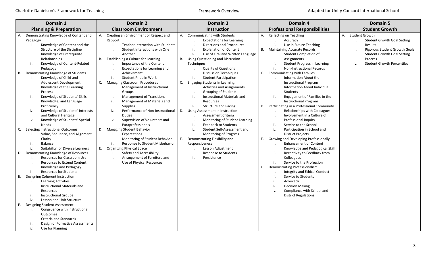| Domain 1                                                                                                                                                                                                                                                                                                                                                                                          | Domain 2                                                                                                                                                                                                                                                                                                                       | Domain 3                                                                                                                                                                                                                                                                                                                                                                                        | Domain 4                                                                                                                                                                                                                                                                                                                                                                          | <b>Domain 5</b>                                                                                                                                                                                                                        |
|---------------------------------------------------------------------------------------------------------------------------------------------------------------------------------------------------------------------------------------------------------------------------------------------------------------------------------------------------------------------------------------------------|--------------------------------------------------------------------------------------------------------------------------------------------------------------------------------------------------------------------------------------------------------------------------------------------------------------------------------|-------------------------------------------------------------------------------------------------------------------------------------------------------------------------------------------------------------------------------------------------------------------------------------------------------------------------------------------------------------------------------------------------|-----------------------------------------------------------------------------------------------------------------------------------------------------------------------------------------------------------------------------------------------------------------------------------------------------------------------------------------------------------------------------------|----------------------------------------------------------------------------------------------------------------------------------------------------------------------------------------------------------------------------------------|
| <b>Planning &amp; Preparation</b>                                                                                                                                                                                                                                                                                                                                                                 | <b>Classroom Environment</b>                                                                                                                                                                                                                                                                                                   | <b>Instruction</b>                                                                                                                                                                                                                                                                                                                                                                              | <b>Professional Responsibilities</b>                                                                                                                                                                                                                                                                                                                                              | <b>Student Growth</b>                                                                                                                                                                                                                  |
| Demonstrating Knowledge of Content and<br>Pedagogy<br>Knowledge of Content and the<br>j.<br>Structure of the Discipline<br>Knowledge of Prerequisite<br>ii.<br>Relationships<br>Knowledge of Content-Related<br>iii.<br>Pedagogy<br>Demonstrating Knowledge of Students<br>В.                                                                                                                     | Creating an Environment of Respect and<br>А.<br>Rapport<br><b>Teacher Interaction with Students</b><br>ii.<br>Student Interactions with One<br>Another<br>Establishing a Culture for Learning<br>В.<br>Importance of the Content<br>j.<br>ii.<br>Expectations for Learning and<br>Achievement<br>iii.<br>Student Pride in Work | Communicating with Students<br>А.<br><b>Expectations for Learning</b><br>ji.<br>Directions and Procedures<br>iii.<br><b>Explanation of Content</b><br>iv.<br>Use of Oral and Written Language<br>Using Questioning and Discussion<br>В.<br>Techniques<br><b>Quality of Questions</b><br>ii.<br><b>Discussion Techniques</b><br>iii.                                                             | А.<br>Reflecting on Teaching<br>Accuracy<br>j.<br>ji.<br>Use in Future Teaching<br><b>Maintaining Accurate Records</b><br>В.<br>Student Completion of<br>Assignments<br>ji.<br><b>Student Progress in Learning</b><br>iii.<br><b>Non-Instructional Records</b><br>Communicating with Families<br>C.<br>j.                                                                         | <b>Student Growth</b><br>A.<br><b>Student Growth Goal Setting</b><br>j.<br>Results<br>ii.<br><b>Rigorous Student Growth Goals</b><br>iii.<br><b>Student Growth Goal Setting</b><br>Process<br><b>Student Growth Percentiles</b><br>iv. |
| Knowledge of Child and<br>i.<br>Adolescent Development<br>Knowledge of the Learning<br>ii.<br>Process<br>Knowledge of Students' Skills,<br>iii.<br>Knowledge, and Language<br>Proficiency<br>Knowledge of Students' Interests<br>iv.<br>and Cultural Heritage<br>Knowledge of Students' Special<br>v.<br><b>Needs</b>                                                                             | C.<br><b>Managing Classroom Procedures</b><br>Management of Instructional<br>j.<br>Groups<br><b>Management of Transitions</b><br>ii.<br>iii.<br>Management of Materials and<br><b>Supplies</b><br>Performance of Non-Instructional<br>iv.<br>Duties<br>Supervision of Volunteers and<br>v.<br>Paraprofessionals                | <b>Student Participation</b><br><b>Engaging Students in Learning</b><br>C.<br><b>Activities and Assignments</b><br>ii.<br><b>Grouping of Students</b><br>iii.<br>Instructional Materials and<br>Resources<br>iv.<br><b>Structure and Pacing</b><br>Using Assessment in Instruction<br>D.<br>Assessment Criteria<br>ii.<br>Monitoring of Student Learning<br>iii.<br><b>Feedback to Students</b> | Information About the<br><b>Instructional Program</b><br>Information About Individual<br>ji.<br><b>Students</b><br>iii.<br>Engagement of Families in the<br><b>Instructional Program</b><br>Participating in a Professional Community<br>D.<br>Relationships with Colleagues<br>j.<br>Involvement in a Culture of<br>ii.<br>Professional Inquiry<br>iii.<br>Service to the School |                                                                                                                                                                                                                                        |
| Selecting Instructional Outcomes<br>C.<br>Value, Sequence, and Alignment<br>ii.<br>Clarity<br>iii.<br><b>Balance</b><br>Suitability for Diverse Learners<br>iv.<br>Demonstrating Knowledge of Resources<br>D.<br>Resources for Classroom Use<br>Resources to Extend Content<br>ii.<br>Knowledge and Pedagogy<br>iii.<br><b>Resources for Students</b>                                             | Managing Student Behavior<br>D.<br>Expectations<br>ii.<br>Monitoring of Student Behavior<br>iii.<br>Response to Student Misbehavior<br><b>Organizing Physical Space</b><br>Е.<br>Safety and Accessibility<br>Arrangement of Furniture and<br>ii.<br>Use of Physical Resources                                                  | iv.<br>Student Self-Assessment and<br><b>Monitoring of Progress</b><br>Demonstrating Flexibility and<br>E.<br>Responsiveness<br>Lesson Adjustment<br>j.<br>ji.<br><b>Response to Students</b><br>iii.<br>Persistence                                                                                                                                                                            | iv.<br>Participation in School and<br><b>District Projects</b><br>Growing and Developing Professionally<br>Ε.<br><b>Enhancement of Content</b><br>j.<br>Knowledge and Pedagogical Skill<br>Receptivity to Feedback from<br>ji.<br>Colleagues<br>iii.<br>Service to the Profession<br><b>Demonstrating Professionalism</b><br>F.<br>Integrity and Ethical Conduct<br>i.            |                                                                                                                                                                                                                                        |
| Designing Coherent Instruction<br>Е.<br><b>Learning Activities</b><br>ii.<br>Instructional Materials and<br>Resources<br>iii.<br><b>Instructional Groups</b><br>Lesson and Unit Structure<br>iv.<br><b>Designing Student Assessment</b><br>F.<br>Congruence with Instructional<br>Outcomes<br>Criteria and Standards<br>ii.<br>iii.<br>Design of Formative Assessments<br>Use for Planning<br>iv. |                                                                                                                                                                                                                                                                                                                                |                                                                                                                                                                                                                                                                                                                                                                                                 | ii.<br>Service to Students<br>iii.<br>Advocacy<br>iv.<br><b>Decision Making</b><br>Compliance with School and<br>v.<br><b>District Regulations</b>                                                                                                                                                                                                                                |                                                                                                                                                                                                                                        |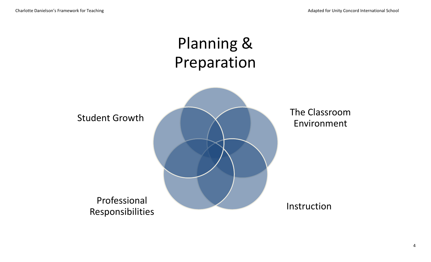# Planning & Preparation

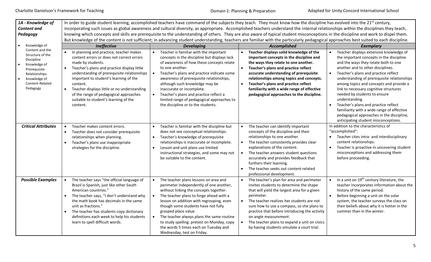| 1A - Knowledge of<br><b>Content and</b><br>Pedagogy                                                                                                            | In order to guide student learning, accomplished teachers have command of the subjects they teach. They must know how the discipline has evolved into the 21 <sup>st</sup> century,<br>incorporating such issues as global awareness and cultural diversity, as appropriate. Accomplished teachers understand the internal relationships within the disciplines they teach,<br>knowing which concepts and skills are prerequisite to the understanding of others. They are also aware of typical student misconceptions in the discipline and work to dispel them.<br>But knowledge of the content is not sufficient; in advancing student understanding, teachers are familiar with the particularly pedagogical approaches best suited to each discipline. |                                                                                                                                                                                                                                                                                                                                                                                                                                                            |                                                                                                                                                                                                                                                                                                                                                                                                                                                              |                                                                                                                                                                                                                                                                                                                                                                                                                                                                                                                                                                                                     |  |  |
|----------------------------------------------------------------------------------------------------------------------------------------------------------------|--------------------------------------------------------------------------------------------------------------------------------------------------------------------------------------------------------------------------------------------------------------------------------------------------------------------------------------------------------------------------------------------------------------------------------------------------------------------------------------------------------------------------------------------------------------------------------------------------------------------------------------------------------------------------------------------------------------------------------------------------------------|------------------------------------------------------------------------------------------------------------------------------------------------------------------------------------------------------------------------------------------------------------------------------------------------------------------------------------------------------------------------------------------------------------------------------------------------------------|--------------------------------------------------------------------------------------------------------------------------------------------------------------------------------------------------------------------------------------------------------------------------------------------------------------------------------------------------------------------------------------------------------------------------------------------------------------|-----------------------------------------------------------------------------------------------------------------------------------------------------------------------------------------------------------------------------------------------------------------------------------------------------------------------------------------------------------------------------------------------------------------------------------------------------------------------------------------------------------------------------------------------------------------------------------------------------|--|--|
| Knowledge of                                                                                                                                                   | Ineffective                                                                                                                                                                                                                                                                                                                                                                                                                                                                                                                                                                                                                                                                                                                                                  | <b>Developing</b>                                                                                                                                                                                                                                                                                                                                                                                                                                          | Accomplished                                                                                                                                                                                                                                                                                                                                                                                                                                                 | <b>Exemplary</b>                                                                                                                                                                                                                                                                                                                                                                                                                                                                                                                                                                                    |  |  |
| Content and the<br>Structure of the<br>Discipline<br>Knowledge of<br>$\bullet$<br>Prerequisite<br>Relationships<br>Knowledge of<br>Content-Related<br>Pedagogy | In planning and practice, teacher makes<br>content errors or does not correct errors<br>made by students.<br>Teacher's plans and practice display little<br>understanding of prerequisite relationships<br>important to student's learning of the<br>content.<br>Teacher displays little or no understanding<br>$\bullet$<br>of the range of pedagogical approaches<br>suitable to student's learning of the<br>content.                                                                                                                                                                                                                                                                                                                                     | Teacher is familiar with the important<br>concepts in the discipline but displays lack<br>of awareness of how these concepts relate<br>to one another.<br>Teacher's plans and practice indicate some<br>$\bullet$<br>awareness of prerequisite relationships,<br>although such knowledge may be<br>inaccurate or incomplete.<br>Teacher's plans and practice reflect a<br>limited range of pedagogical approaches to<br>the discipline or to the students. | Teacher displays solid knowledge of the<br>$\bullet$<br>important concepts in the discipline and<br>the ways they relate to one another.<br>$\bullet$<br>Teacher's plans and practice reflect<br>accurate understanding of prerequisite<br>relationships among topics and concepts.<br>Teacher's plans and practice reflect<br>$\bullet$<br>familiarity with a wide range of effective<br>pedagogical approaches to the discipline.                          | Teacher displays extensive knowledge of<br>the important concepts in the discipline<br>and the ways they relate both to one<br>another and to other disciplines.<br>Teacher's plans and practice reflect<br>$\bullet$<br>understanding of prerequisite relationships<br>among topics and concepts and provide a<br>link to necessary cognitive structures<br>needed by students to ensure<br>understanding.<br>Teacher's plans and practice reflect<br>$\bullet$<br>familiarity with a wide range of effective<br>pedagogical approaches in the discipline,<br>anticipating student misconceptions. |  |  |
| <b>Critical Attributes</b>                                                                                                                                     | Teacher makes content errors.<br>$\bullet$<br>Teacher does not consider prerequisite<br>relationships when planning.<br>Teacher's plans use inappropriate<br>$\bullet$<br>strategies for the discipline.                                                                                                                                                                                                                                                                                                                                                                                                                                                                                                                                                     | Teacher is familiar with the discipline but<br>does not see conceptual relationships.<br>Teacher's knowledge of prerequisite<br>relationships is inaccurate or incomplete.<br>Lesson and unit plans use limited<br>instructional strategies, and some may not<br>be suitable to the content.                                                                                                                                                               | The teacher can identify important<br>$\bullet$<br>concepts of the discipline and their<br>relationships to one another.<br>$\bullet$<br>The teacher consistently provides clear<br>explanations of the content.<br>The teacher answers student questions<br>$\bullet$<br>accurately and provides feedback that<br>furthers their learning.<br>The teacher seeks out content-related<br>professional development.                                            | In addition to the characteristics of<br>"accomplished":<br>Teacher cites intra- and interdisciplinary<br>$\bullet$<br>content relationships.<br>Teacher is proactive in uncovering student<br>$\bullet$<br>misconceptions and addressing them<br>before proceeding.                                                                                                                                                                                                                                                                                                                                |  |  |
| <b>Possible Examples</b>                                                                                                                                       | The teacher says "the official language of<br>Brazil is Spanish, just like other South<br>American countries."<br>The teacher says, "I don't understand why<br>$\bullet$<br>the math book has decimals in the same<br>unit as fractions."<br>The teacher has students copy dictionary<br>$\bullet$<br>definitions each week to help his students<br>learn to spell difficult words.                                                                                                                                                                                                                                                                                                                                                                          | The teacher plans lessons on area and<br>perimeter independently of one another,<br>without linking the concepts together.<br>The teacher plans to forge ahead with a<br>lesson on addition with regrouping, even<br>though some students have not fully<br>grasped place value.<br>The teacher always plans the same routine<br>to study spelling: pretest on Monday, copy<br>the words 5 times each on Tuesday and<br>Wednesday, test on Friday.         | $\bullet$<br>The teacher's plan for area and perimeter<br>invites students to determine the shape<br>that will yield the largest area for a given<br>perimeter.<br>$\bullet$<br>The teacher realizes her students are not<br>sure how to use a compass, so she plans to<br>practice that before introducing the activity<br>on angle measurement.<br>The teacher plans to expand a unit on civics<br>$\bullet$<br>by having students simulate a court trial. | In a unit on 19 <sup>th</sup> century literature, the<br>teacher incorporates information about the<br>history of the same period.<br>Before beginning a unit on the solar<br>$\bullet$<br>system, the teacher surveys the class on<br>their beliefs about why it is hotter in the<br>summer than in the winter.                                                                                                                                                                                                                                                                                    |  |  |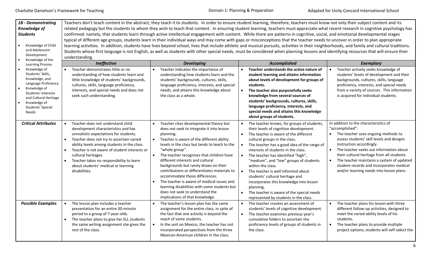| 1B - Demonstrating<br>Knowledge of<br><b>Students</b>                                                                                                                                            |                                                                                                                                                                                                                                                                                                                                                                                                                                 |                                                                                                                                                                                                                                                                                                                                                                                                                                                                                                                                                                                                  | Teachers don't teach content in the abstract; they teach it to students. In order to ensure student learning, therefore, teachers must know not only their subject content and its<br>related pedagogy but the students to whom they wish to teach that content. In ensuring student learning, teachers must appreciate what recent research in cognitive psychology has<br>confirmed: namely, that students learn through active intellectual engagement with content. While there are patterns in cognitive, social, and emotional developmental stages                                                                                         |                                                                                                                                                                                                                                                                                                                                                                                                        |
|--------------------------------------------------------------------------------------------------------------------------------------------------------------------------------------------------|---------------------------------------------------------------------------------------------------------------------------------------------------------------------------------------------------------------------------------------------------------------------------------------------------------------------------------------------------------------------------------------------------------------------------------|--------------------------------------------------------------------------------------------------------------------------------------------------------------------------------------------------------------------------------------------------------------------------------------------------------------------------------------------------------------------------------------------------------------------------------------------------------------------------------------------------------------------------------------------------------------------------------------------------|---------------------------------------------------------------------------------------------------------------------------------------------------------------------------------------------------------------------------------------------------------------------------------------------------------------------------------------------------------------------------------------------------------------------------------------------------------------------------------------------------------------------------------------------------------------------------------------------------------------------------------------------------|--------------------------------------------------------------------------------------------------------------------------------------------------------------------------------------------------------------------------------------------------------------------------------------------------------------------------------------------------------------------------------------------------------|
| Knowledge of Child<br>and Adolescent<br>Development<br>Knowledge of the<br><b>Learning Process</b>                                                                                               | understanding.<br>Ineffective                                                                                                                                                                                                                                                                                                                                                                                                   | <b>Developing</b>                                                                                                                                                                                                                                                                                                                                                                                                                                                                                                                                                                                | typical of different age groups, students learn in their individual ways and may come with gaps or misconceptions that the teacher needs to uncover in order to plan appropriate<br>learning activities. In addition, students have lives beyond school, lives that include athletic and musical pursuits, activities in their neighborhoods, and family and cultural traditions.<br>Students whose first language is not English, as well as students with other special needs, must be considered when planning lessons and identifying resources that will ensure their<br>Accomplished                                                        | Exemplary                                                                                                                                                                                                                                                                                                                                                                                              |
| Knowledge of<br>Students' Skills,<br>Knowledge, and<br>Language Proficiency<br>Knowledge of<br>Students' Interests<br>and Cultural Heritage<br>Knowledge of<br>Students' Special<br><b>Needs</b> | Teacher demonstrates little or no<br>understanding of how students learn and<br>little knowledge of students' backgrounds,<br>cultures, skills, language proficiency,<br>interests, and special needs and does not<br>seek such understanding.                                                                                                                                                                                  | Teacher indicates the importance of<br>understanding how students learn and the<br>students' backgrounds, cultures, skills,<br>language proficiency, interests, and special<br>needs, and attains this knowledge about<br>the class as a whole.                                                                                                                                                                                                                                                                                                                                                  | Teacher understands the active nature of<br>$\bullet$<br>student learning and attains information<br>about levels of development for groups of<br>students.<br>$\bullet$<br>The teacher also purposefully seeks<br>knowledge from several sources of<br>students' backgrounds, cultures, skills,<br>language proficiency, interests, and<br>special needs and attains this knowledge<br>about groups of students.                                                                                                                                                                                                                                 | Teacher actively seeks knowledge of<br>students' levels of development and their<br>backgrounds, cultures, skills, language<br>proficiency, interests, and special needs<br>from a variety of sources. This information<br>is acquired for individual students.                                                                                                                                        |
| <b>Critical Attributes</b>                                                                                                                                                                       | Teacher does not understand child<br>$\bullet$<br>development characteristics and has<br>unrealistic expectations for students.<br>Teacher does not try to ascertain varied<br>$\bullet$<br>ability levels among students in the class.<br>Teacher is not aware of student interests or<br>$\bullet$<br>cultural heritages.<br>Teacher takes no responsibility to learn<br>about students' medical or learning<br>disabilities. | Teacher cites developmental theory but<br>does not seek to integrate it into lesson<br>planning.<br>Teacher is aware of the different ability<br>levels in the class but tends to teach to the<br>"whole group".<br>The teacher recognizes that children have<br>different interests and cultural<br>backgrounds but rarely draws on their<br>contributions or differentiates materials to<br>accommodate those differences.<br>The teacher is aware of medical issues and<br>learning disabilities with some students but<br>does not seek to understand the<br>implications of that knowledge. | The teacher knows, for groups of students,<br>their levels of cognitive development.<br>The teacher is aware of the different<br>$\bullet$<br>cultural groups in the class.<br>The teacher has a good idea of the range of<br>$\bullet$<br>interests of students in the class.<br>$\bullet$<br>The teacher has identified "high",<br>"medium", and "low" groups of students<br>within the class.<br>$\bullet$<br>The teacher is well informed about<br>students' cultural heritage and<br>incorporates this knowledge into lesson<br>planning.<br>$\bullet$<br>The teacher is aware of the special needs<br>represented by students in the class. | In addition to the characteristics of<br>"accomplished":<br>The teacher uses ongoing methods to<br>assess students' skill levels and designs<br>instruction accordingly.<br>The teacher seeks out information about<br>their cultural heritage from all students.<br>The teacher maintains a system of updated<br>student records and incorporates medical<br>and/or learning needs into lesson plans. |
| <b>Possible Examples</b>                                                                                                                                                                         | The lesson plan includes a teacher<br>presentation for an entire 30-minute<br>period to a group of 7-year-olds.<br>The teacher plans to give her ELL students<br>the same writing assignment she gives the<br>rest of the class.                                                                                                                                                                                                | The teacher's lesson plan has the same<br>assignment for the entire class, in spite of<br>the fact that one activity is beyond the<br>reach of some students.<br>In the unit on Mexico, the teacher has not<br>incorporated perspectives from the three<br>Mexican-American children in the class.                                                                                                                                                                                                                                                                                               | The teacher creates an assessment of<br>$\bullet$<br>students' levels of cognitive development.<br>The teacher examines previous year's<br>$\bullet$<br>cumulative folders to ascertain the<br>proficiency levels of groups of students in<br>the class.                                                                                                                                                                                                                                                                                                                                                                                          | The teacher plans his lesson with three<br>different follow-up activities, designed to<br>meet the varied ability levels of his<br>students.<br>The teacher plans to provide multiple<br>$\bullet$<br>project options; students will self-select the                                                                                                                                                   |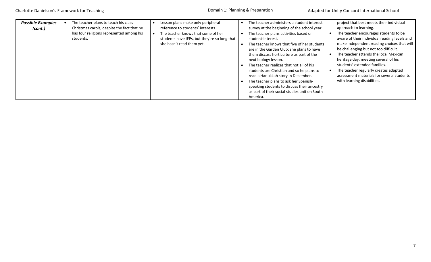| <b>Possible Examples</b><br>(cont.) | The teacher plans to teach his class<br>Christmas carols, despite the fact that he<br>has four religions represented among his<br>students. | Lesson plans make only peripheral<br>reference to students' interests.<br>The teacher knows that some of her<br>students have IEPs, but they're so long that<br>she hasn't read them yet. | The teacher administers a student interest<br>survey at the beginning of the school year.<br>The teacher plans activities based on<br>student-interest.<br>The teacher knows that five of her students<br>are in the Garden Club; she plans to have<br>them discuss horticulture as part of the<br>next biology lesson.<br>The teacher realizes that not all of his<br>students are Christian and so he plans to<br>read a Hanukkah story in December.<br>The teacher plans to ask her Spanish-<br>speaking students to discuss their ancestry<br>as part of their social studies unit on South<br>America. | project that best meets their individual<br>approach to learning.<br>The teacher encourages students to be<br>aware of their individual reading levels and<br>make independent reading choices that will<br>be challenging but not too difficult.<br>The teacher attends the local Mexican<br>heritage day, meeting several of his<br>students' extended families.<br>The teacher regularly creates adapted<br>assessment materials for several students<br>with learning disabilities. |
|-------------------------------------|---------------------------------------------------------------------------------------------------------------------------------------------|-------------------------------------------------------------------------------------------------------------------------------------------------------------------------------------------|-------------------------------------------------------------------------------------------------------------------------------------------------------------------------------------------------------------------------------------------------------------------------------------------------------------------------------------------------------------------------------------------------------------------------------------------------------------------------------------------------------------------------------------------------------------------------------------------------------------|-----------------------------------------------------------------------------------------------------------------------------------------------------------------------------------------------------------------------------------------------------------------------------------------------------------------------------------------------------------------------------------------------------------------------------------------------------------------------------------------|
|-------------------------------------|---------------------------------------------------------------------------------------------------------------------------------------------|-------------------------------------------------------------------------------------------------------------------------------------------------------------------------------------------|-------------------------------------------------------------------------------------------------------------------------------------------------------------------------------------------------------------------------------------------------------------------------------------------------------------------------------------------------------------------------------------------------------------------------------------------------------------------------------------------------------------------------------------------------------------------------------------------------------------|-----------------------------------------------------------------------------------------------------------------------------------------------------------------------------------------------------------------------------------------------------------------------------------------------------------------------------------------------------------------------------------------------------------------------------------------------------------------------------------------|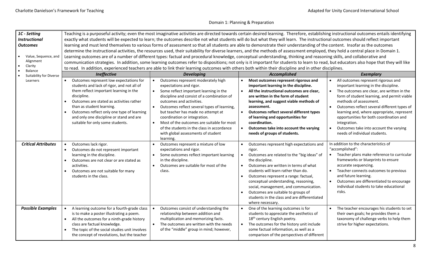| 1C - Setting               | Teaching is a purposeful activity; even the most imaginative activities are directed towards certain desired learning. Therefore, establishing instructional outcomes entails identifying |                                                                                         |                                                                                                                                                                                          |                                                                                   |  |  |  |  |
|----------------------------|-------------------------------------------------------------------------------------------------------------------------------------------------------------------------------------------|-----------------------------------------------------------------------------------------|------------------------------------------------------------------------------------------------------------------------------------------------------------------------------------------|-----------------------------------------------------------------------------------|--|--|--|--|
| <b>Instructional</b>       |                                                                                                                                                                                           |                                                                                         | exactly what students will be expected to learn; the outcomes describe not what students will do but what they will learn. The instructional outcomes should reflect important           |                                                                                   |  |  |  |  |
| <b>Outcomes</b>            |                                                                                                                                                                                           |                                                                                         | learning and must lend themselves to various forms of assessment so that all students are able to demonstrate their understanding of the content. Insofar as the outcomes                |                                                                                   |  |  |  |  |
|                            | determine the instructional activities, the resources used, their suitability for diverse learners, and the methods of assessment employed, they hold a central place in Domain 1.        |                                                                                         |                                                                                                                                                                                          |                                                                                   |  |  |  |  |
| Value, Sequence, and       | Learning outcomes are of a number of different types: factual and procedural knowledge, conceptual understanding, thinking and reasoning skills, and collaborative and                    |                                                                                         |                                                                                                                                                                                          |                                                                                   |  |  |  |  |
| Alignment                  |                                                                                                                                                                                           |                                                                                         | communication strategies. In addition, some learning outcomes refer to dispositions; not only is it important for students to learn to read, but educators also hope that they will like |                                                                                   |  |  |  |  |
| Clarity<br><b>Balance</b>  | to read. In addition, experienced teachers are able to link their learning outcomes with others both within their discipline and in other disciplines.                                    |                                                                                         |                                                                                                                                                                                          |                                                                                   |  |  |  |  |
| Suitability for Diverse    | Ineffective                                                                                                                                                                               | <b>Developing</b>                                                                       | <b>Accomplished</b>                                                                                                                                                                      | <b>Exemplary</b>                                                                  |  |  |  |  |
| Learners                   | Outcomes represent low expectations for<br>$\bullet$                                                                                                                                      | • Outcomes represent moderately high                                                    | Most outcomes represent rigorous and                                                                                                                                                     | All outcomes represent rigorous and                                               |  |  |  |  |
|                            | students and lack of rigor, and not all of                                                                                                                                                | expectations and rigor.                                                                 | important learning in the discipline.                                                                                                                                                    | important learning in the discipline.                                             |  |  |  |  |
|                            | them reflect important learning in the                                                                                                                                                    | $\bullet$<br>Some reflect important learning in the                                     | All the instructional outcomes are clear,<br>$\bullet$                                                                                                                                   | The outcomes are clear, are written in the                                        |  |  |  |  |
|                            | discipline.                                                                                                                                                                               | discipline and consist of a combination of                                              | are written in the form of student                                                                                                                                                       | form of student learning, and permit viable                                       |  |  |  |  |
|                            | Outcomes are stated as activities rather<br>$\bullet$                                                                                                                                     | outcomes and activities.                                                                | learning, and suggest viable methods of                                                                                                                                                  | methods of assessment.                                                            |  |  |  |  |
|                            | than as student learning.                                                                                                                                                                 | Outcomes reflect several types of learning,<br>$\bullet$                                | assessment.                                                                                                                                                                              | Outcomes reflect several different types of                                       |  |  |  |  |
|                            | Outcomes reflect only one type of learning                                                                                                                                                | but teacher has made no attempt at                                                      | Outcomes reflect several different types<br>$\bullet$                                                                                                                                    | learning and, where appropriate, represent                                        |  |  |  |  |
|                            | and only one discipline or stand and are                                                                                                                                                  | coordination or integration.                                                            | of learning and opportunities for                                                                                                                                                        | opportunities for both coordination and                                           |  |  |  |  |
|                            | suitable for only some students.                                                                                                                                                          | Most of the outcomes are suitable for most                                              | coordination.<br>$\bullet$                                                                                                                                                               | integration.                                                                      |  |  |  |  |
|                            |                                                                                                                                                                                           | of the students in the class in accordance<br>with global assessments of student        | Outcomes take into account the varying<br>needs of groups of students.                                                                                                                   | Outcomes take into account the varying<br>needs of individual students.           |  |  |  |  |
|                            |                                                                                                                                                                                           | learning.                                                                               |                                                                                                                                                                                          |                                                                                   |  |  |  |  |
| <b>Critical Attributes</b> | Outcomes lack rigor.<br>$\bullet$                                                                                                                                                         | Outcomes represent a mixture of low<br>$\bullet$                                        | Outcomes represent high expectations and<br>$\bullet$                                                                                                                                    | In addition to the characteristics of                                             |  |  |  |  |
|                            | Outcomes do not represent important<br>$\bullet$                                                                                                                                          | expectations and rigor.                                                                 | rigor.                                                                                                                                                                                   | "accomplished":                                                                   |  |  |  |  |
|                            | learning in the discipline.                                                                                                                                                               | Some outcomes reflect important learning                                                | Outcomes are related to the "big ideas" of<br>$\bullet$                                                                                                                                  | Teacher plans make reference to curricular                                        |  |  |  |  |
|                            | Outcomes are not clear or are stated as                                                                                                                                                   | in the discipline.                                                                      | the discipline.                                                                                                                                                                          | frameworks or blueprints to ensure                                                |  |  |  |  |
|                            | activities.                                                                                                                                                                               | Outcomes are suitable for most of the<br>$\bullet$                                      | Outcomes are written in terms of what<br>$\bullet$                                                                                                                                       | accurate sequencing.                                                              |  |  |  |  |
|                            | Outcomes are not suitable for many                                                                                                                                                        | class.                                                                                  | students will learn rather than do.                                                                                                                                                      | Teacher connects outcomes to previous                                             |  |  |  |  |
|                            | students in the class.                                                                                                                                                                    |                                                                                         | Outcomes represent a range: factual,<br>$\bullet$                                                                                                                                        | and future learning.                                                              |  |  |  |  |
|                            |                                                                                                                                                                                           |                                                                                         | conceptual understanding, reasoning,                                                                                                                                                     | Outcomes are differentiated to encourage                                          |  |  |  |  |
|                            |                                                                                                                                                                                           |                                                                                         | social, management, and communication.                                                                                                                                                   | individual students to take educational                                           |  |  |  |  |
|                            |                                                                                                                                                                                           |                                                                                         | Outcomes are suitable to groups of                                                                                                                                                       | risks.                                                                            |  |  |  |  |
|                            |                                                                                                                                                                                           |                                                                                         | students in the class and are differentiated                                                                                                                                             |                                                                                   |  |  |  |  |
|                            |                                                                                                                                                                                           |                                                                                         | where necessary.                                                                                                                                                                         |                                                                                   |  |  |  |  |
| <b>Possible Examples</b>   | A learning outcome for a fourth-grade class<br>is to make a poster illustrating a poem.                                                                                                   | Outcomes consist of understanding the<br>$\bullet$<br>relationship between addition and | One of the learning outcomes is for<br>$\bullet$<br>students to appreciate the aesthetics of                                                                                             | The teacher encourages his students to set<br>their own goals; he provides them a |  |  |  |  |
|                            | All the outcomes for a ninth-grade history                                                                                                                                                | multiplication and memorizing facts.                                                    | 18 <sup>th</sup> century English poetry.                                                                                                                                                 | taxonomy of challenge verbs to help them                                          |  |  |  |  |
|                            | class are factual knowledge.                                                                                                                                                              | • The outcomes are written with the needs                                               | The outcomes for the history unit include<br>$\bullet$                                                                                                                                   | strive for higher expectations.                                                   |  |  |  |  |
|                            | The topic of the social studies unit involves                                                                                                                                             | of the "middle" group in mind; however,                                                 | some factual information, as well as a                                                                                                                                                   |                                                                                   |  |  |  |  |
|                            | the concept of revolutions, but the teacher                                                                                                                                               |                                                                                         | comparison of the perspectives of different                                                                                                                                              |                                                                                   |  |  |  |  |
|                            |                                                                                                                                                                                           |                                                                                         |                                                                                                                                                                                          |                                                                                   |  |  |  |  |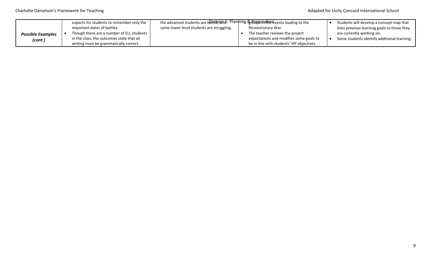|                          | expects his students to remember only the | the advanced students are benengaind: Planning & RGB3 ana inensisteading to the |  | Students will develop a concept map that  |                                             |
|--------------------------|-------------------------------------------|---------------------------------------------------------------------------------|--|-------------------------------------------|---------------------------------------------|
|                          | important dates of battles.               | some lower-level students are struggling.                                       |  | Revolutionary War.                        | links previous learning goals to those they |
| <b>Possible Examples</b> | Though there are a number of ELL students |                                                                                 |  | The teacher reviews the project           | are currently working on.                   |
| (cont.)                  | in the class, the outcomes state that all |                                                                                 |  | expectations and modifies some goals to   | Some students identify additional learning. |
|                          | writing must be grammatically correct.    |                                                                                 |  | be in line with students' IEP objectives. |                                             |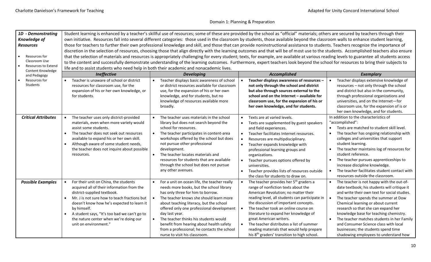| 1D - Demonstrating                |                                                                                                                                                                                    |                                                           | Student learning is enhanced by a teacher's skillful use of resources; some of these are provided by the school as "official" materials; others are secured by teachers through their      |                                                     |  |  |  |  |
|-----------------------------------|------------------------------------------------------------------------------------------------------------------------------------------------------------------------------------|-----------------------------------------------------------|--------------------------------------------------------------------------------------------------------------------------------------------------------------------------------------------|-----------------------------------------------------|--|--|--|--|
| <b>Knowledge of</b>               | own initiative. Resources fall into several different categories: those used in the classroom by students, those available beyond the classroom walls to enhance student learning, |                                                           |                                                                                                                                                                                            |                                                     |  |  |  |  |
| <b>Resources</b>                  |                                                                                                                                                                                    |                                                           | those for teachers to further their own professional knowledge and skill, and those that can provide noninstructional assistance to students. Teachers recognize the importance of         |                                                     |  |  |  |  |
|                                   |                                                                                                                                                                                    |                                                           | discretion in the selection of resources, choosing those that align directly with the learning outcomes and that will be of most use to the students. Accomplished teachers also ensure    |                                                     |  |  |  |  |
| Resources for                     |                                                                                                                                                                                    |                                                           | that the selection of materials and resources is appropriately challenging for every student; texts, for example, are available at various reading levels to guarantee all students access |                                                     |  |  |  |  |
| Classroom Use                     |                                                                                                                                                                                    |                                                           | to the content and successfully demonstrate understanding of the learning outcomes. Furthermore, expert teachers look beyond the school for resources to bring their subjects to           |                                                     |  |  |  |  |
| <b>Resources to Extend</b>        | life and to assist students who need help in both their academic and nonacademic lives.                                                                                            |                                                           |                                                                                                                                                                                            |                                                     |  |  |  |  |
| Content Knowledge<br>and Pedagogy | Ineffective                                                                                                                                                                        | <b>Developing</b>                                         | <b>Accomplished</b>                                                                                                                                                                        | <b>Exemplary</b>                                    |  |  |  |  |
| Resources for                     | Teacher is unaware of school or district                                                                                                                                           | Teacher displays basic awareness of school<br>$\bullet$   | Teacher displays awareness of resources -<br>$\bullet$                                                                                                                                     | Teacher displays extensive knowledge of             |  |  |  |  |
| Students                          | resources for classroom use, for the                                                                                                                                               | or district resources available for classroom             | not only through the school and district                                                                                                                                                   | resources - not only through the school             |  |  |  |  |
|                                   | expansion of his or her own knowledge, or                                                                                                                                          | use, for the expansion of his or her own                  | but also through sources external to the                                                                                                                                                   | and district but also in the community,             |  |  |  |  |
|                                   | for students.                                                                                                                                                                      | knowledge, and for students, but no                       | school and on the Internet - available for                                                                                                                                                 | through professional organizations and              |  |  |  |  |
|                                   |                                                                                                                                                                                    | knowledge of resources available more                     | classroom use, for the expansion of his or                                                                                                                                                 | universities, and on the Internet-for               |  |  |  |  |
|                                   |                                                                                                                                                                                    | broadly.                                                  | her own knowledge, and for students.                                                                                                                                                       | classroom use, for the expansion of is or           |  |  |  |  |
|                                   |                                                                                                                                                                                    |                                                           |                                                                                                                                                                                            | her own knowledge, and for students.                |  |  |  |  |
| <b>Critical Attributes</b>        | The teacher uses only district-provided<br>$\bullet$                                                                                                                               | The teacher uses materials in the school<br>$\bullet$     | Texts are at varied levels.<br>$\bullet$                                                                                                                                                   | In addition to the characteristics of               |  |  |  |  |
|                                   | materials, even when more variety would                                                                                                                                            | library but does not search beyond the                    | Texts are supplemented by guest speakers<br>$\bullet$                                                                                                                                      | "accomplished":                                     |  |  |  |  |
|                                   | assist some students.                                                                                                                                                              | school for resources.                                     | and field experiences.                                                                                                                                                                     | Texts are matched to student skill level.           |  |  |  |  |
|                                   | The teacher does not seek out resources                                                                                                                                            | The teacher participates in content-area                  | Teacher facilitates Internet resources.<br>$\bullet$                                                                                                                                       | The teacher has ongoing relationship with           |  |  |  |  |
|                                   | available to expand his or her own skill.                                                                                                                                          | workshops offered by the school but does                  | Resources are multipdisciplinary.<br>$\bullet$                                                                                                                                             | colleges and universities that support              |  |  |  |  |
|                                   | Although aware of some student needs,<br>$\bullet$                                                                                                                                 | not pursue other professional                             | Teacher expands knowledge with<br>$\bullet$                                                                                                                                                | student learning.                                   |  |  |  |  |
|                                   | the teacher does not inquire about possible                                                                                                                                        | development.                                              | professional learning groups and                                                                                                                                                           | The teacher maintains log of resources for          |  |  |  |  |
|                                   | resources.                                                                                                                                                                         | The teacher locates materials and                         | organizations.                                                                                                                                                                             | student reference.                                  |  |  |  |  |
|                                   |                                                                                                                                                                                    | resources for students that are available                 | Teacher pursues options offered by<br>$\bullet$                                                                                                                                            | The teacher pursues apprenticeships to<br>$\bullet$ |  |  |  |  |
|                                   |                                                                                                                                                                                    | through the school but does not pursue                    | universities.                                                                                                                                                                              | increase discipline knowledge.                      |  |  |  |  |
|                                   |                                                                                                                                                                                    | any other avenues.                                        | Teacher provides lists of resources outside                                                                                                                                                | The teacher facilitates student contact with        |  |  |  |  |
|                                   |                                                                                                                                                                                    |                                                           | the class for students to draw on.                                                                                                                                                         | resources outside the classroom.                    |  |  |  |  |
| <b>Possible Examples</b>          | For their unit on China, the students                                                                                                                                              | For a unit on ocean life, the teacher really<br>$\bullet$ | $\bullet$<br>The teacher provides her 5 <sup>th</sup> graders a                                                                                                                            | The teacher is not happy with the out-of-           |  |  |  |  |
|                                   | acquired all of their information from the                                                                                                                                         | needs more books, but the school library                  | range of nonfiction texts about the                                                                                                                                                        | date textbook; his students will critique it        |  |  |  |  |
|                                   | district-supplied textbook.                                                                                                                                                        | has only three for him to borrow.                         | American Revolution; no matter their                                                                                                                                                       | and write their own text for social studies.        |  |  |  |  |
|                                   | Mr. J is not sure how to teach fractions but<br>$\bullet$                                                                                                                          | The teacher knows she should learn more                   | reading level, all students can participate in                                                                                                                                             | The teacher spends the summer at Dow                |  |  |  |  |
|                                   | doesn't know how he's expected to learn it                                                                                                                                         | about teaching literacy, but the school                   | the discussion of important concepts.                                                                                                                                                      | Chemical learning or about current                  |  |  |  |  |
|                                   | by himself.                                                                                                                                                                        | offered only one professional development                 | The teacher took an online course on<br>$\bullet$                                                                                                                                          | research so that she can expand her                 |  |  |  |  |
|                                   | A student says, "It's too bad we can't go to<br>$\bullet$                                                                                                                          | day last year.                                            | literature to expand her knowledge of                                                                                                                                                      | knowledge base for teaching chemistry.              |  |  |  |  |
|                                   | the nature center when we're doing our                                                                                                                                             | The teacher thinks his students would<br>$\bullet$        | great American writers.                                                                                                                                                                    | The teacher matches students in her Family          |  |  |  |  |
|                                   | unit on environment."                                                                                                                                                              | benefit from hearing about health safety                  | $\bullet$<br>The teacher distributes a list of summer                                                                                                                                      | and Consumer Science class with local               |  |  |  |  |
|                                   |                                                                                                                                                                                    | from a professional; he contacts the school               | reading materials that would help prepare                                                                                                                                                  | businesses; the students spend time                 |  |  |  |  |
|                                   |                                                                                                                                                                                    | nurse to visit his classroom.                             | his 8 <sup>th</sup> graders' transition to high school.                                                                                                                                    | shadowing employees to understand how               |  |  |  |  |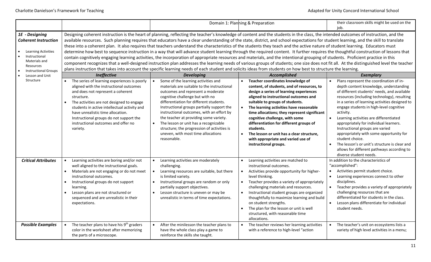|                                                                                                                                                           |                                                                                                                                                                                                                                                                                                                                                                                                                                                                                                                                                                                                                                                                                                                                                                                                                                                                                                                                                                                                                                                                                                                                                                                                                                                                                                           |                                                                                                                                                                                                                                                                                                                                                                                                                                                                                         | Domain 1: Planning & Preparation                                                                                                                                                                                                                                                                                                                                                                                                                                                                       | their classroom skills might be used on the<br>job.                                                                                                                                                                                                                                                                                                                                                                                                                                                                                                                                                     |  |  |  |
|-----------------------------------------------------------------------------------------------------------------------------------------------------------|-----------------------------------------------------------------------------------------------------------------------------------------------------------------------------------------------------------------------------------------------------------------------------------------------------------------------------------------------------------------------------------------------------------------------------------------------------------------------------------------------------------------------------------------------------------------------------------------------------------------------------------------------------------------------------------------------------------------------------------------------------------------------------------------------------------------------------------------------------------------------------------------------------------------------------------------------------------------------------------------------------------------------------------------------------------------------------------------------------------------------------------------------------------------------------------------------------------------------------------------------------------------------------------------------------------|-----------------------------------------------------------------------------------------------------------------------------------------------------------------------------------------------------------------------------------------------------------------------------------------------------------------------------------------------------------------------------------------------------------------------------------------------------------------------------------------|--------------------------------------------------------------------------------------------------------------------------------------------------------------------------------------------------------------------------------------------------------------------------------------------------------------------------------------------------------------------------------------------------------------------------------------------------------------------------------------------------------|---------------------------------------------------------------------------------------------------------------------------------------------------------------------------------------------------------------------------------------------------------------------------------------------------------------------------------------------------------------------------------------------------------------------------------------------------------------------------------------------------------------------------------------------------------------------------------------------------------|--|--|--|
| 1E - Designing<br><b>Coherent Instruction</b><br><b>Learning Activities</b><br>Instructional<br>Materials and<br>Resources<br><b>Instructional Groups</b> | Designing coherent instruction is the heart of planning, reflecting the teacher's knowledge of content and the students in the class, the intended outcomes of instruction, and the<br>available resources. Such planning requires that educators have a clear understanding of the state, district, and school expectations for student learning, and the skill to translate<br>these into a coherent plan. It also requires that teachers understand the characteristics of the students they teach and the active nature of student learning. Educators must<br>determine how best to sequence instruction in a way that will advance student learning through the required content. It further requires the thoughtful construction of lessons that<br>contain cognitively engaging learning activities, the incorporation of appropriate resources and materials, and the intentional grouping of students. Proficient practice in this<br>component recognizes that a well-designed instruction plan addresses the learning needs of various groups of students; one size does not fit all. At the distinguished level the teacher<br>plans instruction that takes into account the specific learning needs of each student and solicits ideas from students on how best to structure the learning. |                                                                                                                                                                                                                                                                                                                                                                                                                                                                                         |                                                                                                                                                                                                                                                                                                                                                                                                                                                                                                        |                                                                                                                                                                                                                                                                                                                                                                                                                                                                                                                                                                                                         |  |  |  |
| Lesson and Unit                                                                                                                                           | <b>Ineffective</b>                                                                                                                                                                                                                                                                                                                                                                                                                                                                                                                                                                                                                                                                                                                                                                                                                                                                                                                                                                                                                                                                                                                                                                                                                                                                                        | <b>Developing</b>                                                                                                                                                                                                                                                                                                                                                                                                                                                                       | Accomplished                                                                                                                                                                                                                                                                                                                                                                                                                                                                                           | <b>Exemplary</b>                                                                                                                                                                                                                                                                                                                                                                                                                                                                                                                                                                                        |  |  |  |
| Structure                                                                                                                                                 | The series of learning experiences is poorly<br>aligned with the instructional outcomes<br>and does not represent a coherent<br>structure.<br>The activities are not designed to engage<br>$\bullet$<br>students in active intellectual activity and<br>have unrealistic time allocation.<br>Instructional groups do not support the<br>instructional outcomes and offer no<br>variety.                                                                                                                                                                                                                                                                                                                                                                                                                                                                                                                                                                                                                                                                                                                                                                                                                                                                                                                   | Some of the learning activities and<br>materials are suitable to the instructional<br>outcomes and represent a moderate<br>cognitive challenge but with no<br>differentiation for different students.<br>Instructional groups partially support the<br>instructional outcomes, with an effort by<br>the teacher at providing some variety.<br>The lesson or unit has a recognizable<br>structure; the progression of activities is<br>uneven, with most time allocations<br>reasonable. | Teacher coordinates knowledge of<br>content, of students, and of resources, to<br>design a series of learning experiences<br>aligned to instructional outcomes and<br>suitable to groups of students.<br>The learning activities have reasonable<br>time allocations; they represent significant<br>cognitive challenge, with some<br>differentiation for different groups of<br>students.<br>The lesson or unit has a clear structure,<br>with appropriate and varied use of<br>instructional groups. | Plans represent the coordination of in-<br>depth content knowledge, understanding<br>of different students' needs, and available<br>resources (including technology), resulting<br>in a series of learning activities designed to<br>engage students in high-level cognitive<br>activity.<br>Learning activities are differentiated<br>appropriately for individual learners.<br>Instructional groups are varied<br>appropriately with some opportunity for<br>student choice.<br>The lesson's or unit's structure is clear and<br>allows for different pathways according to<br>diverse student needs. |  |  |  |
| <b>Critical Attributes</b>                                                                                                                                | Learning activities are boring and/or not<br>$\bullet$<br>well aligned to the instructional goals.<br>Materials are not engaging or do not meet<br>$\bullet$<br>instructional outcomes.<br>Instructional groups do not support<br>$\bullet$<br>learning.<br>Lesson plans are not structured or<br>$\bullet$<br>sequenced and are unrealistic in their<br>expectations.                                                                                                                                                                                                                                                                                                                                                                                                                                                                                                                                                                                                                                                                                                                                                                                                                                                                                                                                    | Learning activities are moderately<br>challenging.<br>Learning resources are suitable, but there<br>is limited variety.<br>Instructional groups are random or only<br>partially support objectives.<br>Lesson structure is uneven or may be<br>unrealistic in terms of time expectations.                                                                                                                                                                                               | Learning activities are matched to<br>instructional outcomes.<br>Activities provide opportunity for higher-<br>$\bullet$<br>level thinking.<br>Teacher provides a variety of appropriately<br>$\bullet$<br>challenging materials and resources.<br>Instructional student groups are organized<br>$\bullet$<br>thoughtfully to maximize learning and build<br>on student strengths.<br>The plan for the lesson or unit is well<br>$\bullet$<br>structured, with reasonable time<br>allocations.         | In addition to the characteristics of<br>"accomplished":<br>Activities permit student choice.<br>$\bullet$<br>$\bullet$<br>Learning experiences connect to other<br>disciplines.<br>Teacher provides a variety of appropriately<br>challenging resources that are<br>differentiated for students in the class.<br>Lesson plans differentiate for individual<br>student needs.                                                                                                                                                                                                                           |  |  |  |
| <b>Possible Examples</b>                                                                                                                                  | The teacher plans to have his 9 <sup>th</sup> graders<br>color in the worksheet after memorizing<br>the parts of a microscope.                                                                                                                                                                                                                                                                                                                                                                                                                                                                                                                                                                                                                                                                                                                                                                                                                                                                                                                                                                                                                                                                                                                                                                            | After the minilesson the teacher plans to<br>have the whole class play a game to<br>reinforce the skills she taught.                                                                                                                                                                                                                                                                                                                                                                    | The teacher reviews her learning activities<br>with a reference to high-level "action                                                                                                                                                                                                                                                                                                                                                                                                                  | The teacher's unit on ecosystems lists a<br>variety of high level activities in a menu;                                                                                                                                                                                                                                                                                                                                                                                                                                                                                                                 |  |  |  |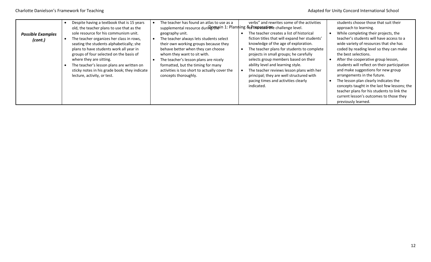| <b>Possible Examples</b><br>(cont.) | Despite having a textbook that is 15 years<br>old, the teacher plans to use that as the<br>sole resource for his communism unit.<br>The teacher organizes her class in rows,<br>seating the students alphabetically; she<br>plans to have students work all year in<br>groups of four selected on the basis of<br>where they are sitting.<br>The teacher's lesson plans are written on<br>sticky notes in his grade book; they indicate<br>lecture, activity, or test. | The teacher has found an atlas to use as a<br>supplemental resource duringemein 1: Planning & PIRMebabieme challenge level.<br>geography unit.<br>The teacher always lets students select<br>their own working groups because they<br>behave better when they can choose<br>whom they want to sit with.<br>The teacher's lesson plans are nicely<br>formatted, but the timing for many<br>activities is too short to actually cover the<br>concepts thoroughly. | verbs" and rewrites some of the activities<br>The teacher creates a list of historical<br>fiction titles that will expand her students'<br>knowledge of the age of exploration.<br>The teacher plans for students to complete<br>projects in small groups; he carefully<br>selects group members based on their<br>ability level and learning style.<br>The teacher reviews lesson plans with her<br>principal; they are well structured with<br>pacing times and activities clearly<br>indicated. | students choose those that suit their<br>approach to learning.<br>While completing their projects, the<br>teacher's students will have access to a<br>wide variety of resources that she has<br>coded by reading level so they can make<br>the best selections.<br>After the cooperative group lesson,<br>students will reflect on their participation<br>and make suggestions for new group<br>arrangements in the future.<br>The lesson plan clearly indicates the<br>concepts taught in the last few lessons; the<br>teacher plans for his students to link the<br>current lesson's outcomes to those they<br>previously learned. |
|-------------------------------------|------------------------------------------------------------------------------------------------------------------------------------------------------------------------------------------------------------------------------------------------------------------------------------------------------------------------------------------------------------------------------------------------------------------------------------------------------------------------|-----------------------------------------------------------------------------------------------------------------------------------------------------------------------------------------------------------------------------------------------------------------------------------------------------------------------------------------------------------------------------------------------------------------------------------------------------------------|----------------------------------------------------------------------------------------------------------------------------------------------------------------------------------------------------------------------------------------------------------------------------------------------------------------------------------------------------------------------------------------------------------------------------------------------------------------------------------------------------|--------------------------------------------------------------------------------------------------------------------------------------------------------------------------------------------------------------------------------------------------------------------------------------------------------------------------------------------------------------------------------------------------------------------------------------------------------------------------------------------------------------------------------------------------------------------------------------------------------------------------------------|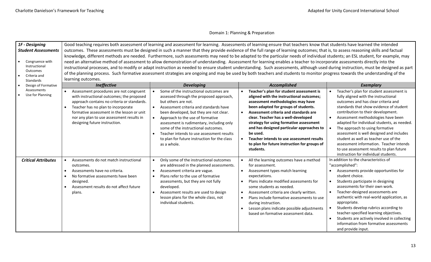| 1F - Designing                                                |                                                                                                                                                                                                                                                                                                                                 | Good teaching requires both assessment of learning and assessment for learning. Assessments of learning ensure that teachers know that students have learned the intended                                                                                                                                                                                                                                                                                                                                                                       |                                                                                                                                                                                                                                                                                                                                                                                                                                                                                           |                                                                                                                                                                                                                                                                                                                                                                                                                                                                                                                                                      |
|---------------------------------------------------------------|---------------------------------------------------------------------------------------------------------------------------------------------------------------------------------------------------------------------------------------------------------------------------------------------------------------------------------|-------------------------------------------------------------------------------------------------------------------------------------------------------------------------------------------------------------------------------------------------------------------------------------------------------------------------------------------------------------------------------------------------------------------------------------------------------------------------------------------------------------------------------------------------|-------------------------------------------------------------------------------------------------------------------------------------------------------------------------------------------------------------------------------------------------------------------------------------------------------------------------------------------------------------------------------------------------------------------------------------------------------------------------------------------|------------------------------------------------------------------------------------------------------------------------------------------------------------------------------------------------------------------------------------------------------------------------------------------------------------------------------------------------------------------------------------------------------------------------------------------------------------------------------------------------------------------------------------------------------|
| <b>Student Assessments</b>                                    |                                                                                                                                                                                                                                                                                                                                 | outcomes. These assessments must be designed in such a manner that they provide evidence of the full range of learning outcomes; that is, to assess reasoning skills and factual                                                                                                                                                                                                                                                                                                                                                                |                                                                                                                                                                                                                                                                                                                                                                                                                                                                                           |                                                                                                                                                                                                                                                                                                                                                                                                                                                                                                                                                      |
| Congruence with                                               |                                                                                                                                                                                                                                                                                                                                 | knowledge, different methods are needed. Furthermore, such assessments may need to be adapted to the particular needs of individual students; an ESL student, for example, may                                                                                                                                                                                                                                                                                                                                                                  |                                                                                                                                                                                                                                                                                                                                                                                                                                                                                           |                                                                                                                                                                                                                                                                                                                                                                                                                                                                                                                                                      |
| Instructional<br>Outcomes<br>Criteria and<br><b>Standards</b> | learning outcomes.                                                                                                                                                                                                                                                                                                              | need an alternative method of assessment to allow demonstration of understanding. Assessment for learning enables a teacher to incorporate assessments directly into the<br>instructional processes, and to modify or adapt instruction as needed to ensure student understanding. Such assessments, although used during instruction, must be designed as part<br>of the planning process. Such formative assessment strategies are ongoing and may be used by both teachers and students to monitor progress towards the understanding of the |                                                                                                                                                                                                                                                                                                                                                                                                                                                                                           |                                                                                                                                                                                                                                                                                                                                                                                                                                                                                                                                                      |
| Design of Formative                                           | <b>Ineffective</b>                                                                                                                                                                                                                                                                                                              | <b>Developing</b>                                                                                                                                                                                                                                                                                                                                                                                                                                                                                                                               | Accomplished                                                                                                                                                                                                                                                                                                                                                                                                                                                                              | <b>Exemplary</b>                                                                                                                                                                                                                                                                                                                                                                                                                                                                                                                                     |
| Assessments<br>Use for Planning                               | Assessment procedures are not congruent<br>$\bullet$<br>with instructional outcomes; the proposed<br>approach contains no criteria or standards.<br>Teacher has no plan to incorporate<br>$\bullet$<br>formative assessment in the lesson or unit<br>nor any plan to use assessment results in<br>designing future instruction. | Some of the instructional outcomes are<br>assessed through the proposed approach,<br>but others are not.<br>Assessment criteria and standards have<br>$\bullet$<br>been developed, but they are not clear.<br>Approach to the use of formative<br>assessment is rudimentary, including only<br>some of the instructional outcomes.<br>Teacher intends to use assessment results<br>to plan for future instruction for the class<br>as a whole.                                                                                                  | Teacher's plan for student assessment is<br>aligned with the instructional outcomes;<br>assessment methodologies may have<br>been adapted for groups of students.<br>Assessment criteria and standards are<br>$\bullet$<br>clear. Teacher has a well-developed<br>strategy for using formative assessment<br>and has designed particular approaches to<br>be used.<br>Teacher intends to use assessment results<br>$\bullet$<br>to plan for future instruction for groups of<br>students. | Teacher's plan for student assessment is<br>fully aligned with the instructional<br>outcomes and has clear criteria and<br>standards that show evidence of student<br>contribution to their development.<br>Assessment methodologies have been<br>adapted for individual students, as needed.<br>The approach to using formative<br>assessment is well designed and includes<br>student as well as teacher use of the<br>assessment information. Teacher intends<br>to use assessment results to plan future<br>instruction for individual students. |
| <b>Critical Attributes</b>                                    | Assessments do not match instructional<br>$\bullet$<br>outcomes.<br>Assessments have no criteria.<br>$\bullet$<br>No formative assessments have been<br>$\bullet$<br>designed.<br>Assessment results do not affect future<br>$\bullet$<br>plans.                                                                                | Only some of the instructional outcomes<br>$\bullet$<br>are addressed in the planned assessments.<br>Assessment criteria are vague.<br>Plans refer to the use of formative<br>assessments, but they are not fully<br>developed.<br>Assessment results are used to design<br>lesson plans for the whole class, not<br>individual students.                                                                                                                                                                                                       | All the learning outcomes have a method<br>for assessment.<br>Assessment types match learning<br>$\bullet$<br>expectations.<br>Plans indicate modified assessments for<br>some students as needed.<br>Assessment criteria are clearly written.<br>$\bullet$<br>Plans include formative assessments to use<br>$\bullet$<br>during instruction.<br>Lesson plans indicate possible adjustments<br>based on formative assessment data.                                                        | In addition to the characteristics of<br>"accomplished":<br>Assessments provide opportunities for<br>student choice.<br>Students participate in designing<br>assessments for their own work.<br>Teacher-designed assessments are<br>authentic with real-world application, as<br>appropriate.<br>Students develop rubrics according to<br>teacher-specified learning objectives.<br>Students are actively involved in collecting<br>information from formative assessments<br>and provide input.                                                     |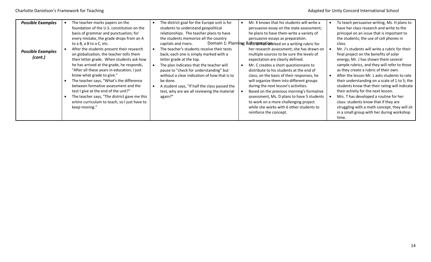| <b>Possible Examples</b>            | The teacher marks papers on the<br>foundation of the U.S. constitution on the<br>basis of grammar and punctuation; for<br>every mistake, the grade drops from an A                                                                                                                                                                                                                                                                                                                                                                    | The district goal for the Europe unit is for<br>students to understand geopolitical<br>relationships. The teacher plans to have<br>the students memorize all the country                                                                                                                                                                                                                              | Mr. K knows that his students will write a<br>persuasive essay on the state assessment;<br>he plans to have them write a variety of<br>persuasive essays as preparation.                                                                                                                                                                                                                                                                                                                                                                                                                                                         | To teach persuasive writing, Ms. H plans to<br>have her class research and write to the<br>principal on an issue that is important to<br>the students; the use of cell phones in                                                                                                                                                                                                                                                                                                                                                                                                                                       |
|-------------------------------------|---------------------------------------------------------------------------------------------------------------------------------------------------------------------------------------------------------------------------------------------------------------------------------------------------------------------------------------------------------------------------------------------------------------------------------------------------------------------------------------------------------------------------------------|-------------------------------------------------------------------------------------------------------------------------------------------------------------------------------------------------------------------------------------------------------------------------------------------------------------------------------------------------------------------------------------------------------|----------------------------------------------------------------------------------------------------------------------------------------------------------------------------------------------------------------------------------------------------------------------------------------------------------------------------------------------------------------------------------------------------------------------------------------------------------------------------------------------------------------------------------------------------------------------------------------------------------------------------------|------------------------------------------------------------------------------------------------------------------------------------------------------------------------------------------------------------------------------------------------------------------------------------------------------------------------------------------------------------------------------------------------------------------------------------------------------------------------------------------------------------------------------------------------------------------------------------------------------------------------|
| <b>Possible Examples</b><br>(cont.) | to a B, a B to a C, etc.<br>After the students present their research<br>on globalization, the teacher tells them<br>their letter grade. When students ask how<br>he has arrived at the grade, he responds,<br>"After all these years in education, I just<br>know what grade to give."<br>The teacher says, "What's the difference<br>between formative assessment and the<br>test I give at the end of the unit?"<br>The teacher says, "The district gave me this<br>entire curriculum to teach, so I just have to<br>keep moving." | capitals and rivers.<br>The teacher's students receive their tests<br>back; each one is simply marked with a<br>letter grade at the top.<br>The plan indicates that the teacher will<br>pause to "check for understanding" but<br>without a clear indication of how that is to<br>be done.<br>A student says, "If half the class passed the<br>test, why are we all reviewing the material<br>again?" | Domain 1: Planning & M septembles in the dona writing rubric for<br>her research assessment; she has drawn on<br>multiple sources to be sure the levels of<br>expectation are clearly defined.<br>Mr. C creates a short questionnaire to<br>distribute to his students at the end of<br>class; on the basis of their responses, he<br>will organize them into different groups<br>during the next lesson's activities.<br>Based on the previous morning's formative<br>assessment, Ms. D plans to have 5 students<br>to work on a more challenging project<br>while she works with 6 other students to<br>reinforce the concept. | class.<br>Mr. J's students will write a rubric for their<br>final project on the benefits of solar<br>energy; Mr. J has shown them several<br>sample rubrics, and they will refer to those<br>as they create a rubric of their own.<br>After the lesson Mr. L asks students to rate<br>their understanding on a scale of 1 to 5; the<br>students know that their rating will indicate<br>their activity for the next lesson.<br>Mrs. T has developed a routine for her<br>class: students know that if they are<br>struggling with a math concept, they will sit<br>in a small group with her during workshop<br>time. |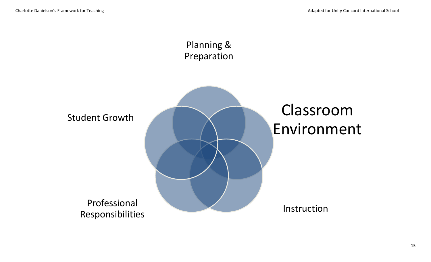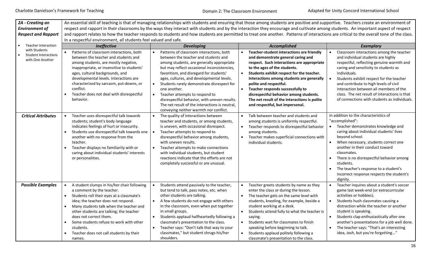| 2A - Creating an<br><b>Environment of</b><br><b>Respect and Rapport</b> | In a respectful environment, all students feel valued and safe.                                                                                                                                                                                                                                                                                                                           |                                                                                                                                                                                                                                                                                                                                                                                                                                                                                                                  | An essential skill of teaching is that of managing relationships with students and ensuring that those among students are positive and supportive. Teachers create an environment of<br>respect and rapport in their classrooms by the ways they interact with students and by the interaction they encourage and cultivate among students. An important aspect of respect<br>and rapport relates to how the teacher responds to students and how students are permitted to treat one another. Patterns of interactions are critical to the overall tone of the class. |                                                                                                                                                                                                                                                                                                                                                                                                                       |
|-------------------------------------------------------------------------|-------------------------------------------------------------------------------------------------------------------------------------------------------------------------------------------------------------------------------------------------------------------------------------------------------------------------------------------------------------------------------------------|------------------------------------------------------------------------------------------------------------------------------------------------------------------------------------------------------------------------------------------------------------------------------------------------------------------------------------------------------------------------------------------------------------------------------------------------------------------------------------------------------------------|------------------------------------------------------------------------------------------------------------------------------------------------------------------------------------------------------------------------------------------------------------------------------------------------------------------------------------------------------------------------------------------------------------------------------------------------------------------------------------------------------------------------------------------------------------------------|-----------------------------------------------------------------------------------------------------------------------------------------------------------------------------------------------------------------------------------------------------------------------------------------------------------------------------------------------------------------------------------------------------------------------|
| Teacher Interaction                                                     | Ineffective                                                                                                                                                                                                                                                                                                                                                                               | <b>Developing</b>                                                                                                                                                                                                                                                                                                                                                                                                                                                                                                | <b>Accomplished</b>                                                                                                                                                                                                                                                                                                                                                                                                                                                                                                                                                    | <b>Exemplary</b>                                                                                                                                                                                                                                                                                                                                                                                                      |
| with Students<br><b>Student Interactions</b><br>with One Another        | Patterns of classroom interactions, both<br>between the teacher and students and<br>among students, are mostly negative,<br>inappropriate, or insensitive to students'<br>ages, cultural backgrounds, and<br>developmental levels. Interactions are<br>characterized by sarcasm, put-downs, or<br>conflict.<br>Teacher does not deal with disrespectful<br>behavior.                      | Patterns of classroom interactions, both<br>between the teacher and students and<br>among students, are generally appropriate<br>but may reflect occasional inconsistencies,<br>favoritism, and disregard for students'<br>ages, cultures, and developmental levels.<br>Students rarely demonstrate disrespect for<br>one another.<br>Teacher attempts to respond to<br>disrespectful behavior, with uneven results.<br>The net result of the interactions is neutral,<br>conveying neither warmth nor conflict. | Teacher-student interactions are friendly<br>and demonstrate general caring and<br>respect. Such interactions are appropriate<br>to the ages of the students.<br>$\bullet$<br>Students exhibit respect for the teacher.<br>Interactions among students are generally<br>polite and respectful.<br>Teacher responds successfully to<br>$\bullet$<br>disrespectful behavior among students.<br>The net result of the interactions is polite<br>and respectful, but impersonal.                                                                                           | Classroom interactions among the teacher<br>and individual students are highly<br>respectful, reflecting genuine warmth and<br>caring and sensitivity to students as<br>individuals.<br>Students exhibit respect for the teacher<br>and contribute to high levels of civil<br>interaction between all members of the<br>class. The net result of interactions is that<br>of connections with students as individuals. |
| <b>Critical Attributes</b>                                              | Teacher uses disrespectful talk towards<br>students; student's body language<br>indicates feelings of hurt or insecurity.<br>Students use disrespectful talk towards one<br>another with no response from the<br>teacher.<br>Teacher displays no familiarity with or<br>caring about individual students' interests<br>or personalities.                                                  | The quality of interactions between<br>teacher and students, or among students,<br>is uneven, with occasional disrespect.<br>Teacher attempts to respond to<br>$\bullet$<br>disrespectful behavior among students,<br>with uneven results.<br>Teacher attempts to make connections<br>$\bullet$<br>with individual students, but student<br>reactions indicate that the efforts are not<br>completely successful or are unusual.                                                                                 | Talk between teacher and students and<br>$\bullet$<br>among students is uniformly respectful.<br>Teacher responds to disrespectful behavior<br>among students.<br>Teacher makes superficial connections with<br>individual students.                                                                                                                                                                                                                                                                                                                                   | In addition to the characteristics of<br>"accomplished":<br>Teacher demonstrates knowledge and<br>caring about individual students' lives<br>beyond school.<br>When necessary, students correct one<br>another in their conduct toward<br>classmates.<br>There is no disrespectful behavior among<br>students.<br>The teacher's response to a student's<br>incorrect response respects the student's<br>dignity.      |
| <b>Possible Examples</b>                                                | A student slumps in his/her chair following<br>a comment by the teacher.<br>Students roll their eyes at a classmate's<br>idea; the teacher does not respond.<br>Many students talk when the teacher and<br>other students are talking; the teacher<br>does not correct them.<br>Some students refuse to work with other<br>students.<br>Teacher does not call students by their<br>names. | Students attend passively to the teacher,<br>but tend to talk, pass notes, etc. when<br>other students are talking.<br>A few students do not engage with others<br>in the classroom, even when put together<br>in small groups.<br>Students applaud halfheartedly following a<br>classmate's presentation to the class.<br>Teacher says: "Don't talk that way to your<br>classmates," but student shrugs his/her<br>shoulders.                                                                                   | Teacher greets students by name as they<br>enter the class or during the lesson.<br>The teacher gets on the same level with<br>$\bullet$<br>students, kneeling, for example, beside a<br>student working at a desk.<br>Students attend fully to what the teacher is<br>$\bullet$<br>saying.<br>Students wait for classmates to finish<br>$\bullet$<br>speaking before beginning to talk.<br>Students applaud politely following a<br>$\bullet$<br>classmate's presentation to the class.                                                                               | Teacher inquires about a student's soccer<br>game last week-end (or extracurricular<br>activities or hobbies).<br>Students hush classmates causing a<br>distraction while the teacher or another<br>student is speaking.<br>Students clap enthusiastically after one<br>another's presentations for a job well done.<br>The teacher says: "That's an interesting<br>idea, Josh, but you're forgetting"                |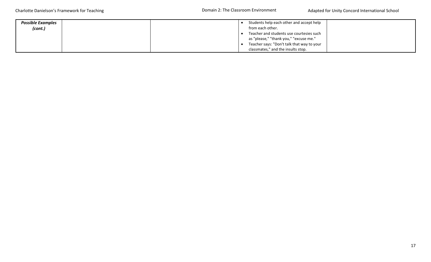| <b>Possible Examples</b> | Students help each other and accept help   |
|--------------------------|--------------------------------------------|
| (cont.)                  | from each other.                           |
|                          | Teacher and students use courtesies such   |
|                          | as "please," "thank you," "excuse me."     |
|                          | Teacher says: "Don't talk that way to your |
|                          | classmates," and the insults stop.         |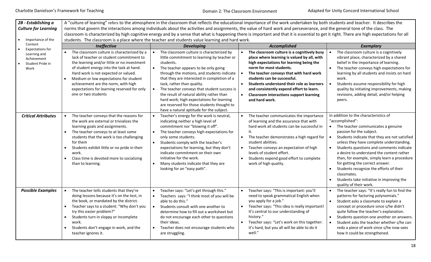Domain 2: The Classroom Environment

| 2B - Establishing a<br><b>Culture for Learning</b><br>Importance of the<br>$\bullet$ |                                                                                                                                                                                                                                                                                                                                                                                                | students. The classroom is a place where the teacher and students value learning and hard work.                                                                                                                                                                                                                                                                                                                                                                                                             | A "culture of learning" refers to the atmosphere in the classroom that reflects the educational importance of the work undertaken by both students and teacher. It describes the<br>norms that govern the interactions among individuals about the activities and assignments, the value of hard work and perseverance, and the general tone of the class. The<br>classroom is characterized by high cognitive energy and by a sense that what is happening there is important and that it is essential to get it right. There are high expectations for all |                                                                                                                                                                                                                                                                                                                                                                                                                                                                                                                                                                                         |
|--------------------------------------------------------------------------------------|------------------------------------------------------------------------------------------------------------------------------------------------------------------------------------------------------------------------------------------------------------------------------------------------------------------------------------------------------------------------------------------------|-------------------------------------------------------------------------------------------------------------------------------------------------------------------------------------------------------------------------------------------------------------------------------------------------------------------------------------------------------------------------------------------------------------------------------------------------------------------------------------------------------------|--------------------------------------------------------------------------------------------------------------------------------------------------------------------------------------------------------------------------------------------------------------------------------------------------------------------------------------------------------------------------------------------------------------------------------------------------------------------------------------------------------------------------------------------------------------|-----------------------------------------------------------------------------------------------------------------------------------------------------------------------------------------------------------------------------------------------------------------------------------------------------------------------------------------------------------------------------------------------------------------------------------------------------------------------------------------------------------------------------------------------------------------------------------------|
| Content                                                                              | Ineffective                                                                                                                                                                                                                                                                                                                                                                                    | <b>Developing</b>                                                                                                                                                                                                                                                                                                                                                                                                                                                                                           | Accomplished                                                                                                                                                                                                                                                                                                                                                                                                                                                                                                                                                 | <b>Exemplary</b>                                                                                                                                                                                                                                                                                                                                                                                                                                                                                                                                                                        |
| <b>Expectations for</b><br>Learning and<br>Achievement<br>Student Pride in<br>Work   | The classroom culture is characterized by a<br>lack of teacher or student commitment to<br>the learning and/or little or no investment<br>of student energy into the task at hand.<br>Hard work is not expected or valued.<br>Medium or low expectations for student<br>$\bullet$<br>achievement are the norm, with high<br>expectations for learning reserved for only<br>one or two students | The classroom culture is characterized by<br>little commitment to learning by teacher or<br>students.<br>The teacher appears to be only going<br>through the motions, and students indicate<br>that they are interested in completion of a<br>task, rather than quality.<br>The teacher conveys that student success is<br>the result of natural ability rather than<br>hard work; high expectations for learning<br>are reserved for those students thought to<br>have a natural aptitude for the subject. | The classroom culture is a cognitively busy<br>$\bullet$<br>place where learning is valued by all, with<br>high expectations for learning being the<br>norm for most students.<br>The teacher conveys that with hard work<br>$\bullet$<br>students can be successful.<br>Students understand their role as learners<br>$\bullet$<br>and consistently expend effort to learn.<br>$\bullet$<br><b>Classroom interactions support learning</b><br>and hard work.                                                                                                | The classroom culture is a cognitively<br>vibrant place, characterized by a shared<br>belief in the importance of learning.<br>The teacher conveys high expectations for<br>$\bullet$<br>learning by all students and insists on hard<br>work.<br>Students assume responsibility for high<br>quality by initiating improvements, making<br>revisions, adding detail, and/or helping<br>peers.                                                                                                                                                                                           |
| <b>Critical Attributes</b>                                                           | The teacher conveys that the reasons for<br>the work are external or trivializes the<br>learning goals and assignments.<br>The teacher conveys to at least some<br>students that the work is too challenging<br>for them<br>Students exhibit little or no pride in their<br>work.<br>Class time is devoted more to socializing<br>$\bullet$<br>than to learning.                               | Teacher's energy for the work is neutral,<br>indicating neither a high level of<br>commitment nor "blowing it off".<br>The teacher conveys high expectations for<br>only some students.<br>Students comply with the teacher's<br>expectations for learning, but they don't<br>indicate commitment on their own<br>initiative for the work.<br>Many students indicate that they are<br>looking for an "easy path".                                                                                           | The teacher communicates the importance<br>of learning and the assurance that with<br>hard work all students can be successful in<br>it.<br>The teacher demonstrates a high regard for<br>$\bullet$<br>student abilities.<br>Teacher conveys an expectation of high<br>levels of student effort.<br>$\bullet$<br>Students expend good effort to complete<br>work of high quality.                                                                                                                                                                            | In addition to the characteristics of<br>"accomplished":<br>The teacher communicates a genuine<br>$\bullet$<br>passion for the subject.<br>Students indicate that they are not satisfied<br>$\bullet$<br>unless they have complete understanding.<br>Students questions and comments indicate<br>$\bullet$<br>a desire to understand the content rather<br>than, for example, simply learn a procedure<br>for getting the correct answer.<br>Students recognize the efforts of their<br>$\bullet$<br>classmates.<br>Students take initiative in improving the<br>quality of their work. |
| <b>Possible Examples</b>                                                             | The teacher tells students that they're<br>doing lessons because it's on the test, in<br>the book, or mandated by the district.<br>Teacher says to a student: "Why don't you<br>try this easier problem?"<br>Students turn in sloppy or incomplete<br>$\bullet$<br>work.<br>Students don't engage in work, and the<br>teacher ignores it.                                                      | Teacher says: "Let's get through this."<br>Teachers says: "I think most of you will be<br>able to do this."<br>Students consult with one another to<br>determine how to fill out a worksheet but<br>do not encourage each other to questions<br>their ideas.<br>Teacher does not encourage students who<br>are struggling.                                                                                                                                                                                  | Teacher says: "This is important: you'll<br>$\bullet$<br>need to speak grammatical English when<br>you apply for a job."<br>Teacher says: "This idea is really important!<br>It's central to our understanding of<br>history."<br>Teacher says: "Let's work on this together:<br>$\bullet$<br>it's hard, but you all will be able to do it<br>well."                                                                                                                                                                                                         | The teacher says: "It's really fun to find the<br>$\bullet$<br>patterns for factoring polynomials."<br>Student asks a classmate to explain a<br>$\bullet$<br>concept or procedure since s/he didn't<br>quite follow the teacher's explanation.<br>Students question one another on answers.<br>$\bullet$<br>Student asks the teacher whether s/he can<br>redo a piece of work since s/he now sees<br>how it could be strengthened.                                                                                                                                                      |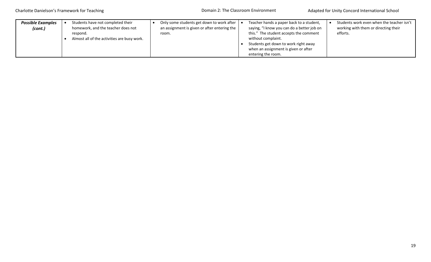| <b>Possible Examples</b><br>(cont.) | Students have not completed their<br>homework, and the teacher does not<br>respond.<br>Almost all of the activities are busy work. | Only some students get down to work after<br>an assignment is given or after entering the<br>room. | Teacher hands a paper back to a student,<br>saying, "I know you can do a better job on<br>this." The student accepts the comment<br>without complaint.<br>Students get down to work right away<br>when an assignment is given or after | Students work even when the teacher isn't<br>working with them or directing their<br>efforts. |
|-------------------------------------|------------------------------------------------------------------------------------------------------------------------------------|----------------------------------------------------------------------------------------------------|----------------------------------------------------------------------------------------------------------------------------------------------------------------------------------------------------------------------------------------|-----------------------------------------------------------------------------------------------|
|                                     |                                                                                                                                    |                                                                                                    | entering the room.                                                                                                                                                                                                                     |                                                                                               |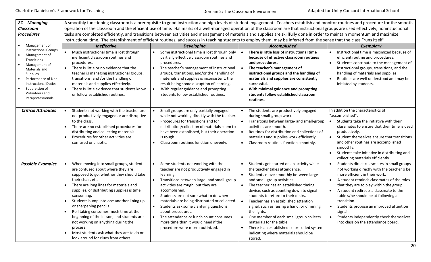| 2C - Managing<br><b>Classroom</b>                                                                                                                                                                                        |                                                                                                                                                                                                                                                                                                                                                                                                                                                                                                                                                                                            |                                                                                                                                                                                                                                                                                                                                                                                                                                                                                                                     | A smoothly functioning classroom is a prerequisite to good instruction and high levels of student engagement. Teachers establish and monitor routines and procedure for the smooth<br>operation of the classroom and the efficient use of time. Hallmarks of a well-managed operation of the classroom are that instructional groups are used effectively, noninstuctional                                                                                                                                                                                                                                                              |                                                                                                                                                                                                                                                                                                                                                                                                                                                                                                                           |
|--------------------------------------------------------------------------------------------------------------------------------------------------------------------------------------------------------------------------|--------------------------------------------------------------------------------------------------------------------------------------------------------------------------------------------------------------------------------------------------------------------------------------------------------------------------------------------------------------------------------------------------------------------------------------------------------------------------------------------------------------------------------------------------------------------------------------------|---------------------------------------------------------------------------------------------------------------------------------------------------------------------------------------------------------------------------------------------------------------------------------------------------------------------------------------------------------------------------------------------------------------------------------------------------------------------------------------------------------------------|-----------------------------------------------------------------------------------------------------------------------------------------------------------------------------------------------------------------------------------------------------------------------------------------------------------------------------------------------------------------------------------------------------------------------------------------------------------------------------------------------------------------------------------------------------------------------------------------------------------------------------------------|---------------------------------------------------------------------------------------------------------------------------------------------------------------------------------------------------------------------------------------------------------------------------------------------------------------------------------------------------------------------------------------------------------------------------------------------------------------------------------------------------------------------------|
| <b>Procedures</b>                                                                                                                                                                                                        |                                                                                                                                                                                                                                                                                                                                                                                                                                                                                                                                                                                            |                                                                                                                                                                                                                                                                                                                                                                                                                                                                                                                     | tasks are completed efficiently, and transitions between activities and management of materials and supplies are skillfully done in order to maintain momentum and maximize<br>instructional time. The establishment of efficient routines, and success in teaching students to employ them, may be inferred from the sense that the class "runs itself".                                                                                                                                                                                                                                                                               |                                                                                                                                                                                                                                                                                                                                                                                                                                                                                                                           |
| Management of<br>$\bullet$                                                                                                                                                                                               | <b>Ineffective</b>                                                                                                                                                                                                                                                                                                                                                                                                                                                                                                                                                                         | <b>Developing</b>                                                                                                                                                                                                                                                                                                                                                                                                                                                                                                   | Accomplished                                                                                                                                                                                                                                                                                                                                                                                                                                                                                                                                                                                                                            | Exemplary                                                                                                                                                                                                                                                                                                                                                                                                                                                                                                                 |
| <b>Instructional Groups</b><br>Management of<br>Transitions<br>Management of<br>Materials and<br>Supplies<br>Performance of Non-<br><b>Instructional Duties</b><br>Supervision of<br>Volunteers and<br>Paraprofessionals | Much instructional time is lost through<br>$\bullet$<br>inefficient classroom routines and<br>procedures.<br>There is little or no evidence that the<br>$\bullet$<br>teacher is managing instructional groups,<br>transitions, and /or the handling of<br>materials and supplies effectively.<br>$\bullet$<br>There is little evidence that students know<br>or follow established routines.                                                                                                                                                                                               | Some instructional time is lost through only<br>partially effective classroom routines and<br>procedures.<br>The teacher's management of instructional<br>$\bullet$<br>groups, transitions, and/or the handling of<br>materials and supplies is inconsistent, the<br>result being some disruption of learning.<br>With regular guidance and prompting<br>$\bullet$<br>students follow established routines.                                                                                                         | There is little loss of instructional time<br>$\bullet$<br>because of effective classroom routines<br>and procedures.<br>$\bullet$<br>The teacher's management of<br>instructional groups and the handling of<br>materials and supplies are consistently<br>successful.<br>With minimal guidance and prompting<br>$\bullet$<br>students follow established classroom<br>routines.                                                                                                                                                                                                                                                       | Instructional time is maximized because of<br>efficient routine and procedures.<br>Students contribute to the management of<br>$\bullet$<br>instructional groups, transitions, and the<br>handling of materials and supplies.<br>Routines are well understood and may be<br>$\bullet$<br>initiated by students.                                                                                                                                                                                                           |
| <b>Critical Attributes</b>                                                                                                                                                                                               | Students not working with the teacher are<br>not productively engaged or are disruptive<br>to the class.<br>There are no established procedures for<br>distributing and collecting materials.<br>Procedures for other activities are<br>$\bullet$<br>confused or chaotic.                                                                                                                                                                                                                                                                                                                  | Small groups are only partially engaged<br>while not working directly with the teacher.<br>Procedures for transitions and for<br>$\bullet$<br>distribution/collection of materials seem to<br>have been established, but their operation<br>is rough.<br>Classroom routines function unevenly.<br>$\bullet$                                                                                                                                                                                                         | The students are productively engaged<br>$\bullet$<br>during small-group work.<br>Transitions between large- and small-group<br>$\bullet$<br>activities are smooth.<br>Routines for distribution and collections of<br>$\bullet$<br>materials and supplies work efficiently.<br>Classroom routines function smoothly.<br>$\bullet$                                                                                                                                                                                                                                                                                                      | In addition the characteristics of<br>"accomplished":<br>Students take the initiative with their<br>classmates to ensure that their time is used<br>productively.<br>Student themselves ensure that transitions<br>$\bullet$<br>and other routines are accomplished<br>smoothly.<br>Students take initiative in distributing and<br>$\bullet$<br>collecting materials efficiently.                                                                                                                                        |
| <b>Possible Examples</b>                                                                                                                                                                                                 | When moving into small groups, students<br>$\bullet$<br>are confused about where they are<br>supposed to go, whether they should take<br>their chair, etc.<br>There are long lines for materials and<br>supplies, or distributing supplies is time<br>consuming.<br>Students bump into one another lining up<br>$\bullet$<br>or sharpening pencils.<br>Roll taking consumes much time at the<br>$\bullet$<br>beginning of the lesson, and students are<br>not working on anything during the<br>process.<br>Most students ask what they are to do or<br>look around for clues from others. | Some students not working with the<br>$\bullet$<br>teacher are not productively engaged in<br>learning.<br>Transitions between large- and small-group<br>activities are rough, but they are<br>accomplished.<br>Students are not sure what to do when<br>$\bullet$<br>materials are being distributed or collected.<br>Students ask some clarifying questions<br>about procedures.<br>The attendance or lunch count consumes<br>$\bullet$<br>more time than it would need if the<br>procedure were more routinized. | Students get started on an activity while<br>$\bullet$<br>the teacher takes attendance.<br>Students move smoothly between large-<br>$\bullet$<br>and small-group activities.<br>The teacher has an established timing<br>$\bullet$<br>device, such as counting down to signal<br>students to return to their desks.<br>Teacher has an established attention<br>$\bullet$<br>signal, such as raising a hand, or dimming<br>the lights.<br>One member of each small group collects<br>$\bullet$<br>materials for the table.<br>There is an established color-coded system<br>$\bullet$<br>indicating where materials should be<br>stored. | Students direct classmates in small groups<br>$\bullet$<br>not working directly with the teacher o be<br>more efficient in their work.<br>A student reminds classmates of the roles<br>$\bullet$<br>that they are to play within the group.<br>A student redirects a classmate to the<br>$\bullet$<br>table s/he should be at following a<br>transition.<br>Students propose an improved attention<br>$\bullet$<br>signal.<br>Students independently check themselves<br>$\bullet$<br>into class on the attendance board. |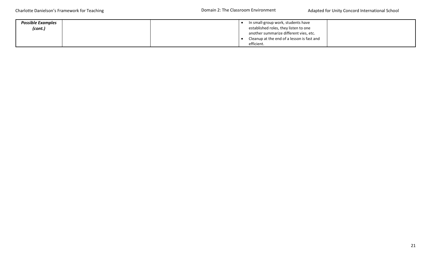| <b>Possible Examples</b><br>(cont.) |  | In small-group work, students have<br>established roles, they listen to one |  |
|-------------------------------------|--|-----------------------------------------------------------------------------|--|
|                                     |  | another summarize different vies, etc.                                      |  |
|                                     |  | Cleanup at the end of a lesson is fast and                                  |  |
|                                     |  | efficient.                                                                  |  |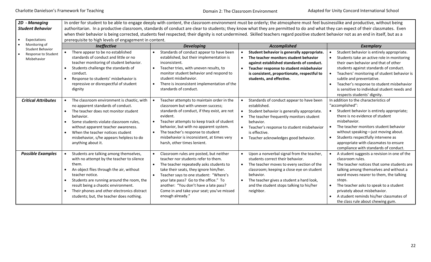Domain 2: The Classroom Environment

| 2D - Managing<br><b>Student Behavior</b><br>Expectations      | prerequisite to high levels of engagement in content.                                                                                                                                                                                                                                                                                                   | In order for student to be able to engage deeply with content, the classroom environment must be orderly; the atmosphere must feel businesslike and productive, without being<br>authoritarian. In a productive classroom, standards of conduct are clear to students; they know what they are permitted to do and what they can expect of their classmates. Even<br>when their behavior is being corrected, students feel respected; their dignity is not undermined. Skilled teachers regard positive student behavior not as an end in itself, but as a |                                                                                                                                                                                                                                                                                                                                  |                                                                                                                                                                                                                                                                                                                                                                                  |
|---------------------------------------------------------------|---------------------------------------------------------------------------------------------------------------------------------------------------------------------------------------------------------------------------------------------------------------------------------------------------------------------------------------------------------|------------------------------------------------------------------------------------------------------------------------------------------------------------------------------------------------------------------------------------------------------------------------------------------------------------------------------------------------------------------------------------------------------------------------------------------------------------------------------------------------------------------------------------------------------------|----------------------------------------------------------------------------------------------------------------------------------------------------------------------------------------------------------------------------------------------------------------------------------------------------------------------------------|----------------------------------------------------------------------------------------------------------------------------------------------------------------------------------------------------------------------------------------------------------------------------------------------------------------------------------------------------------------------------------|
| Monitoring of                                                 | <b>Ineffective</b>                                                                                                                                                                                                                                                                                                                                      | <b>Developing</b>                                                                                                                                                                                                                                                                                                                                                                                                                                                                                                                                          | Accomplished                                                                                                                                                                                                                                                                                                                     | <b>Exemplary</b>                                                                                                                                                                                                                                                                                                                                                                 |
| <b>Student Behavior</b><br>Response to Student<br>Misbehavior | There appear to be no established<br>standards of conduct and little or no<br>teacher monitoring of student behavior.<br>Students challenge the standards of<br>conduct.<br>Response to students' misbehavior is<br>repressive or disrespectful of student<br>dignity                                                                                   | Standards of conduct appear to have been<br>established, but their implementation is<br>inconsistent.<br>Teacher tries, with uneven results, to<br>monitor student behavior and respond to<br>student misbehavior.<br>There is inconsistent implementation of the<br>standards of conduct.                                                                                                                                                                                                                                                                 | Student behavior is generally appropriate.<br>The teacher monitors student behavior<br>$\bullet$<br>against established standards of conduct.<br>Teacher response to student misbehavior<br>$\bullet$<br>is consistent, proportionate, respectful to<br>students, and effective.                                                 | Student behavior is entirely appropriate.<br>Students take an active role in monitoring<br>their own behavior and that of other<br>students against standards of conduct.<br>Teachers' monitoring of student behavior is<br>subtle and preventative.<br>Teacher's response to student misbehavior<br>is sensitive to individual student needs and<br>respects students' dignity. |
| <b>Critical Attributes</b>                                    | The classroom environment is chaotic, with<br>no apparent standards of conduct.<br>The teacher does not monitor student<br>behavior.<br>Some students violate classroom rules,<br>$\bullet$<br>without apparent teacher awareness.<br>When the teacher notices student<br>$\bullet$<br>misbehavior, s/he appears helpless to do<br>anything about it.   | Teacher attempts to maintain order in the<br>classroom but with uneven success;<br>standards of conduct, if they exist, are not<br>evident.<br>Teacher attempts to keep track of student<br>behavior, but with no apparent system.<br>The teacher's response to student<br>misbehavior is inconsistent, at times very<br>harsh, other times lenient.                                                                                                                                                                                                       | Standards of conduct appear to have been<br>established.<br>$\bullet$<br>Student behavior is generally appropriate.<br>The teacher frequently monitors student<br>$\bullet$<br>behavior.<br>Teacher's response to student misbehavior<br>is effective.<br>Teacher acknowledges good behavior.<br>$\bullet$                       | In addition to the characteristics of<br>"accomplished":<br>Student behavior is entirely appropriate;<br>there is no evidence of student<br>misbehavior.<br>The teacher monitors student behavior<br>without speaking-just moving about.<br>Students respectfully intervene as<br>appropriate with classmates to ensure<br>compliance with standards of conduct.                 |
| <b>Possible Examples</b>                                      | Students are talking among themselves,<br>with no attempt by the teacher to silence<br>them.<br>An object flies through the air, without<br>teacher notice.<br>Students are running around the room, the<br>result being a chaotic environment.<br>Their phones and other electronics distract<br>$\bullet$<br>students; but, the teacher does nothing. | Classroom rules are posted, but neither<br>teacher nor students refer to them.<br>The teacher repeatedly asks students to<br>take their seats, they ignore him/her.<br>Teacher says to one student: "Where's<br>your late pass? Go to the office." To<br>another: "You don't have a late pass?<br>Come in and take your seat; you've missed<br>enough already."                                                                                                                                                                                            | Upon a nonverbal signal from the teacher,<br>$\bullet$<br>students correct their behavior.<br>The teacher moves to every section of the<br>$\bullet$<br>classroom; keeping a close eye on student<br>behavior.<br>The teacher gives a student a hard look,<br>$\bullet$<br>and the student stops talking to his/her<br>neighbor. | A student suggests a revision in one of the<br>classroom rules.<br>The teacher notices that some students are<br>talking among themselves and without a<br>word moves nearer to them, the talking<br>stops.<br>The teacher asks to speak to a student<br>privately about misbehavior.<br>A student reminds his/her classmates of<br>the class rule about chewing gum.            |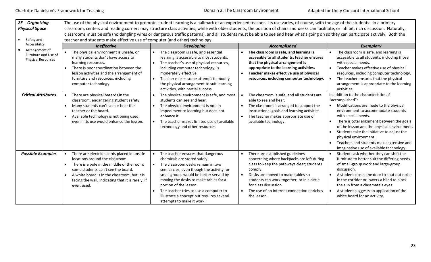| 2E - Organizing<br><b>Physical Space</b><br>Safety and              | teacher and students make effective use of computer (and other) technology.                                                                                                                                                                                                            | The use of the physical environment to promote student learning is a hallmark of an experienced teacher. Its use varies, of course, with the age of the students: in a primary<br>classroom, centers and reading corners may structure class activities, while with older students, the position of chairs and desks can facilitate, or inhibit, rich discussion. Naturally,<br>classrooms must be safe (no dangling wires or dangerous traffic patterns), and all students must be able to see and hear what's going on so they can participate actively. Both the |                                                                                                                                                                                                                                                                                                                                            |                                                                                                                                                                                                                                                                                                                                                                                                                              |
|---------------------------------------------------------------------|----------------------------------------------------------------------------------------------------------------------------------------------------------------------------------------------------------------------------------------------------------------------------------------|---------------------------------------------------------------------------------------------------------------------------------------------------------------------------------------------------------------------------------------------------------------------------------------------------------------------------------------------------------------------------------------------------------------------------------------------------------------------------------------------------------------------------------------------------------------------|--------------------------------------------------------------------------------------------------------------------------------------------------------------------------------------------------------------------------------------------------------------------------------------------------------------------------------------------|------------------------------------------------------------------------------------------------------------------------------------------------------------------------------------------------------------------------------------------------------------------------------------------------------------------------------------------------------------------------------------------------------------------------------|
| Accessibility                                                       | Ineffective                                                                                                                                                                                                                                                                            | <b>Developing</b>                                                                                                                                                                                                                                                                                                                                                                                                                                                                                                                                                   | <b>Accomplished</b>                                                                                                                                                                                                                                                                                                                        | <b>Exemplary</b>                                                                                                                                                                                                                                                                                                                                                                                                             |
| Arrangement of<br>Furniture and Use of<br><b>Physical Resources</b> | The physical environment is unsafe, or<br>many students don't have access to<br>learning resources.<br>There is poor coordination between the<br>lesson activities and the arrangement of<br>furniture and resources, including<br>computer technology.                                | The classroom is safe, and essential<br>learning is accessible to most students.<br>The teacher's use of physical resources,<br>including computer technology, is<br>moderately effective.<br>Teacher makes some attempt to modify<br>the physical arrangement to suit learning<br>activities, with partial success.                                                                                                                                                                                                                                                | The classroom is safe, and learning is<br>accessible to all students; teacher ensures<br>that the physical arrangement is<br>appropriate to the learning activities.<br>Teacher makes effective use of physical<br>$\bullet$<br>resources, including computer technology.                                                                  | The classroom is safe, and learning is<br>accessible to all students, including those<br>with special needs.<br>Teacher makes effective use of physical<br>resources, including computer technology.<br>The teacher ensures that the physical<br>arrangement is appropriate to the learning<br>activities.                                                                                                                   |
| <b>Critical Attributes</b>                                          | There are physical hazards in the<br>classroom, endangering student safety.<br>Many students can't see or hear the<br>teacher or the board.<br>Available technology is not being used,<br>even if its use would enhance the lesson.                                                    | The physical environment is safe, and most<br>students can see and hear.<br>The physical environment is not an<br>impediment to learning but does not<br>enhance it.<br>The teacher makes limited use of available<br>technology and other resources                                                                                                                                                                                                                                                                                                                | The classroom is safe, and all students are<br>able to see and hear.<br>The classroom is arranged to support the<br>$\bullet$<br>instructional goals and learning activities.<br>The teacher makes appropriate use of<br>$\bullet$<br>available technology.                                                                                | In addition to the characteristics of<br>"accomplished":<br>Modifications are made to the physical<br>environment to accommodate students<br>with special needs.<br>There is total alignment between the goals<br>of the lesson and the physical environment.<br>Students take the initiative to adjust the<br>physical environment.<br>Teachers and students make extensive and<br>imaginative use of available technology. |
| <b>Possible Examples</b>                                            | There are electrical cords placed in unsafe<br>locations around the classroom.<br>There is a pole in the middle of the room;<br>some students can't see the board.<br>A white board is in the classroom, but it is<br>facing the wall, indicating that it is rarely, if<br>ever, used. | The teacher ensures that dangerous<br>chemicals are stored safely.<br>The classroom desks remain in two<br>semicircles, even though the activity for<br>small groups would be better served by<br>moving the desks to make tables for a<br>portion of the lesson.<br>The teacher tries to use a computer to<br>illustrate a concept but requires several<br>attempts to make it work.                                                                                                                                                                               | There are established guidelines<br>concerning where backpacks are left during<br>class to keep the pathways clear; students<br>comply.<br>Desks are moved to make tables so<br>$\bullet$<br>students can work together, or in a circle<br>for class discussion.<br>The use of an Internet connection enriches<br>$\bullet$<br>the lesson. | Students ask whether they can shift the<br>furniture to better suit the differing needs<br>of small-group work and large-group<br>discussion.<br>A student closes the door to shut out noise<br>in the corridor or lowers a blind to block<br>the sun from a classmate's eyes.<br>A student suggests an application of the<br>white board for an activity.                                                                   |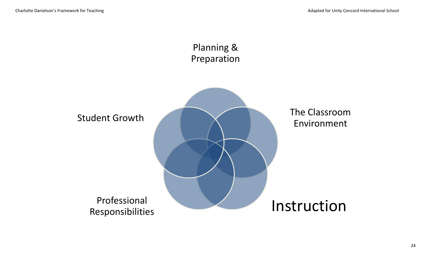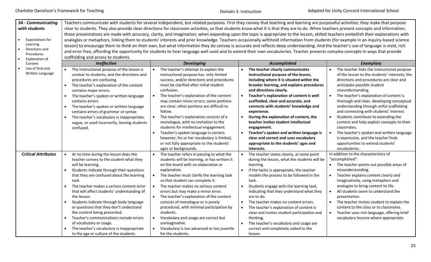| <b>3A</b> - Communicating  |                                                         |                                              | Teachers communicate with students for several independent, but related purposes. First they convey that teaching and learning are purposeful activities; they make that purpose      |                                                         |
|----------------------------|---------------------------------------------------------|----------------------------------------------|---------------------------------------------------------------------------------------------------------------------------------------------------------------------------------------|---------------------------------------------------------|
| with students              |                                                         |                                              | clear to students. They also provide clear directions for classroom activities, so that students know what it is that they are to do. When teachers present concepts and information, |                                                         |
|                            |                                                         |                                              | those presentations are made with accuracy, clarity, and imagination; when expanding upon the topic is appropriate to the lesson, skilled teachers embellish their explanations with  |                                                         |
| <b>Expectations for</b>    |                                                         |                                              | analogies or metaphors, linking them to students' interests and prior knowledge. Teachers occasionally withhold information from students (for example in an inquiry-based science    |                                                         |
| Learning                   |                                                         |                                              | lesson) to encourage them to think on their own, but what information they do convey is accurate and reflects deep understanding. And the teacher's use of language is vivid, rich    |                                                         |
| Directions and             |                                                         |                                              |                                                                                                                                                                                       |                                                         |
| Procedures                 |                                                         |                                              | and error free, affording the opportunity for students to hear language well used and to extend their own vocabularies. Teacher presents complex concepts in ways that provide        |                                                         |
| Explanation of             | scaffolding and access to students.                     |                                              |                                                                                                                                                                                       |                                                         |
| Content                    | Ineffective                                             | <b>Developing</b>                            | Accomplished                                                                                                                                                                          | <b>Exemplary</b>                                        |
| Use of Oral and            | The instructional purpose of the lesson is              | The teacher's attempt to explain the         | The teacher clearly communicates                                                                                                                                                      | The teacher links the instructional purpose             |
| Written Language           | unclear to students, and the directions and             | instructional purpose has only limited       | instructional purpose of the lesson,                                                                                                                                                  | of the lesson to the students' interests; the           |
|                            | procedures are confusing.                               | success, and/or directions and procedures    | including where it is situated within the                                                                                                                                             | directions and procedures are clear and                 |
|                            | The teacher's explanation of the content<br>$\bullet$   | must be clarified after initial student      | broader learning, and explains procedures                                                                                                                                             | anticipate possible student                             |
|                            | contains major errors.                                  | confusion.                                   | and directions clearly.                                                                                                                                                               | misunderstanding.                                       |
|                            | The teacher's spoken or written language<br>$\bullet$   | The teacher's explanation of the content     | Teacher's explanation of content is well<br>$\bullet$                                                                                                                                 | The teacher's explanation of content is                 |
|                            | contains errors.                                        | may contain minor errors; some portions      | scaffolded, clear and accurate, and                                                                                                                                                   | thorough and clear, developing conceptual               |
|                            | The teacher's spoken or written language<br>$\bullet$   | are clear; other portions are difficult to   | connects with students' knowledge and                                                                                                                                                 | understanding through artful scaffolding                |
|                            | contains errors of grammar or syntax                    | follow.                                      | experience.                                                                                                                                                                           | and connecting with students' interest.                 |
|                            | The teacher's vocabulary is inappropriate,<br>$\bullet$ | The teacher's explanation consists of a      | During the explanation of content, the<br>$\bullet$                                                                                                                                   | Students contribute to extending the                    |
|                            | vague, or used incorrectly, leaving students            | monologue, with no invitation to the         | teacher invites student intellectual                                                                                                                                                  | content and help explain concepts to their              |
|                            | confused.                                               | students for intellectual engagement.        | engagement.                                                                                                                                                                           | classmates.                                             |
|                            |                                                         | Teacher's spoken language is correct;        | Teacher's spoken and written language is<br>$\bullet$                                                                                                                                 | The teacher's spoken and written language<br>$\bullet$  |
|                            |                                                         | however, his or her vocabulary is limited,   | clear and correct and uses vocabulary                                                                                                                                                 | is expressive, and the teacher finds                    |
|                            |                                                         | or not fully appropriate to the students'    | appropriate to the students' ages and                                                                                                                                                 | opportunities to extend students'                       |
|                            |                                                         | ages or backgrounds.                         | interests.                                                                                                                                                                            | vocabularies.                                           |
| <b>Critical Attributes</b> | At no time during the lesson does the                   | The teacher refers in passing to what the    | The teacher states clearly, at some point                                                                                                                                             | In addition to the characteristics of                   |
|                            | teacher convey to the student what they                 | students will be learning, or has written it | during the lesson, what the students will be                                                                                                                                          | "accomplished":                                         |
|                            | will be learning.                                       | on the board with no elaboration or          | learning.                                                                                                                                                                             | The teacher points out possible areas of                |
|                            | Students indicate through their questions<br>$\bullet$  | explanation.                                 | If the tactic is appropriate, the teacher                                                                                                                                             | misunderstanding.                                       |
|                            | that they are confused about the learning               | The teacher must clarify the learning task   | models the process to be followed in the                                                                                                                                              | Teacher explains content clearly and                    |
|                            | task.                                                   | so that student can complete it.             | task.                                                                                                                                                                                 | imaginatively, using metaphors and                      |
|                            | The teacher makes a serious content error               | The teacher makes no serious content         | Students engage with the learning task,<br>$\bullet$                                                                                                                                  | analogies to bring content to life.                     |
|                            | that will affect students' understanding of             | errors but may make a minor error.           | indicating that they understand what they                                                                                                                                             | All students seem to understand the<br>$\bullet$        |
|                            | the lesson.                                             | The teacher's explanation of the content     | are to do.                                                                                                                                                                            | presentation.                                           |
|                            | Students indicate through body language<br>$\bullet$    | consists of monologue or is purely           | The teacher makes no content errors.<br>$\bullet$                                                                                                                                     | The teacher invites student to explain the<br>$\bullet$ |
|                            | or questions that they don't understand                 | procedural, with minimal participation by    | The teacher's explanation of content is<br>$\bullet$                                                                                                                                  | content to the class or to classmates.                  |
|                            | the content being presented.                            | students.                                    | clear and invites student participation and                                                                                                                                           | Teacher uses rich language, offering brief<br>$\bullet$ |
|                            | Teacher's communications include errors<br>$\bullet$    | Vocabulary and usage are correct but         | thinking.                                                                                                                                                                             | vocabulary lessons where appropriate.                   |
|                            | of vocabulary or usage.                                 | unimaginative.                               | The teacher's vocabulary and usage are                                                                                                                                                |                                                         |
|                            | The teacher's vocabulary is inappropriate<br>$\bullet$  | Vocabulary is too advanced or too juvenile   | correct and completely suited to the                                                                                                                                                  |                                                         |
|                            | to the age or culture of the students.                  | for the students.                            | lesson.                                                                                                                                                                               |                                                         |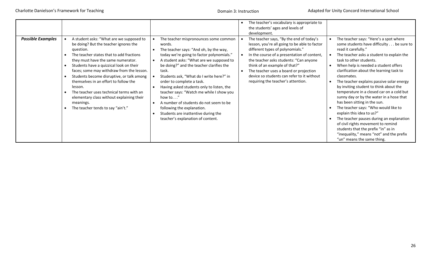|                          |                                                                                                                                                                                                                                                                                                                                                                                                                                                                                                                      |                                                                                                                                                                                                                                                                                                                                                                                                                                                                                                                                                                                     | The teacher's vocabulary is appropriate to<br>the students' ages and levels of<br>development.                                                                                                                                                                                                                                                                                                                  |                                                                                                                                                                                                                                                                                                                                                                                                                                                                                                                                                                                                                                                                                                                                                                              |
|--------------------------|----------------------------------------------------------------------------------------------------------------------------------------------------------------------------------------------------------------------------------------------------------------------------------------------------------------------------------------------------------------------------------------------------------------------------------------------------------------------------------------------------------------------|-------------------------------------------------------------------------------------------------------------------------------------------------------------------------------------------------------------------------------------------------------------------------------------------------------------------------------------------------------------------------------------------------------------------------------------------------------------------------------------------------------------------------------------------------------------------------------------|-----------------------------------------------------------------------------------------------------------------------------------------------------------------------------------------------------------------------------------------------------------------------------------------------------------------------------------------------------------------------------------------------------------------|------------------------------------------------------------------------------------------------------------------------------------------------------------------------------------------------------------------------------------------------------------------------------------------------------------------------------------------------------------------------------------------------------------------------------------------------------------------------------------------------------------------------------------------------------------------------------------------------------------------------------------------------------------------------------------------------------------------------------------------------------------------------------|
| <b>Possible Examples</b> | A student asks: "What are we supposed to<br>be doing? But the teacher ignores the<br>question.<br>The teacher states that to add fractions<br>they must have the same numerator.<br>Students have a quizzical look on their<br>faces; some may withdraw from the lesson.<br>Students become disruptive, or talk among<br>themselves in an effort to follow the<br>lesson.<br>The teacher uses technical terms with an<br>elementary class without explaining their<br>meanings.<br>The teacher tends to say "ain't." | The teacher mispronounces some common<br>words.<br>The teacher says: "And oh, by the way,<br>today we're going to factor polynomials."<br>A student asks: "What are we supposed to<br>be doing?" and the teacher clarifies the<br>task.<br>Students ask, "What do I write here?" in<br>order to complete a task.<br>Having asked students only to listen, the<br>teacher says: "Watch me while I show you<br>how to. $\ldots$ "<br>A number of students do not seem to be<br>following the explanation.<br>Students are inattentive during the<br>teacher's explanation of content. | The teacher says, "By the end of today's<br>lesson, you're all going to be able to factor<br>different types of polynomials."<br>In the course of a presentation of content,<br>$\bullet$<br>the teacher asks students: "Can anyone<br>think of an example of that?"<br>The teacher uses a board or projection<br>$\bullet$<br>device so students can refer to it without<br>requiring the teacher's attention. | The teacher says: "Here's a spot where<br>some students have difficulty be sure to<br>read it carefully."<br>The teacher asks a student to explain the<br>task to other students.<br>When help is needed a student offers<br>clarification about the learning task to<br>classmates.<br>The teacher explains passive solar energy<br>by inviting student to think about the<br>temperature in a closed car on a cold but<br>sunny day or by the water in a hose that<br>has been sitting in the sun.<br>The teacher says: "Who would like to<br>explain this idea to us?"<br>The teacher pauses during an explanation<br>of civil rights movement to remind<br>students that the prefix "in" as in<br>"inequality," means "not" and the prefix<br>"un" means the same thing. |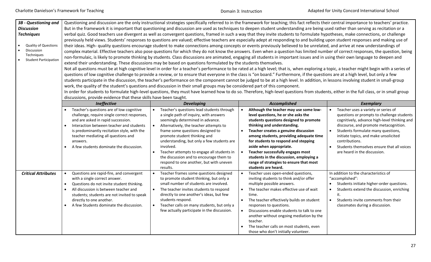| 3B - Questioning and<br><b>Discussion</b><br><b>Techniques</b><br><b>Quality of Questions</b><br>Discussion<br>Techniques<br><b>Student Participation</b> | discussions, provide evidence that these skills have been taught.                                                                                                                                                                                                                                                            | extend their understanding. These discussions may be based on questions formulated by the students themselves.<br>work, the quality of the student's questions and discussion in their small groups may be considered part of this component.                                                                                                                                                                                                    | Questioning and discussion are the only instructional strategies specifically referred to in the framework for teaching; this fact reflects their central importance to teachers' practice.<br>But in the framework it is important that questioning and discussion are used as techniques to deepen student understanding are being used rather than serving as recitation or a<br>verbal quiz. Good teachers use divergent as well as convergent questions, framed in such a way that they invite students to formulate hypotheses, make connections, or challenge<br>previously held views. Students' responses to questions are valued; effective teachers are especially adept at responding to and building upon student responses and making use of<br>their ideas. High- quality questions encourage student to make connections among concepts or events previously believed to be unrelated, and arrive at new understandings of<br>complex material. Effective teachers also pose questions for which they do not know the answers. Even when a question has limited number of correct responses, the question, being<br>non-formulaic, is likely to promote thinking by students. Class discussions are animated, engaging all students in important issues and in using their own language to deepen and<br>Not all questions must be at high cognitive level in order for a teacher's performance to be rated at a high level; that is, when exploring a topic, a teacher might begin with a series of<br>questions of low cognitive challenge to provide a review, or to ensure that everyone in the class is "on board." Furthermore, if the questions are at a high level, but only a few<br>students participate in the discussion, the teacher's performance on the component cannot be judged to be at a high level. In addition, in lessons involving student in small-group<br>In order for students to formulate high-level questions, they must have learned how to do so. Therefore, high-level questions from students, either in the full class, or in small group |                                                                                                                                                                                                                                                                                                                                                           |
|-----------------------------------------------------------------------------------------------------------------------------------------------------------|------------------------------------------------------------------------------------------------------------------------------------------------------------------------------------------------------------------------------------------------------------------------------------------------------------------------------|--------------------------------------------------------------------------------------------------------------------------------------------------------------------------------------------------------------------------------------------------------------------------------------------------------------------------------------------------------------------------------------------------------------------------------------------------|-----------------------------------------------------------------------------------------------------------------------------------------------------------------------------------------------------------------------------------------------------------------------------------------------------------------------------------------------------------------------------------------------------------------------------------------------------------------------------------------------------------------------------------------------------------------------------------------------------------------------------------------------------------------------------------------------------------------------------------------------------------------------------------------------------------------------------------------------------------------------------------------------------------------------------------------------------------------------------------------------------------------------------------------------------------------------------------------------------------------------------------------------------------------------------------------------------------------------------------------------------------------------------------------------------------------------------------------------------------------------------------------------------------------------------------------------------------------------------------------------------------------------------------------------------------------------------------------------------------------------------------------------------------------------------------------------------------------------------------------------------------------------------------------------------------------------------------------------------------------------------------------------------------------------------------------------------------------------------------------------------------------------------------------------------------------------------------------------|-----------------------------------------------------------------------------------------------------------------------------------------------------------------------------------------------------------------------------------------------------------------------------------------------------------------------------------------------------------|
|                                                                                                                                                           | Ineffective                                                                                                                                                                                                                                                                                                                  | <b>Developing</b>                                                                                                                                                                                                                                                                                                                                                                                                                                | Accomplished                                                                                                                                                                                                                                                                                                                                                                                                                                                                                                                                                                                                                                                                                                                                                                                                                                                                                                                                                                                                                                                                                                                                                                                                                                                                                                                                                                                                                                                                                                                                                                                                                                                                                                                                                                                                                                                                                                                                                                                                                                                                                  | <b>Exemplary</b>                                                                                                                                                                                                                                                                                                                                          |
|                                                                                                                                                           | Teacher's questions are of low cognitive<br>challenge, require single correct responses,<br>and are asked in rapid succession.<br>Interaction between teacher and students<br>is predominantly recitation style, with the<br>teacher mediating all questions and<br>answers.<br>A few students dominate the discussion.      | Teacher's questions lead students through<br>a single path of inquiry, with answers<br>seemingly determined in advance.<br>Alternatively, the teacher attempts to<br>frame some questions designed to<br>promote student thinking and<br>understanding, but only a few students are<br>involved.<br>Teacher attempts to engage all students in<br>the discussion and to encourage them to<br>respond to one another, but with uneven<br>results. | Although the teacher may use some low-<br>$\bullet$<br>level questions, he or she asks the<br>students questions designed to promote<br>thinking and understanding.<br>Teacher creates a genuine discussion<br>$\bullet$<br>among students, providing adequate time<br>for students to respond and stepping<br>aside when appropriate.<br>Teacher successfully engages most<br>$\bullet$<br>students in the discussion, employing a<br>range of strategies to ensure that most<br>students are heard.                                                                                                                                                                                                                                                                                                                                                                                                                                                                                                                                                                                                                                                                                                                                                                                                                                                                                                                                                                                                                                                                                                                                                                                                                                                                                                                                                                                                                                                                                                                                                                                         | Teacher uses a variety or series of<br>questions or prompts to challenge students<br>cognitively, advance high-level thinking and<br>discourse, and promote metacognition.<br>Students formulate many questions,<br>initiate topics, and make unsolicited<br>contributions.<br>Students themselves ensure that all voices<br>are heard in the discussion. |
| <b>Critical Attributes</b>                                                                                                                                | Questions are rapid-fire, and convergent<br>$\bullet$<br>with a single correct answer.<br>Questions do not invite student thinking.<br>$\bullet$<br>All discussion is between teacher and<br>$\bullet$<br>students; students are not invited to speak<br>directly to one another.<br>A few Students dominate the discussion. | Teacher frames some questions designed<br>to promote student thinking, but only a<br>small number of students are involved.<br>The teacher invites students to respond<br>$\bullet$<br>directly to one another's ideas, but few<br>students respond.<br>Teacher calls on many students, but only a<br>few actually participate in the discussion.                                                                                                | Teacher uses open-ended questions,<br>$\bullet$<br>inviting students to think and/or offer<br>multiple possible answers.<br>The teacher makes effective use of wait<br>$\bullet$<br>time.<br>The teacher effectively builds on student<br>$\bullet$<br>responses to questions.<br>Discussions enable students to talk to one<br>$\bullet$<br>another without ongoing mediation by the<br>teacher.<br>The teacher calls on most students, even<br>those who don't initially volunteer.                                                                                                                                                                                                                                                                                                                                                                                                                                                                                                                                                                                                                                                                                                                                                                                                                                                                                                                                                                                                                                                                                                                                                                                                                                                                                                                                                                                                                                                                                                                                                                                                         | In addition to the characteristics of<br>"accomplished":<br>Students initiate higher-order questions.<br>Students extend the discussion, enriching<br>it.<br>Students invite comments from their<br>classmates during a discussion.                                                                                                                       |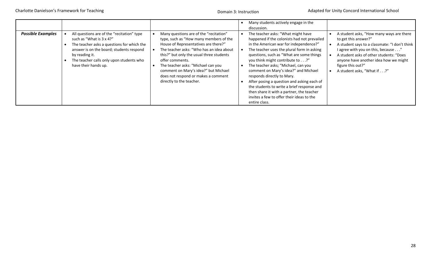|                          |                                                                                                                                                                                                                                                        |                                                                                                                                                                                                                                                                                                                                                                                      | Many students actively engage in the<br>discussion.                                                                                                                                                                                                                                                                                                                                                                                                                                                                                                                                                                                                                                                                                                                                                                                                                            |
|--------------------------|--------------------------------------------------------------------------------------------------------------------------------------------------------------------------------------------------------------------------------------------------------|--------------------------------------------------------------------------------------------------------------------------------------------------------------------------------------------------------------------------------------------------------------------------------------------------------------------------------------------------------------------------------------|--------------------------------------------------------------------------------------------------------------------------------------------------------------------------------------------------------------------------------------------------------------------------------------------------------------------------------------------------------------------------------------------------------------------------------------------------------------------------------------------------------------------------------------------------------------------------------------------------------------------------------------------------------------------------------------------------------------------------------------------------------------------------------------------------------------------------------------------------------------------------------|
| <b>Possible Examples</b> | All questions are of the "recitation" type<br>such as "What is 3 x 4?"<br>The teacher asks a questions for which the<br>answer is on the board; students respond<br>by reading it.<br>The teacher calls only upon students who<br>have their hands up. | Many questions are of the "recitation"<br>type, such as "How many members of the<br>House of Representatives are there?"<br>The teacher asks: "Who has an idea about<br>this?" but only the usual three students<br>offer comments.<br>The teacher asks: "Michael can you<br>comment on Mary's idea?" but Michael<br>does not respond or makes a comment<br>directly to the teacher. | The teacher asks: "What might have<br>A student asks, "How many ways are there<br>happened if the colonists had not prevailed<br>to get this answer?"<br>in the American war for independence?"<br>A student says to a classmate: "I don't think<br>The teacher uses the plural form in asking<br>l agree with you on this, because"<br>questions, such as "What are some things<br>A student asks of other students: "Does<br>you think might contribute to?"<br>anyone have another idea how we might<br>The teacher asks; "Michael, can you<br>figure this out?"<br>comment on Mary's idea?" and Michael<br>A student asks, "What if?"<br>responds directly to Mary.<br>After posing a question and asking each of<br>the students to write a brief response and<br>then share it with a partner, the teacher<br>invites a few to offer their ideas to the<br>entire class. |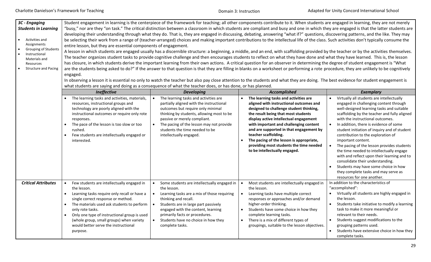#### Domain 3: Instruction

| 3C - Engaging<br><b>Students in Learning</b><br>Activities and<br>Assignments<br><b>Grouping of Students</b><br>Instructional<br>Materials and<br>Resources<br><b>Structure and Pacing</b> | Student engagement in learning is the centerpiece of the framework for teaching; all other components contribute to it. When students are engaged in learning, they are not merely<br>"busy," nor are they "on task." The critical distinction between a classroom in which students are compliant and busy and one in which they are engaged is that the latter students are<br>developing their understanding through what they do. That is, they are engaged in discussing, debating, answering "what if?" questions, discovering patterns, and the like. They may<br>be selecting their work from a range of (teacher-arranged) choices and making important contributions to the intellectual life of the class. Such activities don't typically consume the<br>entire lesson, but they are essential components of engagement.<br>A lesson in which students are engaged usually has a discernible structure: a beginning, a middle, and an end, with scaffolding provided by the teacher or by the activities themselves.<br>The teacher organizes student tasks to provide cognitive challenge and then encourages students to reflect on what they have done and what they have learned. This is, the lesson<br>has closure, in which students derive the important learning from their own actions. A critical question for an observer in determining the degree of student engagement is "What<br>are the students being asked to do?" If the answer to that question is that they are filling in blanks on a worksheet or performing a rote procedure, they are unlikely to be cognitively<br>engaged.<br>In observing a lesson it is essential no only to watch the teacher but also pay close attention to the students and what they are doing. The best evidence for student engagement is<br>what students are saying and doing as a consequence of what the teacher does, or has done, or has planned. |                                                                                                                                                                                                                                                                                                                          |                                                                                                                                                                                                                                                                                                                                                                                                                                                   |                                                                                                                                                                                                                                                                                                                                                                                                                                                                                                                                                                                                                                                                       |  |
|--------------------------------------------------------------------------------------------------------------------------------------------------------------------------------------------|---------------------------------------------------------------------------------------------------------------------------------------------------------------------------------------------------------------------------------------------------------------------------------------------------------------------------------------------------------------------------------------------------------------------------------------------------------------------------------------------------------------------------------------------------------------------------------------------------------------------------------------------------------------------------------------------------------------------------------------------------------------------------------------------------------------------------------------------------------------------------------------------------------------------------------------------------------------------------------------------------------------------------------------------------------------------------------------------------------------------------------------------------------------------------------------------------------------------------------------------------------------------------------------------------------------------------------------------------------------------------------------------------------------------------------------------------------------------------------------------------------------------------------------------------------------------------------------------------------------------------------------------------------------------------------------------------------------------------------------------------------------------------------------------------------------------------------------------------------------------------------------------------------------------------|--------------------------------------------------------------------------------------------------------------------------------------------------------------------------------------------------------------------------------------------------------------------------------------------------------------------------|---------------------------------------------------------------------------------------------------------------------------------------------------------------------------------------------------------------------------------------------------------------------------------------------------------------------------------------------------------------------------------------------------------------------------------------------------|-----------------------------------------------------------------------------------------------------------------------------------------------------------------------------------------------------------------------------------------------------------------------------------------------------------------------------------------------------------------------------------------------------------------------------------------------------------------------------------------------------------------------------------------------------------------------------------------------------------------------------------------------------------------------|--|
|                                                                                                                                                                                            | Ineffective                                                                                                                                                                                                                                                                                                                                                                                                                                                                                                                                                                                                                                                                                                                                                                                                                                                                                                                                                                                                                                                                                                                                                                                                                                                                                                                                                                                                                                                                                                                                                                                                                                                                                                                                                                                                                                                                                                               | <b>Developing</b>                                                                                                                                                                                                                                                                                                        | <b>Accomplished</b>                                                                                                                                                                                                                                                                                                                                                                                                                               | <b>Exemplary</b>                                                                                                                                                                                                                                                                                                                                                                                                                                                                                                                                                                                                                                                      |  |
|                                                                                                                                                                                            | The learning tasks and activities, materials,<br>resources, instructional groups and<br>technology are poorly aligned with the<br>instructional outcomes or require only rote<br>responses.<br>The pace of the lesson is too slow or too<br>rushed.<br>Few students are intellectually engaged or<br>interested.                                                                                                                                                                                                                                                                                                                                                                                                                                                                                                                                                                                                                                                                                                                                                                                                                                                                                                                                                                                                                                                                                                                                                                                                                                                                                                                                                                                                                                                                                                                                                                                                          | The learning tasks and activities are<br>partially aligned with the instructional<br>outcomes but require only minimal<br>thinking by students, allowing most to be<br>passive or merely compliant.<br>The pacing of the lesson may not provide<br>students the time needed to be<br>intellectually engaged.             | The learning tasks and activities are<br>aligned with instructional outcomes and<br>designed to challenge student thinking,<br>the result being that most students<br>display active intellectual engagement<br>with important and challenging content<br>and are supported in that engagement by<br>teacher scaffolding.<br>The pacing of the lesson is appropriate,<br>providing most students the time needed<br>to be intellectually engaged. | Virtually all students are intellectually<br>engaged in challenging content through<br>well-designed learning tasks and suitable<br>scaffolding by the teacher and fully aligned<br>with the instructional outcomes.<br>In addition, there is evidence of some<br>student initiation of inquiry and of student<br>contribution to the exploration of<br>important content.<br>The pacing of the lesson provides students<br>the time needed to intellectually engage<br>with and reflect upon their learning and to<br>consolidate their understanding.<br>Students may have some choice in how<br>they complete tasks and may serve as<br>resources for one another. |  |
| <b>Critical Attributes</b>                                                                                                                                                                 | Few students are intellectually engaged in<br>the lesson.<br>Learning tasks require only recall or have a<br>single correct response or method.<br>The materials used ask students to perform<br>only rote tasks.<br>Only one type of instructional group is used<br>(whole group, small groups) when variety<br>would better serve the instructional<br>purpose.                                                                                                                                                                                                                                                                                                                                                                                                                                                                                                                                                                                                                                                                                                                                                                                                                                                                                                                                                                                                                                                                                                                                                                                                                                                                                                                                                                                                                                                                                                                                                         | Some students are intellectually engaged in<br>the lesson.<br>Learning tasks are a mix of those requiring<br>thinking and recall.<br>Students are in large part passively<br>engaged with the content, learning<br>primarily facts or procedures.<br>Students have no choice in how they<br>$\bullet$<br>complete tasks. | Most students are intellectually engaged in<br>the lesson.<br>Learning tasks have multiple correct<br>$\bullet$<br>responses or approaches and/or demand<br>higher-order thinking.<br>Students have some choice in how they<br>$\bullet$<br>complete learning tasks.<br>There is a mix of different types of<br>$\bullet$<br>groupings, suitable to the lesson objectives.                                                                        | In addition to the characteristics of<br>"accomplished":<br>• Virtually all students are highly engaged in<br>the lesson.<br>Students take initiative to modify a learning<br>task to make it more meaningful or<br>relevant to their needs.<br>Students suggest modifications to the<br>grouping patterns used.<br>Students have extensive choice in how they<br>complete tasks.                                                                                                                                                                                                                                                                                     |  |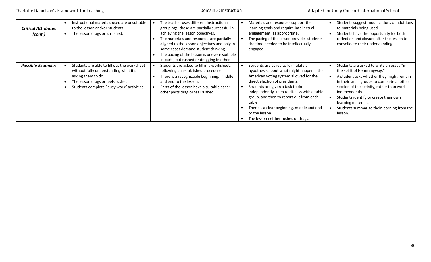| <b>Critical Attributes</b><br>(cont.) | Instructional materials used are unsuitable<br>to the lesson and/or students.<br>The lesson drags or is rushed.                                                                              | The teacher uses different instructional<br>groupings; these are partially successful in<br>achieving the lesson objectives.<br>The materials and resources are partially<br>aligned to the lesson objectives and only in<br>some cases demand student thinking.<br>The pacing of the lesson is uneven- suitable<br>in parts, but rushed or dragging in others. | Materials and resources support the<br>learning goals and require intellectual<br>engagement, as appropriate.<br>The pacing of the lesson provides students<br>the time needed to be intellectually<br>engaged.                                                                                                                                                                                          | Students suggest modifications or additions<br>to materials being used.<br>Students have the opportunity for both<br>reflection and closure after the lesson to<br>consolidate their understanding.                                                                                                                                                     |
|---------------------------------------|----------------------------------------------------------------------------------------------------------------------------------------------------------------------------------------------|-----------------------------------------------------------------------------------------------------------------------------------------------------------------------------------------------------------------------------------------------------------------------------------------------------------------------------------------------------------------|----------------------------------------------------------------------------------------------------------------------------------------------------------------------------------------------------------------------------------------------------------------------------------------------------------------------------------------------------------------------------------------------------------|---------------------------------------------------------------------------------------------------------------------------------------------------------------------------------------------------------------------------------------------------------------------------------------------------------------------------------------------------------|
| <b>Possible Examples</b>              | Students are able to fill out the worksheet<br>without fully understanding what it's<br>asking them to do.<br>The lesson drags or feels rushed.<br>Students complete "busy work" activities. | Students are asked to fill in a worksheet,<br>following an established procedure.<br>There is a recognizable beginning, middle<br>and end to the lesson.<br>Parts of the lesson have a suitable pace:<br>other parts drag or feel rushed.                                                                                                                       | Students are asked to formulate a<br>hypothesis about what might happen if the<br>American voting system allowed for the<br>direct election of presidents.<br>Students are given a task to do<br>independently, then to discuss with a table<br>group, and then to report out from each<br>table.<br>There is a clear beginning, middle and end<br>to the lesson.<br>The lesson neither rushes or drags. | Students are asked to write an essay "in<br>the spirit of Hemmingway."<br>A student asks whether they might remain<br>in their small groups to complete another<br>section of the activity, rather than work<br>independently.<br>Students identify or create their own<br>learning materials.<br>Students summarize their learning from the<br>lesson. |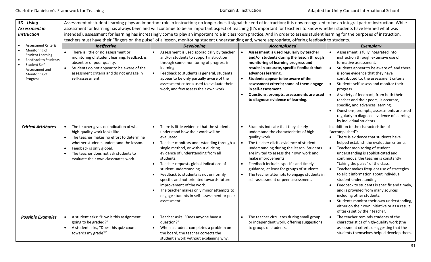Domain 3: Instruction

| 3D - Using<br>Assessment in<br><b>Instruction</b>                                                                                | Assessment of student learning plays an important role in instruction; no longer does it signal the end of instruction; it is now recognized to be an integral part of instruction. While<br>assessment for learning has always been and will continue to be an important aspect of teaching (It's important for teachers to know whether students have learned what was<br>intended), assessment for learning has increasingly come to play an important role in classroom practice. And in order to assess student learning for the purposes of instruction,<br>teachers must have their "fingers on the pulse" of a lesson, monitoring student understanding and, where appropriate, offering feedback to students. |                                                                                                                                                                                                                                                                                                                                                                                                                                                                                                                                                                          |                                                                                                                                                                                                                                                                                                                                                                                                                                                                                           |                                                                                                                                                                                                                                                                                                                                                                                                                                                                                                                                                                                                                                                                                  |  |
|----------------------------------------------------------------------------------------------------------------------------------|------------------------------------------------------------------------------------------------------------------------------------------------------------------------------------------------------------------------------------------------------------------------------------------------------------------------------------------------------------------------------------------------------------------------------------------------------------------------------------------------------------------------------------------------------------------------------------------------------------------------------------------------------------------------------------------------------------------------|--------------------------------------------------------------------------------------------------------------------------------------------------------------------------------------------------------------------------------------------------------------------------------------------------------------------------------------------------------------------------------------------------------------------------------------------------------------------------------------------------------------------------------------------------------------------------|-------------------------------------------------------------------------------------------------------------------------------------------------------------------------------------------------------------------------------------------------------------------------------------------------------------------------------------------------------------------------------------------------------------------------------------------------------------------------------------------|----------------------------------------------------------------------------------------------------------------------------------------------------------------------------------------------------------------------------------------------------------------------------------------------------------------------------------------------------------------------------------------------------------------------------------------------------------------------------------------------------------------------------------------------------------------------------------------------------------------------------------------------------------------------------------|--|
| Assessment Criteria                                                                                                              |                                                                                                                                                                                                                                                                                                                                                                                                                                                                                                                                                                                                                                                                                                                        |                                                                                                                                                                                                                                                                                                                                                                                                                                                                                                                                                                          |                                                                                                                                                                                                                                                                                                                                                                                                                                                                                           |                                                                                                                                                                                                                                                                                                                                                                                                                                                                                                                                                                                                                                                                                  |  |
| Monitoring of<br><b>Student Learning</b><br>Feedback to Students<br>Student Self-<br>Assessment and<br>Monitoring of<br>Progress | <b>Ineffective</b><br>There is little or no assessment or<br>monitoring of student learning; feedback is<br>absent or of poor quality.<br>Students do not appear to be aware of the<br>assessment criteria and do not engage in<br>self-assessment.                                                                                                                                                                                                                                                                                                                                                                                                                                                                    | <b>Developing</b><br>Assessment is used sporadically by teacher<br>and/or students to support instruction<br>through some monitoring of progress in<br>learning.<br>Feedback to students is general, students<br>appear to be only partially aware of the<br>assessment criteria used to evaluate their                                                                                                                                                                                                                                                                  | Accomplished<br>Assessment is used regularly by teacher<br>$\bullet$<br>and/or students during the lesson through<br>monitoring of learning progress and<br>results in accurate, specific feedback that<br>advances learning.<br>Students appear to be aware of the<br>$\bullet$<br>assessment criteria; some of them engage                                                                                                                                                              | <b>Exemplary</b><br>Assessment is fully integrated into<br>$\bullet$<br>instruction through extensive use of<br>formative assessment.<br>Students appear to be aware of, and there<br>is some evidence that they have<br>contributed to, the assessment criteria<br>Students self-assess and monitor their                                                                                                                                                                                                                                                                                                                                                                       |  |
|                                                                                                                                  |                                                                                                                                                                                                                                                                                                                                                                                                                                                                                                                                                                                                                                                                                                                        | work, and few assess their own work.                                                                                                                                                                                                                                                                                                                                                                                                                                                                                                                                     | in self-assessment<br>Questions, prompts, assessments are used<br>$\bullet$<br>to diagnose evidence of learning.                                                                                                                                                                                                                                                                                                                                                                          | progress.<br>A variety of feedback, from both their<br>teacher and their peers, is accurate,<br>specific, and advances learning.<br>Questions, prompts, assessments are used<br>regularly to diagnose evidence of learning<br>by individual students.                                                                                                                                                                                                                                                                                                                                                                                                                            |  |
| <b>Critical Attributes</b>                                                                                                       | The teacher gives no indication of what<br>high-quality work looks like.<br>The teacher makes no effort to determine<br>whether students understand the lesson.<br>Feedback is only global.<br>The teacher does not ask students to<br>$\bullet$<br>evaluate their own classmates work.                                                                                                                                                                                                                                                                                                                                                                                                                                | There is little evidence that the students<br>$\bullet$<br>understand how their work will be<br>evaluated.<br>Teacher monitors understanding through a<br>$\bullet$<br>single method, or without eliciting<br>evidence of understanding from all<br>students.<br>Teacher requests global indications of<br>student understanding.<br>Feedback to students is not uniformly<br>$\bullet$<br>specific and not oriented towards future<br>improvement of the work.<br>The teacher makes only minor attempts to<br>engage students in self-assessment or peer<br>assessment. | Students indicate that they clearly<br>$\bullet$<br>understand the characteristics of high-<br>quality work.<br>The teacher elicits evidence of student<br>$\bullet$<br>understanding during the lesson. Students<br>are invited to assess their own work and<br>make improvements.<br>Feedback includes specific and timely<br>$\bullet$<br>guidance, at least for groups of students.<br>The teacher attempts to engage students in<br>$\bullet$<br>self-assessment or peer assessment. | In addition to the characteristics of<br>"accomplished":<br>There is evidence that students have<br>helped establish the evaluation criteria.<br>Teacher monitoring of student<br>$\bullet$<br>understanding is sophisticated and<br>continuous: the teacher is constantly<br>"taking the pulse" of the class.<br>Teacher makes frequent use of strategies<br>to elicit information about individual<br>student understanding.<br>Feedback to students is specific and timely,<br>and is provided from many sources<br>including other students.<br>Students monitor their own understanding,<br>either on their own initiative or as a result<br>of tasks set by their teacher. |  |
| <b>Possible Examples</b>                                                                                                         | A student asks: "How is this assignment<br>going to be graded?"<br>A student asks, "Does this quiz count<br>$\bullet$<br>towards my grade?"                                                                                                                                                                                                                                                                                                                                                                                                                                                                                                                                                                            | Teacher asks: "Does anyone have a<br>question?"<br>When a student completes a problem on<br>$\bullet$<br>the board, the teacher corrects the<br>student's work without explaining why.                                                                                                                                                                                                                                                                                                                                                                                   | The teacher circulates during small group<br>or independent work, offering suggestions<br>to groups of students.                                                                                                                                                                                                                                                                                                                                                                          | The teacher reminds students of the<br>$\bullet$<br>characteristics of high-quality work (the<br>assessment criteria), suggesting that the<br>students themselves helped develop them.                                                                                                                                                                                                                                                                                                                                                                                                                                                                                           |  |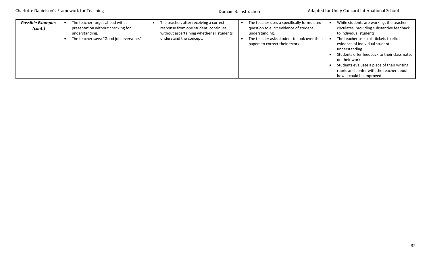| <b>Possible Examples</b><br>(cont.) | The teacher forges ahead with a<br>presentation without checking for<br>understanding.<br>The teacher says: "Good job, everyone." | The teacher, after receiving a correct<br>response from one student, continues<br>without ascertaining whether all students<br>understand the concept. | The teacher uses a specifically formulated<br>question to elicit evidence of student<br>understanding.<br>The teacher asks student to look over their<br>papers to correct their errors | While students are working, the teacher<br>circulates, providing substantive feedback<br>to individual students.<br>The teacher uses exit tickets to elicit<br>evidence of individual student<br>understanding.<br>Students offer feedback to their classmates<br>on their work.<br>Students evaluate a piece of their writing<br>rubric and confer with the teacher about<br>how it could be improved. |
|-------------------------------------|-----------------------------------------------------------------------------------------------------------------------------------|--------------------------------------------------------------------------------------------------------------------------------------------------------|-----------------------------------------------------------------------------------------------------------------------------------------------------------------------------------------|---------------------------------------------------------------------------------------------------------------------------------------------------------------------------------------------------------------------------------------------------------------------------------------------------------------------------------------------------------------------------------------------------------|
|-------------------------------------|-----------------------------------------------------------------------------------------------------------------------------------|--------------------------------------------------------------------------------------------------------------------------------------------------------|-----------------------------------------------------------------------------------------------------------------------------------------------------------------------------------------|---------------------------------------------------------------------------------------------------------------------------------------------------------------------------------------------------------------------------------------------------------------------------------------------------------------------------------------------------------------------------------------------------------|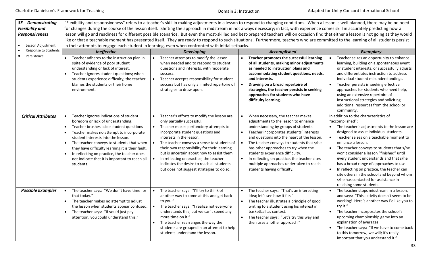Domain 3: Instruction

| 3E - Demonstrating         |                                                                                                                                                                                                                                                                                                                                                                                                                                                  |                                                                                                                                                                                                                                                                                                                                                                                                                                                                    | "Flexibility and responsiveness" refers to a teacher's skill in making adjustments in a lesson to respond to changing conditions. When a lesson is well planned, there may be no need                                                                                                                                                                                                                                                                                                                              |                                                                                                                                                                                                                                                                                                                                                                                                                                                                                                                                                                                           |  |  |  |
|----------------------------|--------------------------------------------------------------------------------------------------------------------------------------------------------------------------------------------------------------------------------------------------------------------------------------------------------------------------------------------------------------------------------------------------------------------------------------------------|--------------------------------------------------------------------------------------------------------------------------------------------------------------------------------------------------------------------------------------------------------------------------------------------------------------------------------------------------------------------------------------------------------------------------------------------------------------------|--------------------------------------------------------------------------------------------------------------------------------------------------------------------------------------------------------------------------------------------------------------------------------------------------------------------------------------------------------------------------------------------------------------------------------------------------------------------------------------------------------------------|-------------------------------------------------------------------------------------------------------------------------------------------------------------------------------------------------------------------------------------------------------------------------------------------------------------------------------------------------------------------------------------------------------------------------------------------------------------------------------------------------------------------------------------------------------------------------------------------|--|--|--|
| <b>Flexibility and</b>     |                                                                                                                                                                                                                                                                                                                                                                                                                                                  |                                                                                                                                                                                                                                                                                                                                                                                                                                                                    | for changes during the course of the lesson itself. Shifting the approach in midstream in not always necessary; in fact, with experience comes skill in accurately predicting how a                                                                                                                                                                                                                                                                                                                                |                                                                                                                                                                                                                                                                                                                                                                                                                                                                                                                                                                                           |  |  |  |
| <b>Responsiveness</b>      |                                                                                                                                                                                                                                                                                                                                                                                                                                                  |                                                                                                                                                                                                                                                                                                                                                                                                                                                                    | lesson will go and readiness for different possible scenarios. But even the most-skilled and best-prepared teachers will on occasion find that either a lesson is not going as they would                                                                                                                                                                                                                                                                                                                          |                                                                                                                                                                                                                                                                                                                                                                                                                                                                                                                                                                                           |  |  |  |
|                            |                                                                                                                                                                                                                                                                                                                                                                                                                                                  | like or that a teachable moment has presented itself. They are ready to respond to such situations. Furthermore, teachers who are committed to the learning of all students persist                                                                                                                                                                                                                                                                                |                                                                                                                                                                                                                                                                                                                                                                                                                                                                                                                    |                                                                                                                                                                                                                                                                                                                                                                                                                                                                                                                                                                                           |  |  |  |
| Lesson Adjustment          |                                                                                                                                                                                                                                                                                                                                                                                                                                                  | in their attempts to engage each student in learning, even when confronted with initial setbacks.                                                                                                                                                                                                                                                                                                                                                                  |                                                                                                                                                                                                                                                                                                                                                                                                                                                                                                                    |                                                                                                                                                                                                                                                                                                                                                                                                                                                                                                                                                                                           |  |  |  |
| Response to Students       | Ineffective                                                                                                                                                                                                                                                                                                                                                                                                                                      | <b>Developing</b>                                                                                                                                                                                                                                                                                                                                                                                                                                                  | <b>Accomplished</b>                                                                                                                                                                                                                                                                                                                                                                                                                                                                                                | <b>Exemplary</b>                                                                                                                                                                                                                                                                                                                                                                                                                                                                                                                                                                          |  |  |  |
| Persistence                | Teacher adheres to the instruction plan in<br>spite of evidence of poor student<br>understanding or lack of interest.<br>Teacher ignores student questions; when<br>students experience difficulty, the teacher<br>blames the students or their home<br>environment.                                                                                                                                                                             | Teacher attempts to modify the lesson<br>when needed and to respond to student<br>questions and interests, with moderate<br>success.<br>Teacher accepts responsibility for student<br>success but has only a limited repertoire of<br>strategies to draw upon.                                                                                                                                                                                                     | Teacher promotes the successful learning<br>of all students, making minor adjustments<br>as needed to instruction plans and<br>accommodating student questions, needs,<br>and interests.<br>$\bullet$<br>Drawing on a broad repertoire of<br>strategies, the teacher persists in seeking                                                                                                                                                                                                                           | Teacher seizes an opportunity to enhance<br>learning, building on a spontaneous event<br>or student interests, or successfully adjusts<br>and differentiates instruction to address<br>individual student misunderstandings.<br>Teacher persists in seeking effective<br>approaches for students who need help,                                                                                                                                                                                                                                                                           |  |  |  |
|                            |                                                                                                                                                                                                                                                                                                                                                                                                                                                  |                                                                                                                                                                                                                                                                                                                                                                                                                                                                    | approaches for students who have<br>difficulty learning.                                                                                                                                                                                                                                                                                                                                                                                                                                                           | using an extensive repertoire of<br>instructional strategies and soliciting<br>additional resources from the school or<br>community.                                                                                                                                                                                                                                                                                                                                                                                                                                                      |  |  |  |
| <b>Critical Attributes</b> | Teacher ignores indications of student<br>boredom or lack of understanding.<br>Teacher brushes aside student questions<br>$\bullet$<br>Teacher makes no attempt to incorporate<br>student interests into the lesson.<br>The teacher conveys to students that when<br>they have difficulty learning it is their fault.<br>In reflecting on practice, the teacher does<br>$\bullet$<br>not indicate that it is important to reach all<br>students. | Teacher's efforts to modify the lesson are<br>only partially successful.<br>Teacher makes perfunctory attempts to<br>incorporate student questions and<br>interests in the lesson.<br>The teacher conveys a sense to students of<br>their own responsibility for their learning<br>but is uncertain about how to assist them.<br>In reflecting on practice, the teacher<br>indicates the desire to reach all students<br>but does not suggest strategies to do so. | When necessary, the teacher makes<br>$\bullet$<br>adjustments to the lesson to enhance<br>understanding by groups of students.<br>Teacher incorporates students' interests<br>$\bullet$<br>and questions into the heart of the lesson.<br>The teacher conveys to students that s/he<br>$\bullet$<br>has other approaches to try when the<br>students experience difficulty.<br>$\bullet$<br>In reflecting on practice, the teacher cites<br>multiple approaches undertaken to reach<br>students having difficulty. | In addition to the characteristics of<br>"accomplished":<br>The teacher's adjustments to the lesson are<br>designed to assist individual students.<br>Teacher seizes on a teachable moment to<br>$\bullet$<br>enhance a lesson.<br>The teacher conveys to students that s/he<br>$\bullet$<br>won't consider a lesson "finished" until<br>every student understands and that s/he<br>has a broad range of approaches to use.<br>In reflecting on practice, the teacher can<br>cite others in the school and beyond whom<br>s/he has contacted for assistance in<br>reaching some students. |  |  |  |
| <b>Possible Examples</b>   | The teacher says: "We don't have time for<br>that today."<br>The teacher makes no attempt to adjust<br>the lesson when students appear confused.<br>The teacher says: "If you'd just pay<br>$\bullet$<br>attention, you could understand this."                                                                                                                                                                                                  | The teacher says: "I'll try to think of<br>another way to come at this and get back<br>to you."<br>The teacher says: "I realize not everyone<br>understands this, but we can't spend any<br>more time on it."<br>The teacher rearranges the way the<br>students are grouped in an attempt to help<br>students understand the lesson.                                                                                                                               | The teacher says: "That's an interesting<br>$\bullet$<br>idea; let's see how it fits."<br>$\bullet$<br>The teacher illustrates a principle of good<br>writing to a student using his interest in<br>basketball as context.<br>The teacher says: "Let's try this way and<br>$\bullet$<br>then uses another approach."                                                                                                                                                                                               | The teacher stops midstream in a lesson,<br>and says: "This activity doesn't seem to be<br>working! Here's another way I'd like you to<br>try it."<br>The teacher incorporates the school's<br>upcoming championship game into an<br>explanation of averages.<br>The teacher says: "If we have to come back<br>$\bullet$<br>to this tomorrow, we will; it's really<br>important that you understand it."                                                                                                                                                                                  |  |  |  |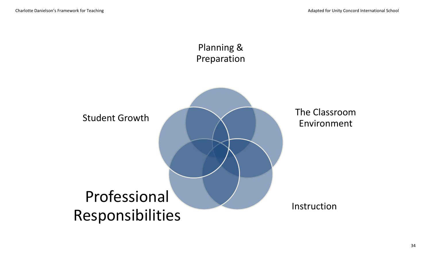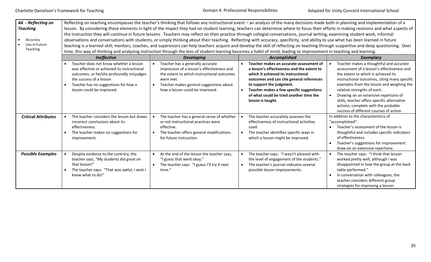| 4A - Reflecting on<br><b>Teaching</b><br>Accuracy<br>$\bullet$<br>Use in Future<br>Teaching | Reflecting on teaching encompasses the teacher's thinking that follows any instructional event - an analysis of the many decisions made both in planning and implementation of a<br>lesson. By considering these elements in light of the impact they had on student learning, teachers can determine where to focus their efforts in making revisions and what aspects of<br>the instruction they will continue in future lessons. Teachers may reflect on their practice through collegial conversations, journal writing, examining student work, informal<br>observations and conversations with students, or simply thinking about their teaching. Reflecting with accuracy, specificity, and ability to use what has been learned in future<br>teaching is a learned skill; mentors, coaches, and supervisors can help teachers acquire and develop the skill of reflecting on teaching through supportive and deep questioning. Over<br>time, this way of thinking and analyzing instruction through the lens of student learning becomes a habit of mind, leading to improvement in teaching and learning. |                                                                                                                                                                                                                         |                                                                                                                                                                                                                                                                                                                                            |                                                                                                                                                                                                                                                                                                                                                                                                                                    |  |
|---------------------------------------------------------------------------------------------|--------------------------------------------------------------------------------------------------------------------------------------------------------------------------------------------------------------------------------------------------------------------------------------------------------------------------------------------------------------------------------------------------------------------------------------------------------------------------------------------------------------------------------------------------------------------------------------------------------------------------------------------------------------------------------------------------------------------------------------------------------------------------------------------------------------------------------------------------------------------------------------------------------------------------------------------------------------------------------------------------------------------------------------------------------------------------------------------------------------------|-------------------------------------------------------------------------------------------------------------------------------------------------------------------------------------------------------------------------|--------------------------------------------------------------------------------------------------------------------------------------------------------------------------------------------------------------------------------------------------------------------------------------------------------------------------------------------|------------------------------------------------------------------------------------------------------------------------------------------------------------------------------------------------------------------------------------------------------------------------------------------------------------------------------------------------------------------------------------------------------------------------------------|--|
|                                                                                             | <b>Ineffective</b>                                                                                                                                                                                                                                                                                                                                                                                                                                                                                                                                                                                                                                                                                                                                                                                                                                                                                                                                                                                                                                                                                                 | <b>Developing</b>                                                                                                                                                                                                       | Accomplished                                                                                                                                                                                                                                                                                                                               | Exemplary                                                                                                                                                                                                                                                                                                                                                                                                                          |  |
|                                                                                             | Teacher does not know whether a lesson<br>was effective or achieved its instructional<br>outcomes, or he/she profoundly misjudges<br>the success of a lesson<br>Teacher has no suggestions for how a<br>lesson could be improved.                                                                                                                                                                                                                                                                                                                                                                                                                                                                                                                                                                                                                                                                                                                                                                                                                                                                                  | Teacher has a generally accurate<br>impression of a lesson's effectiveness and<br>the extent to which instructional outcomes<br>were met.<br>Teacher makes general suggestions about<br>how a lesson could be improved. | Teacher makes an accurate assessment of<br>$\bullet$<br>a lesson's effectiveness and the extent to<br>which it achieved its instructional<br>outcomes and can cite general references<br>to support the judgment.<br>Teacher makes a few specific suggestions<br>$\bullet$<br>of what could be tried another time the<br>lesson is taught. | Teacher makes a thoughtful and accurate<br>assessment of a lesson's effectiveness and<br>the extent to which it achieved its<br>instructional outcomes, citing many specific<br>examples from the lesson and weighing the<br>relative strengths of each.<br>Drawing on an extensive repertoire of<br>skills, teacher offers specific alternative<br>actions, complete with the probable<br>success of different courses of action. |  |
| <b>Critical Attributes</b>                                                                  | The teacher considers the lesson but draws<br>incorrect conclusions about its<br>effectiveness.<br>The teacher makes no suggestions for<br>improvement.                                                                                                                                                                                                                                                                                                                                                                                                                                                                                                                                                                                                                                                                                                                                                                                                                                                                                                                                                            | The teacher has a general sense of whether<br>or not instructional practices were<br>effective.<br>The teacher offers general modifications<br>for future instruction.                                                  | The teacher accurately assesses the<br>effectiveness of instructional activities<br>used.<br>The teacher identifies specific ways in<br>which a lesson might be improved.                                                                                                                                                                  | In addition to the characteristics of<br>"accomplished":<br>Teacher's assessment of the lesson is<br>$\bullet$<br>thoughtful and includes specific indicators<br>of effectiveness.<br>Teacher's suggestions for improvement<br>draw on an extensive repertoire.                                                                                                                                                                    |  |
| <b>Possible Examples</b>                                                                    | Despite evidence to the contrary, the<br>teacher says, "My students did great on<br>that lesson!"<br>The teacher says: "That was awful; I wish I<br>knew what to do!"                                                                                                                                                                                                                                                                                                                                                                                                                                                                                                                                                                                                                                                                                                                                                                                                                                                                                                                                              | At the end of the lesson the teacher says,<br>"I guess that went okay."<br>The teacher says: "I guess I'll try X next<br>time."                                                                                         | The teacher says: "I wasn't pleased with<br>$\bullet$<br>the level of engagement of the students."<br>The teacher's journal indicates several<br>$\bullet$<br>possible lesson improvements.                                                                                                                                                | The teacher says: "I think that lesson<br>worked pretty well, although I was<br>disappointed in how the group at the back<br>table performed."<br>In conversation with colleagues, the<br>teacher considers different group<br>strategies for improving a lesson.                                                                                                                                                                  |  |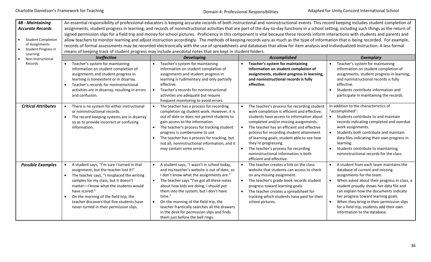| <b>4B</b> - Maintaining<br><b>Accurate Records</b><br><b>Student Completion</b><br>of Assignments<br>Student Progress in<br>Learning | An essential responsibility of professional educators is keeping accurate records of both instructional and noninstructional events. This record keeping includes student completion of<br>assignments, student progress in learning, and records of noninstructional activities that are part of the day-to-day functions in a school setting, including such things as the return of<br>signed permission slips for a field trip and money for school pictures. Proficiency in this component is vital because these records inform interactions with students and parents and<br>allow teachers to monitor learning and adjust instruction accordingly. The methods of keeping records vary as much as the type of information that is being recorded. For example,<br>records of formal assessments may be recorded electronically with the use of spreadsheets and databases that allow for item analysis and individualized instruction. A less formal<br>means of keeping track of student progress may include anecdotal notes that are kept in student folders. |                                                                                                                                                                                                                                                                                                                                                                                                                                                             |                                                                                                                                                                                                                                                                                                                                                                                                                                                                          |                                                                                                                                                                                                                                                                                                                                                                                                            |  |
|--------------------------------------------------------------------------------------------------------------------------------------|--------------------------------------------------------------------------------------------------------------------------------------------------------------------------------------------------------------------------------------------------------------------------------------------------------------------------------------------------------------------------------------------------------------------------------------------------------------------------------------------------------------------------------------------------------------------------------------------------------------------------------------------------------------------------------------------------------------------------------------------------------------------------------------------------------------------------------------------------------------------------------------------------------------------------------------------------------------------------------------------------------------------------------------------------------------------------|-------------------------------------------------------------------------------------------------------------------------------------------------------------------------------------------------------------------------------------------------------------------------------------------------------------------------------------------------------------------------------------------------------------------------------------------------------------|--------------------------------------------------------------------------------------------------------------------------------------------------------------------------------------------------------------------------------------------------------------------------------------------------------------------------------------------------------------------------------------------------------------------------------------------------------------------------|------------------------------------------------------------------------------------------------------------------------------------------------------------------------------------------------------------------------------------------------------------------------------------------------------------------------------------------------------------------------------------------------------------|--|
| Non-Instructional<br>Records                                                                                                         | Ineffective<br>Teacher's system for maintaining                                                                                                                                                                                                                                                                                                                                                                                                                                                                                                                                                                                                                                                                                                                                                                                                                                                                                                                                                                                                                          | <b>Developing</b><br>Teacher's system for maintaining                                                                                                                                                                                                                                                                                                                                                                                                       | <b>Accomplished</b><br>Teacher's system for maintaining<br>$\bullet$                                                                                                                                                                                                                                                                                                                                                                                                     | <b>Exemplary</b><br>Teacher's system for maintaining                                                                                                                                                                                                                                                                                                                                                       |  |
|                                                                                                                                      | information on student completion of<br>assignments and student progress in<br>learning is nonexistent or in disarray.<br>Teacher's records for noninstructional<br>activities are in disarray, resulting in errors<br>and confusion.                                                                                                                                                                                                                                                                                                                                                                                                                                                                                                                                                                                                                                                                                                                                                                                                                                    | information on student completion of<br>assignments and student progress in<br>learning is rudimentary and only partially<br>effective.<br>Teacher's records for noninstructional<br>activities are adequate but require<br>frequent monitoring to avoid errors.                                                                                                                                                                                            | information on student completion of<br>assignments, student progress in learning,<br>and noninstructional records is fully<br>effective.                                                                                                                                                                                                                                                                                                                                | information on student completion of<br>assignments, student progress in learning,<br>and noninstructional records is fully<br>effective.<br>Students contribute information and<br>participate in maintaining the records.                                                                                                                                                                                |  |
| <b>Critical Attributes</b>                                                                                                           | There is no system for either instructional<br>or noninstructional records.<br>The record-keeping systems are in disarray<br>so as to provide incorrect or confusing<br>information.                                                                                                                                                                                                                                                                                                                                                                                                                                                                                                                                                                                                                                                                                                                                                                                                                                                                                     | The teacher has a process for recording<br>completion og student work. However, it is<br>out of date or does not permit students to<br>gain access to the information.<br>The teacher's process for tracking student<br>progress is cumbersome to use.<br>The teacher has a process for tracking, but<br>not all, noninstructional information, and it<br>may contain some errors.                                                                          | The teacher's process for recording student<br>work completion is efficient and effective;<br>students have access to information about<br>completed and/or missing assignments.<br>The teacher has an efficient and effective<br>$\bullet$<br>process for recording student attainment<br>of learning goals; student able to see how<br>they're progressing.<br>The teacher's process for recording<br>noninstructional information is both<br>efficient and effective. | In addition to the characteristics of<br>"accomplished":<br>Students contribute to and maintain<br>records indicating completed and overdue<br>work assignments.<br>Students both contribute and maintain<br>data files indicating their own progress in<br>learning.<br>Students contribute to maintaining<br>noninstructional records for the class.                                                     |  |
| <b>Possible Examples</b>                                                                                                             | A student says, "I'm sure I turned in that<br>assignment, but the teacher lost it!"<br>The teacher says, "I misplaced the writing<br>samples for my class, but it doesn't<br>matter-I know what the students would<br>have scored."<br>On the morning of the field trip, the<br>teacher discovers that five students have<br>never turned in their permission slips.                                                                                                                                                                                                                                                                                                                                                                                                                                                                                                                                                                                                                                                                                                     | A student says, "I wasn't in school today,<br>and my teacher's website is out of date, so<br>I don't know what the assignments are."<br>The teacher says "I've got all these notes<br>about how kids are doing; I should put<br>them into the system, but I don't have<br>time."<br>On the morning of the field trip, the<br>teacher frantically searches all the drawers<br>in the desk for permission slips and finds<br>them just before the bell rings. | $\bullet$<br>The teacher creates a link on the class<br>website that students can access to check<br>on any missing assignment.<br>The teacher's grade book records student<br>progress toward learning goals.<br>The teacher creates a spreadsheet for<br>$\bullet$<br>tracking which students have paid for their<br>school pictures.                                                                                                                                  | A student from each team maintains the<br>database of current and missing<br>assignments for the team.<br>When asked about their progress in class, a<br>student proudly shows her data file and<br>can explain how the documents indicate<br>her progress toward learning goals.<br>When they bring in their permission slips<br>for a field trip, students add their own<br>information to the database. |  |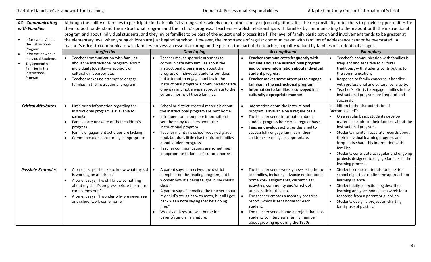| <b>4C - Communicating</b><br>with Families<br><b>Information About</b><br>the Instructional                                       | Although the ability of families to participate in their child's learning varies widely due to other family or job obligations, it is the responsibility of teachers to provide opportunities for<br>them to both understand the instructional program and their child's progress. Teachers establish relationships with families by communicating to them about both the instructional<br>program and about individual students, and they invite families to be part of the educational process itself. The level of family participation and involvement tends to be greater at<br>the elementary level when young children are just beginning school. However, the importance of regular communication with families of adolescence cannot be overstated. A<br>teacher's effort to communicate with families conveys an essential caring on the part on the part of the teacher, a quality valued by families of students of all ages. |                                                                                                                                                                                                                                                                                                                                                                                                            |                                                                                                                                                                                                                                                                                                                                                                                                                                             |                                                                                                                                                                                                                                                                                                                                                                                                                                             |  |
|-----------------------------------------------------------------------------------------------------------------------------------|-------------------------------------------------------------------------------------------------------------------------------------------------------------------------------------------------------------------------------------------------------------------------------------------------------------------------------------------------------------------------------------------------------------------------------------------------------------------------------------------------------------------------------------------------------------------------------------------------------------------------------------------------------------------------------------------------------------------------------------------------------------------------------------------------------------------------------------------------------------------------------------------------------------------------------------------|------------------------------------------------------------------------------------------------------------------------------------------------------------------------------------------------------------------------------------------------------------------------------------------------------------------------------------------------------------------------------------------------------------|---------------------------------------------------------------------------------------------------------------------------------------------------------------------------------------------------------------------------------------------------------------------------------------------------------------------------------------------------------------------------------------------------------------------------------------------|---------------------------------------------------------------------------------------------------------------------------------------------------------------------------------------------------------------------------------------------------------------------------------------------------------------------------------------------------------------------------------------------------------------------------------------------|--|
| Program<br><b>Information About</b><br><b>Individual Students</b><br>Engagement of<br>Families in the<br>Instructional<br>Program | Ineffective<br>Teacher communication with families-<br>about the instructional program, about<br>individual students-is sporadic or<br>culturally inappropriate.<br>Teacher makes no attempt to engage                                                                                                                                                                                                                                                                                                                                                                                                                                                                                                                                                                                                                                                                                                                                    | <b>Developing</b><br>Teacher makes sporadic attempts to<br>communicate with families about the<br>instructional program and about the<br>progress of individual students but does<br>not attempt to engage families in the                                                                                                                                                                                 | Accomplished<br>Teacher communicates frequently with<br>families about the instructional program<br>and conveys information about individual<br>student progress.<br>Teacher makes some attempts to engage<br>$\bullet$                                                                                                                                                                                                                     | <b>Exemplary</b><br>Teacher's communication with families is<br>frequent and sensitive to cultural<br>traditions, with students contributing to<br>the communication.<br>Response to family concerns is handled                                                                                                                                                                                                                             |  |
|                                                                                                                                   | families in the instructional program.                                                                                                                                                                                                                                                                                                                                                                                                                                                                                                                                                                                                                                                                                                                                                                                                                                                                                                    | instructional program. Communications are<br>one-way and not always appropriate to the<br>cultural norms of those families.                                                                                                                                                                                                                                                                                | families in the instructional program.<br>Information to families is conveyed in a<br>$\bullet$<br>culturally appropriate manner.                                                                                                                                                                                                                                                                                                           | with professional and cultural sensitivity.<br>Teacher's efforts to engage families in the<br>instructional program are frequent and<br>successful.                                                                                                                                                                                                                                                                                         |  |
| <b>Critical Attributes</b>                                                                                                        | Little or no information regarding the<br>instructional program is available to<br>parents.<br>Families are unaware of their children's<br>progress.<br>Family engagement activities are lacking.<br>$\bullet$<br>Communication is culturally inappropriate.                                                                                                                                                                                                                                                                                                                                                                                                                                                                                                                                                                                                                                                                              | School or district-created materials about<br>the instructional program are sent home.<br>Infrequent or incomplete information is<br>sent home by teachers about the<br>instructional program.<br>Teacher maintains school-required grade<br>book but does little else to inform families<br>about student progress.<br>Teacher communications are sometimes<br>inappropriate to families' cultural norms. | Information about the instructional<br>$\bullet$<br>program is available on a regular basis.<br>The teacher sends information about<br>$\bullet$<br>student progress home on a regular basis.<br>Teacher develops activities designed to<br>$\bullet$<br>successfully engage families in their<br>children's learning, as appropriate.                                                                                                      | In addition to the characteristics of<br>"accomplished":<br>• On a regular basis, students develop<br>materials to inform their families about the<br>instructional program.<br>Students maintain accurate records about<br>their individual learning progress and<br>frequently share this information with<br>families.<br>Students contribute to regular and ongoing<br>projects designed to engage families in the<br>learning process. |  |
| <b>Possible Examples</b>                                                                                                          | A parent says, "I'd like to know what my kid<br>is working on at school."<br>A parent says, "I wish I knew something<br>$\bullet$<br>about my child's progress before the report<br>card comes out."<br>A parent says, "I wonder why we never see<br>any school work come home."                                                                                                                                                                                                                                                                                                                                                                                                                                                                                                                                                                                                                                                          | A parent says, "I received the district<br>pamphlet on the reading program, but I<br>wonder how it's being taught in my child's<br>class."<br>A parent says, "I emailed the teacher about<br>my child's struggles with math, but all I got<br>back was a note saying that he's doing<br>fine."<br>Weekly quizzes are sent home for<br>parent/guardian signature.                                           | The teacher sends weekly newsletter home<br>to families, including advance notice about<br>homework assignments, current class<br>activities, community and/or school<br>projects, field trips, etc.<br>$\bullet$<br>The teacher creates a monthly progress<br>report, which is sent home for each<br>student.<br>The teacher sends home a project that asks<br>students to interview a family member<br>about growing up during the 1970s. | Students create materials for back-to-<br>school night that outline the approach for<br>learning science.<br>Student daily reflection log describes<br>learning and goes home each week for a<br>response from a parent or guardian.<br>Students design a project on charting<br>family use of plastics.                                                                                                                                    |  |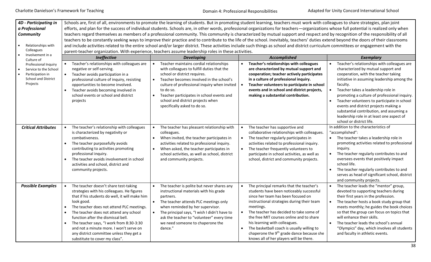| 4D - Participating in<br>a Professional<br>Community<br>Relationships with<br>Colleagues             | Schools are, first of all, environments to promote the learning of students. But in promoting student learning, teachers must work with colleagues to share strategies, plan joint<br>efforts, and plan for the success of individual students. Schools are, in other words, professional organizations for teachers - organizations whose full potential is realized only when<br>teachers regard themselves as members of a professional community. This community is characterized by mutual support and respect and by recognition of the responsibility of all<br>teachers to be constantly seeking ways to improve their practice and to contribute to the life of the school. Inevitably, teachers' duties extend beyond the doors of their classrooms<br>and include activities related to the entire school and/or larger district. These activities include such things as school and district curriculum committees or engagement with the<br>parent-teacher organization. With experience, teachers assume leadership roles in these activities. |                                                                                                                                                                                                                                                                                                                                                  |                                                                                                                                                                                                                                                                                                                                                                                                                                                                              |                                                                                                                                                                                                                                                                                                                                                                                                                                                                                          |  |  |
|------------------------------------------------------------------------------------------------------|--------------------------------------------------------------------------------------------------------------------------------------------------------------------------------------------------------------------------------------------------------------------------------------------------------------------------------------------------------------------------------------------------------------------------------------------------------------------------------------------------------------------------------------------------------------------------------------------------------------------------------------------------------------------------------------------------------------------------------------------------------------------------------------------------------------------------------------------------------------------------------------------------------------------------------------------------------------------------------------------------------------------------------------------------------------|--------------------------------------------------------------------------------------------------------------------------------------------------------------------------------------------------------------------------------------------------------------------------------------------------------------------------------------------------|------------------------------------------------------------------------------------------------------------------------------------------------------------------------------------------------------------------------------------------------------------------------------------------------------------------------------------------------------------------------------------------------------------------------------------------------------------------------------|------------------------------------------------------------------------------------------------------------------------------------------------------------------------------------------------------------------------------------------------------------------------------------------------------------------------------------------------------------------------------------------------------------------------------------------------------------------------------------------|--|--|
| Involvement in a<br>Culture of                                                                       | Ineffective                                                                                                                                                                                                                                                                                                                                                                                                                                                                                                                                                                                                                                                                                                                                                                                                                                                                                                                                                                                                                                                  | <b>Developing</b>                                                                                                                                                                                                                                                                                                                                | Accomplished                                                                                                                                                                                                                                                                                                                                                                                                                                                                 | <b>Exemplary</b>                                                                                                                                                                                                                                                                                                                                                                                                                                                                         |  |  |
| Professional Inquiry<br>Service to the School<br>Participation in<br>School and District<br>Projects | Teacher's relationships with colleagues are<br>negative or self-serving.<br>Teacher avoids participation in a<br>$\bullet$<br>professional culture of inquiry, resisting<br>opportunities to become involved.<br>Teacher avoids becoming involved in<br>$\bullet$<br>school events or school and district<br>projects                                                                                                                                                                                                                                                                                                                                                                                                                                                                                                                                                                                                                                                                                                                                        | Teacher maintains cordial relationships<br>with colleagues to fulfill duties that the<br>school or district requires.<br>Teacher becomes involved in the school's<br>culture of professional inquiry when invited<br>to do so.<br>Teacher participates in school events and<br>school and district projects when<br>specifically asked to do so. | Teacher's relationships with colleagues<br>are characterized by mutual support and<br>cooperation; teacher actively participates<br>in a culture of professional inquiry.<br>Teacher volunteers to participate in school<br>events and in school and district projects,<br>making a substantial contribution.                                                                                                                                                                | Teacher's relationships with colleagues are<br>characterized by mutual support and<br>cooperation, with the teacher taking<br>initiative in assuming leadership among the<br>faculty.<br>Teacher takes a leadership role in<br>promoting a culture of professional inquiry.<br>Teacher volunteers to participate in school<br>events and district projects making a<br>substantial contribution, and assuming a<br>leadership role in at least one aspect of<br>school or district life. |  |  |
| <b>Critical Attributes</b>                                                                           | The teacher's relationship with colleagues<br>$\bullet$<br>is characterized by negativity or<br>combativeness.<br>The teacher purposefully avoids<br>$\bullet$<br>contributing to activities promoting<br>professional inquiry.<br>The teacher avoids involvement in school<br>$\bullet$<br>activities and school, district and<br>community projects.                                                                                                                                                                                                                                                                                                                                                                                                                                                                                                                                                                                                                                                                                                       | The teacher has pleasant relationship with<br>colleagues.<br>When invited, the teacher participates in<br>activities related to professional inquiry.<br>When asked, the teacher participates in<br>school activities, as well as school, district<br>and community projects.                                                                    | The teacher has supportive and<br>$\bullet$<br>collaborative relationships with colleagues.<br>The teacher regularly participates in<br>$\bullet$<br>activities related to professional inquiry.<br>The teacher frequently volunteers to<br>$\bullet$<br>participate in school activities, as well as<br>school, district and community projects.                                                                                                                            | In addition to the characteristics of<br>"accomplished":<br>• The teacher takes a leadership role in<br>promoting activities related to professional<br>inguiry.<br>The teacher regularly contributes to and<br>oversees events that positively impact<br>school life.<br>The teacher regularly contributes to and<br>serves as head of significant school, district<br>and community projects.                                                                                          |  |  |
| <b>Possible Examples</b>                                                                             | The teacher doesn't share test-taking<br>strategies with his colleagues. He figures<br>that if his students do well, it will make him<br>look good.<br>The teacher does not attend PLC meetings.<br>The teacher does not attend any school<br>$\bullet$<br>function after the dismissal bell.<br>The teacher says, "I work from 8:30-3:30<br>$\bullet$<br>and not a minute more. I won't serve on<br>any district committee unless they get a<br>substitute to cover my class".                                                                                                                                                                                                                                                                                                                                                                                                                                                                                                                                                                              | The teacher is polite but never shares any<br>instructional materials with his grade<br>partners.<br>The teacher attends PLC meetings only<br>when reminded by her supervisor.<br>The principal says, "I wish I didn't have to<br>ask the teacher to "volunteer" every time<br>we need someone to chaperone the<br>dance."                       | The principal remarks that the teacher's<br>students have been noticeably successful<br>since her team has been focused on<br>instructional strategies during their team<br>meetings.<br>The teacher has decided to take some of<br>$\bullet$<br>the free MIT courses online and to share<br>his learning with colleagues.<br>The basketball coach is usually willing to<br>chaperone the 9 <sup>th</sup> grade dance because she<br>knows all of her players will be there. | The teacher leads the "mentor" group,<br>devoted to supporting teachers during<br>their first years in the profession.<br>The teacher hosts a book study group that<br>meets monthly; he guides the book choices<br>so that the group can focus on topics that<br>will enhance their skills.<br>The teacher leads the school's annual<br>"Olympics" day, which involves all students<br>and faculty in athletic events.                                                                  |  |  |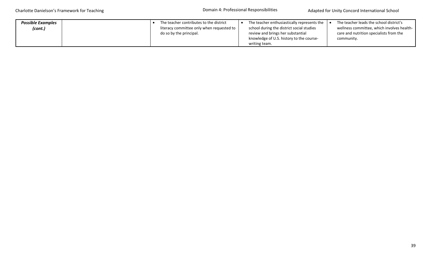Domain 4: Professional Responsibilities

| <b>Possible Examples</b> |  | The teacher contributes to the district   | The teacher enthusiastically represents the | The teacher leads the school district's    |
|--------------------------|--|-------------------------------------------|---------------------------------------------|--------------------------------------------|
| (cont.)                  |  | literacy committee only when requested to | school during the district social studies   | wellness committee, which involves health- |
|                          |  | do so by the principal.                   | review and brings her substantial           | care and nutrition specialists from the    |
|                          |  |                                           | knowledge of U.S. history to the course-    | community.                                 |
|                          |  |                                           | writing team.                               |                                            |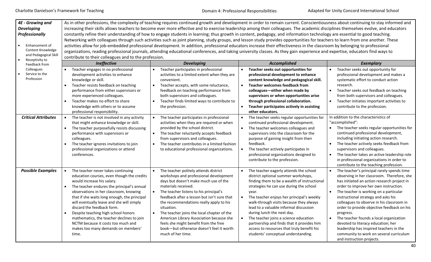| <b>4E - Growing and</b><br><b>Developing</b><br>Professionally<br>Enhancement of<br>Content Knowledge<br>and Pedagogical Skill<br>Receptivity to | As in other professions, the complexity of teaching requires continued growth and development in order to remain current. Conscientiousness about continuing to stay informed and<br>increasing their skills allows teachers to become ever more effective and to exercise leadership among their colleagues. The academic disciplines themselves evolve, and educators<br>constantly refine their understanding of how to engage students in learning; thus growth in content, pedagogy, and information technology are essential to good teaching.<br>Networking with colleagues through such activities such as joint planning, study groups, and lesson study provides opportunities for teachers to learn from one another. These<br>activities allow for job-embedded professional development. In addition, professional educators increase their effectiveness in the classroom by belonging to professional<br>organizations, reading professional journals, attending educational conferences, and taking university classes. As they gain experience and expertise, educators find ways to<br>contribute to their colleagues and to the profession. |                                                                                                                                                                                                                                                                                                                      |                                                                                                                                                                                                                                                                                                                                                                        |                                                                                                                                                                                                                                                                                                                                                                             |  |
|--------------------------------------------------------------------------------------------------------------------------------------------------|----------------------------------------------------------------------------------------------------------------------------------------------------------------------------------------------------------------------------------------------------------------------------------------------------------------------------------------------------------------------------------------------------------------------------------------------------------------------------------------------------------------------------------------------------------------------------------------------------------------------------------------------------------------------------------------------------------------------------------------------------------------------------------------------------------------------------------------------------------------------------------------------------------------------------------------------------------------------------------------------------------------------------------------------------------------------------------------------------------------------------------------------------------------|----------------------------------------------------------------------------------------------------------------------------------------------------------------------------------------------------------------------------------------------------------------------------------------------------------------------|------------------------------------------------------------------------------------------------------------------------------------------------------------------------------------------------------------------------------------------------------------------------------------------------------------------------------------------------------------------------|-----------------------------------------------------------------------------------------------------------------------------------------------------------------------------------------------------------------------------------------------------------------------------------------------------------------------------------------------------------------------------|--|
| Feedback from                                                                                                                                    | <b>Ineffective</b>                                                                                                                                                                                                                                                                                                                                                                                                                                                                                                                                                                                                                                                                                                                                                                                                                                                                                                                                                                                                                                                                                                                                             | <b>Developing</b>                                                                                                                                                                                                                                                                                                    | <b>Accomplished</b>                                                                                                                                                                                                                                                                                                                                                    | <b>Exemplary</b>                                                                                                                                                                                                                                                                                                                                                            |  |
| Colleagues                                                                                                                                       | Teacher engages in no professional                                                                                                                                                                                                                                                                                                                                                                                                                                                                                                                                                                                                                                                                                                                                                                                                                                                                                                                                                                                                                                                                                                                             | Teacher participates in professional                                                                                                                                                                                                                                                                                 | Teacher seeks out opportunities for<br>$\bullet$                                                                                                                                                                                                                                                                                                                       | Teacher seeks out opportunity for                                                                                                                                                                                                                                                                                                                                           |  |
| Service to the<br>Profession                                                                                                                     | development activities to enhance<br>knowledge or skill.                                                                                                                                                                                                                                                                                                                                                                                                                                                                                                                                                                                                                                                                                                                                                                                                                                                                                                                                                                                                                                                                                                       | activities to a limited extent when they are<br>convenient.                                                                                                                                                                                                                                                          | professional development to enhance<br>content knowledge and pedagogical skill.                                                                                                                                                                                                                                                                                        | professional development and makes a<br>systematic effort to conduct action                                                                                                                                                                                                                                                                                                 |  |
|                                                                                                                                                  | Teacher resists feedback on teaching                                                                                                                                                                                                                                                                                                                                                                                                                                                                                                                                                                                                                                                                                                                                                                                                                                                                                                                                                                                                                                                                                                                           | Teacher accepts, with some reluctance,                                                                                                                                                                                                                                                                               | <b>Teacher welcomes feedback from</b><br>$\bullet$                                                                                                                                                                                                                                                                                                                     | research.                                                                                                                                                                                                                                                                                                                                                                   |  |
|                                                                                                                                                  | performance from either supervisors or                                                                                                                                                                                                                                                                                                                                                                                                                                                                                                                                                                                                                                                                                                                                                                                                                                                                                                                                                                                                                                                                                                                         | feedback on teaching performance from                                                                                                                                                                                                                                                                                | colleagues-either when made by                                                                                                                                                                                                                                                                                                                                         | Teacher seeks out feedback on teaching                                                                                                                                                                                                                                                                                                                                      |  |
|                                                                                                                                                  | more experienced colleagues.                                                                                                                                                                                                                                                                                                                                                                                                                                                                                                                                                                                                                                                                                                                                                                                                                                                                                                                                                                                                                                                                                                                                   | both supervisors and colleagues.                                                                                                                                                                                                                                                                                     | supervisors or when opportunities arise                                                                                                                                                                                                                                                                                                                                | from both supervisors and colleagues.                                                                                                                                                                                                                                                                                                                                       |  |
|                                                                                                                                                  | Teacher makes no effort to share                                                                                                                                                                                                                                                                                                                                                                                                                                                                                                                                                                                                                                                                                                                                                                                                                                                                                                                                                                                                                                                                                                                               | Teacher finds limited ways to contribute to                                                                                                                                                                                                                                                                          | through professional collaboration.                                                                                                                                                                                                                                                                                                                                    | Teacher initiates important activities to                                                                                                                                                                                                                                                                                                                                   |  |
|                                                                                                                                                  | knowledge with others or to assume                                                                                                                                                                                                                                                                                                                                                                                                                                                                                                                                                                                                                                                                                                                                                                                                                                                                                                                                                                                                                                                                                                                             | the profession.                                                                                                                                                                                                                                                                                                      | $\bullet$<br>Teacher participates actively in assisting                                                                                                                                                                                                                                                                                                                | contribute to the profession.                                                                                                                                                                                                                                                                                                                                               |  |
|                                                                                                                                                  | professional responsibility.                                                                                                                                                                                                                                                                                                                                                                                                                                                                                                                                                                                                                                                                                                                                                                                                                                                                                                                                                                                                                                                                                                                                   |                                                                                                                                                                                                                                                                                                                      | other educators.                                                                                                                                                                                                                                                                                                                                                       |                                                                                                                                                                                                                                                                                                                                                                             |  |
| <b>Critical Attributes</b>                                                                                                                       | The teacher is not involved in any activity<br>that might enhance knowledge or skill.<br>The teacher purposefully resists discussing<br>$\bullet$<br>performance with supervisors or<br>colleagues.<br>The teacher ignores invitations to join<br>professional organizations or attend<br>conferences.                                                                                                                                                                                                                                                                                                                                                                                                                                                                                                                                                                                                                                                                                                                                                                                                                                                         | The teacher participates in professional<br>activities when they are required or when<br>provided by the school district.<br>The teacher reluctantly accepts feedback<br>$\bullet$<br>from supervisors and colleagues.<br>The teacher contributes in a limited fashion<br>to educational professional organizations. | The teacher seeks regular opportunities for<br>continued professional development.<br>$\bullet$<br>The teacher welcomes colleagues and<br>supervisors into the classroom for the<br>purpose of gaining insight from their<br>feedback.<br>$\bullet$<br>The teacher actively participates in<br>professional organizations designed to<br>contribute to the profession. | In addition to the characteristics of<br>"accomplished":<br>The teacher seeks regular opportunities for<br>continued professional development,<br>including initiating action research.<br>The teacher actively seeks feedback from<br>supervisors and colleagues.<br>The teacher takes an active leadership role<br>$\bullet$<br>in professional organizations in order to |  |
|                                                                                                                                                  |                                                                                                                                                                                                                                                                                                                                                                                                                                                                                                                                                                                                                                                                                                                                                                                                                                                                                                                                                                                                                                                                                                                                                                |                                                                                                                                                                                                                                                                                                                      |                                                                                                                                                                                                                                                                                                                                                                        | contribute to the teaching profession.                                                                                                                                                                                                                                                                                                                                      |  |
| <b>Possible Examples</b>                                                                                                                         | The teacher never takes continuing<br>education courses, even though the credits<br>would increase his salary.<br>The teacher endures the principal's annual<br>observations in her classroom, knowing                                                                                                                                                                                                                                                                                                                                                                                                                                                                                                                                                                                                                                                                                                                                                                                                                                                                                                                                                         | The teacher politely attends district<br>workshops and professional development<br>days but doesn't make much use of the<br>materials received.<br>The teacher listens to his principal's                                                                                                                            | The teacher eagerly attends the school<br>district optional summer workshops,<br>finding them to be a wealth of instructional<br>strategies he can use during the school<br>vear.                                                                                                                                                                                      | The teacher's principal rarely spends time<br>observing in her classroom. Therefore, she<br>has initiated an action research project in<br>order to improve her own instruction.<br>The teacher is working on a particular                                                                                                                                                  |  |
|                                                                                                                                                  | that if she waits long enough, the principal<br>will eventually leave and she will simply<br>discard the feedback form.<br>Despite teaching high school honors<br>$\bullet$<br>mathematics, the teacher declines to join                                                                                                                                                                                                                                                                                                                                                                                                                                                                                                                                                                                                                                                                                                                                                                                                                                                                                                                                       | feedback after a lesson but isn't sure that<br>the recommendations really apply to his<br>situation.<br>The teacher joins the local chapter of the<br>American Library Association because she                                                                                                                       | The teacher enjoys her principal's weekly<br>$\bullet$<br>walk-through visits because they always<br>lead to a valuable informal discussion<br>during lunch the next day.<br>$\bullet$<br>The teacher joins a science education                                                                                                                                        | instructional strategy and asks his<br>colleagues to observe in his classroom in<br>order to provide objective feedback on his<br>progress.<br>The teacher founds a local organization                                                                                                                                                                                      |  |
|                                                                                                                                                  | NCTM because it costs too much and<br>makes too many demands on members'<br>time.                                                                                                                                                                                                                                                                                                                                                                                                                                                                                                                                                                                                                                                                                                                                                                                                                                                                                                                                                                                                                                                                              | feels she might benefit from the free<br>book-but otherwise doesn't feel it worth<br>much of her time.                                                                                                                                                                                                               | partnership and finds that it provides him<br>access to resources that truly benefit his<br>students' conceptual understanding.                                                                                                                                                                                                                                        | devoted to literacy education; her<br>leadership has inspired teachers in the<br>community to work on several curriculum<br>and instruction projects.                                                                                                                                                                                                                       |  |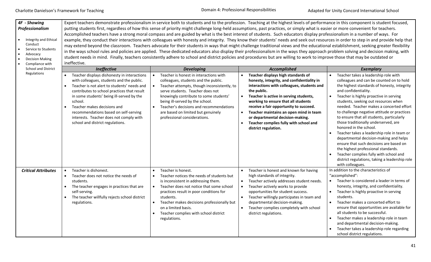| 4F - Showing<br>Professionalism<br>Integrity and Ethical<br>Conduct<br>Service to Students<br>Advocacy<br><b>Decision Making</b><br>Compliance with | Expert teachers demonstrate professionalism in service both to students and to the profession. Teaching at the highest levels of performance in this component is student focused,<br>putting students first, regardless of how this sense of priority might challenge long-held assumptions, past practices, or simply what is easier or more convenient for teachers.<br>Accomplished teachers have a strong moral compass and are guided by what is the best interest of students. Such educators display professionalism in a number of ways. For<br>example, they conduct their interactions with colleagues with honesty and integrity. They know their students' needs and seek out resources in order to step in and provide help that<br>may extend beyond the classroom. Teachers advocate for their students in ways that might challenge traditional views and the educational establishment, seeking greater flexibility<br>in the ways school rules and policies are applied. These dedicated educators also display their professionalism in the ways they approach problem solving and decision making, with<br>student needs in mind. Finally, teachers consistently adhere to school and district policies and procedures but are willing to work to improve those that may be outdated or<br>ineffective. |                                                                                                                                                                                                                                                                                                                                                                 |                                                                                                                                                                                                                                                                                                                                                                                                                          |                                                                                                                                                                                                                                                                                                                                                                                                                                                                                                                                                                                                                                                                                                                                               |  |
|-----------------------------------------------------------------------------------------------------------------------------------------------------|------------------------------------------------------------------------------------------------------------------------------------------------------------------------------------------------------------------------------------------------------------------------------------------------------------------------------------------------------------------------------------------------------------------------------------------------------------------------------------------------------------------------------------------------------------------------------------------------------------------------------------------------------------------------------------------------------------------------------------------------------------------------------------------------------------------------------------------------------------------------------------------------------------------------------------------------------------------------------------------------------------------------------------------------------------------------------------------------------------------------------------------------------------------------------------------------------------------------------------------------------------------------------------------------------------------------------|-----------------------------------------------------------------------------------------------------------------------------------------------------------------------------------------------------------------------------------------------------------------------------------------------------------------------------------------------------------------|--------------------------------------------------------------------------------------------------------------------------------------------------------------------------------------------------------------------------------------------------------------------------------------------------------------------------------------------------------------------------------------------------------------------------|-----------------------------------------------------------------------------------------------------------------------------------------------------------------------------------------------------------------------------------------------------------------------------------------------------------------------------------------------------------------------------------------------------------------------------------------------------------------------------------------------------------------------------------------------------------------------------------------------------------------------------------------------------------------------------------------------------------------------------------------------|--|
|                                                                                                                                                     | <b>Ineffective</b>                                                                                                                                                                                                                                                                                                                                                                                                                                                                                                                                                                                                                                                                                                                                                                                                                                                                                                                                                                                                                                                                                                                                                                                                                                                                                                           | <b>Developing</b>                                                                                                                                                                                                                                                                                                                                               | Accomplished                                                                                                                                                                                                                                                                                                                                                                                                             | <b>Exemplary</b>                                                                                                                                                                                                                                                                                                                                                                                                                                                                                                                                                                                                                                                                                                                              |  |
| <b>School and District</b><br>Regulations                                                                                                           | Teacher displays dishonesty in interactions<br>with colleagues, students and the public.<br>Teacher is not alert to students' needs and<br>$\bullet$<br>contributes to school practices that result<br>in some students' being ill-served by the<br>school.<br>Teacher makes decisions and<br>$\bullet$<br>recommendations based on self-serving<br>interests. Teacher does not comply with<br>school and district regulations.                                                                                                                                                                                                                                                                                                                                                                                                                                                                                                                                                                                                                                                                                                                                                                                                                                                                                              | Teacher is honest in interactions with<br>colleagues, students and the public.<br>Teacher attempts, though inconsistently, to<br>serve students. Teacher does not<br>knowingly contribute to some students'<br>being ill-served by the school.<br>Teacher's decisions and recommendations<br>are based on limited but genuinely<br>professional considerations. | Teacher displays high standards of<br>honesty, integrity, and confidentiality in<br>interactions with colleagues, students and<br>the public.<br>Teacher is active in serving students,<br>working to ensure that all students<br>receive a fair opportunity to succeed.<br>Teacher maintains an open mind in team<br>or departmental decision-making.<br>Teacher complies fully with school and<br>district regulation. | Teacher takes a leadership role with<br>colleagues and can be counted on to hold<br>the highest standards of honesty, integrity<br>and confidentiality.<br>Teacher is highly proactive in serving<br>students, seeking out resources when<br>needed. Teacher makes a concerted effort<br>to challenge negative attitude or practices<br>to ensure that all students, particularly<br>those traditionally underserved, are<br>honored in the school.<br>Teacher takes a leadership role in team or<br>departmental decision-making and helps<br>ensure that such decisions are based on<br>the highest professional standards.<br>Teacher complies fully with school and<br>district regulations, taking a leadership role<br>with colleagues. |  |
| <b>Critical Attributes</b>                                                                                                                          | Teacher is dishonest.<br>$\bullet$                                                                                                                                                                                                                                                                                                                                                                                                                                                                                                                                                                                                                                                                                                                                                                                                                                                                                                                                                                                                                                                                                                                                                                                                                                                                                           | Teacher is honest.                                                                                                                                                                                                                                                                                                                                              | Teacher is honest and known for having                                                                                                                                                                                                                                                                                                                                                                                   | In addition to the characteristics of                                                                                                                                                                                                                                                                                                                                                                                                                                                                                                                                                                                                                                                                                                         |  |
|                                                                                                                                                     | Teacher does not notice the needs of<br>$\bullet$<br>students.<br>The teacher engages in practices that are<br>$\bullet$<br>self-serving.<br>The teacher willfully rejects school district<br>regulations.                                                                                                                                                                                                                                                                                                                                                                                                                                                                                                                                                                                                                                                                                                                                                                                                                                                                                                                                                                                                                                                                                                                   | Teacher notices the needs of students but<br>is inconsistent in addressing them.<br>Teacher does not notice that some school<br>$\bullet$<br>practices result in poor conditions for<br>students.<br>Teacher makes decisions professionally but<br>on a limited basis.<br>Teacher complies with school district<br>regulations.                                 | high standards of integrity.<br>$\bullet$<br>Teacher actively addresses student needs.<br>Teacher actively works to provide<br>$\bullet$<br>opportunities for student success.<br>$\bullet$<br>Teacher willingly participates in team and<br>departmental decision-making.<br>Teacher complies completely with school<br>district regulations.                                                                           | "accomplished":<br>• Teacher is considered a leader in terms of<br>honesty, integrity, and confidentiality.<br>Teacher is highly proactive in serving<br>$\bullet$<br>students.<br>Teacher makes a concerted effort to<br>ensure that opportunities are available for<br>all students to be successful.<br>Teacher makes a leadership role in team<br>and departmental decision-making.<br>Teacher takes a leadership role regarding<br>school district regulations.                                                                                                                                                                                                                                                                          |  |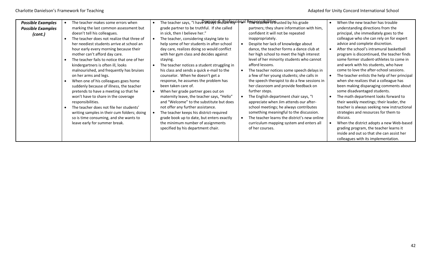| <b>Possible Examples</b> | The teacher makes some errors when          | The teacher says, "I have always this Wafes sidnal | l R <del>pန</del> စ္ <b>လည်းခြမ်း tie</b> arusted by his grade | When the new teacher has trouble              |
|--------------------------|---------------------------------------------|----------------------------------------------------|----------------------------------------------------------------|-----------------------------------------------|
| <b>Possible Examples</b> | marking the last common assessment but      | grade partner to be truthful. If she called        | partners; they share information with him,                     | understanding directions from the             |
| (cont.)                  | doesn't tell his colleagues.                | in sick, then I believe her."                      | confident it will not be repeated                              | principal, she immediately goes to the        |
|                          | The teacher does not realize that three of  | The teacher, considering staying late to           | inappropriately.                                               | colleague who she can rely on for expert      |
|                          | her neediest students arrive at school an   | help some of her students in after-school          | Despite her lack of knowledge about                            | advice and complete discretion.               |
|                          | hour early every morning because their      | day care, realizes doing so would conflict         | dance, the teacher forms a dance club at                       | After the school's intramural basketball      |
|                          | mother can't afford day care.               | with her gym class and decides against             | her high school to meet the high interest                      | program is discontinued, the teacher finds    |
|                          | The teacher fails to notice that one of her | staying.                                           | level of her minority students who cannot                      | some former student-athletes to come in       |
|                          | kindergartners is often ill, looks          | The teacher notices a student struggling in        | afford lessons.                                                | and work with his students, who have          |
|                          | malnourished, and frequently has bruises    | his class and sends a quick e-mail to the          | The teacher notices some speech delays in                      | come to love the after-school sessions.       |
|                          | on her arms and legs.                       | counselor. When he doesn't get a                   | a few of her young students; she calls in                      | The teacher enlists the help of her principal |
|                          | When one of his colleagues goes home        | response, he assumes the problem has               | the speech therapist to do a few sessions in                   | when she realizes that a colleague has        |
|                          | suddenly because of illness, the teacher    | been taken care of.                                | her classroom and provide feedback on                          | been making disparaging comments about        |
|                          | pretends to have a meeting so that he       | When her grade partner goes out on                 | further steps.                                                 | some disadvantaged students.                  |
|                          | won't have to share in the coverage         | maternity leave, the teacher says, "Hello"         | The English department chair says, "I                          | The math department looks forward to          |
|                          | responsibilities.                           | and "Welcome" to the substitute but does           | appreciate when Jim attends our after-                         | their weekly meetings; their leader, the      |
|                          | The teacher does not file her students'     | not offer any further assistance.                  | school meetings; he always contributes                         | teacher is always seeking new instructional   |
|                          | writing samples in their cum folders; doing | The teacher keeps his district-required            | something meaningful to the discussion.                        | strategies and resources for them to          |
|                          | so is time consuming, and she wants to      | grade book up to date, but enters exactly          | The teacher learns the district's new online                   | discuss.                                      |
|                          | leave early for summer break.               | the minimum number of assignments                  | curriculum mapping system and enters all                       | When the district adopts a new Web-based      |
|                          |                                             | specified by his department chair.                 | of her courses.                                                | grading program, the teacher learns it        |
|                          |                                             |                                                    |                                                                | inside and out so that she can assist her     |
|                          |                                             |                                                    |                                                                | colleagues with its implementation.           |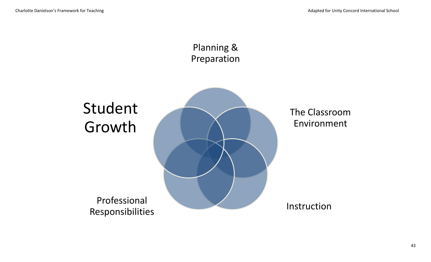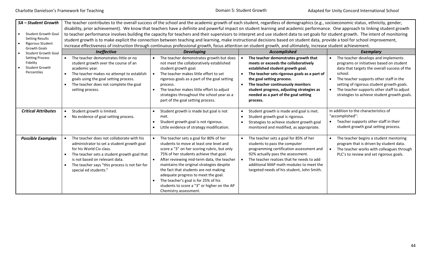Domain 5: Student Growth

| 5A - Student Growth<br><b>Student Growth Goal</b><br><b>Setting Results</b><br><b>Rigorous Student</b><br><b>Growth Goals</b> | The teacher contributes to the overall success of the school and the academic growth of each student, regardless of demographics (e.g., socioeconomic status, ethnicity, gender,<br>disability, prior achievement). We know that teachers have a definite and powerful impact on student learning and academic performance. One approach to linking student growth<br>to teacher performance involves building the capacity for teachers and their supervisors to interpret and use student data to set goals for student growth. The intent of monitoring<br>student growth is to make explicit the connection between teaching and learning, make instructional decisions based on student data, provide a tool for school improvement,<br>increase effectiveness of instruction through continuous professional growth, focus attention on student growth, and ultimately, increase student achievement. |                                                                                                                                                                                                                                                                                                                                                                                                                                                                       |                                                                                                                                                                                                                                                                                                                                                  |                                                                                                                                                                                                                                                                                                                                 |  |  |  |  |  |  |  |  |  |  |
|-------------------------------------------------------------------------------------------------------------------------------|-------------------------------------------------------------------------------------------------------------------------------------------------------------------------------------------------------------------------------------------------------------------------------------------------------------------------------------------------------------------------------------------------------------------------------------------------------------------------------------------------------------------------------------------------------------------------------------------------------------------------------------------------------------------------------------------------------------------------------------------------------------------------------------------------------------------------------------------------------------------------------------------------------------|-----------------------------------------------------------------------------------------------------------------------------------------------------------------------------------------------------------------------------------------------------------------------------------------------------------------------------------------------------------------------------------------------------------------------------------------------------------------------|--------------------------------------------------------------------------------------------------------------------------------------------------------------------------------------------------------------------------------------------------------------------------------------------------------------------------------------------------|---------------------------------------------------------------------------------------------------------------------------------------------------------------------------------------------------------------------------------------------------------------------------------------------------------------------------------|--|--|--|--|--|--|--|--|--|--|
| <b>Student Growth Goal</b>                                                                                                    | Ineffective                                                                                                                                                                                                                                                                                                                                                                                                                                                                                                                                                                                                                                                                                                                                                                                                                                                                                                 | <b>Developing</b>                                                                                                                                                                                                                                                                                                                                                                                                                                                     | Accomplished                                                                                                                                                                                                                                                                                                                                     | <b>Exemplary</b>                                                                                                                                                                                                                                                                                                                |  |  |  |  |  |  |  |  |  |  |
| <b>Setting Process</b><br>Fidelity<br><b>Student Growth</b><br>Percentiles                                                    | The teacher demonstrates little or no<br>$\bullet$<br>student growth over the course of an<br>academic year.<br>The teacher makes no attempt to establish<br>$\bullet$<br>goals using the goal setting process.<br>The teacher does not complete the goal<br>setting process.                                                                                                                                                                                                                                                                                                                                                                                                                                                                                                                                                                                                                               | The teacher demonstrates growth but does<br>not meet the collaboratively established<br>student growth goal.<br>The teacher makes little effort to set<br>rigorous goals as a part of the goal setting<br>process.<br>The teacher makes little effort to adjust<br>strategies throughout the school year as a<br>part of the goal setting process.                                                                                                                    | The teacher demonstrates growth that<br>meets or exceeds the collaboratively<br>established student growth goal.<br>The teacher sets rigorous goals as a part of<br>$\bullet$<br>the goal setting process.<br>The teacher continuously monitors<br>student progress, adjusting strategies as<br>needed as a part of the goal setting<br>process. | The teacher develops and implements<br>programs or initiatives based on student<br>data that targets the overall success of the<br>school.<br>The teacher supports other staff in the<br>setting of rigorous student growth goals.<br>The teacher supports other staff to adjust<br>strategies to achieve student growth goals. |  |  |  |  |  |  |  |  |  |  |
| <b>Critical Attributes</b>                                                                                                    | Student growth is limited.                                                                                                                                                                                                                                                                                                                                                                                                                                                                                                                                                                                                                                                                                                                                                                                                                                                                                  | Student growth is made but goal is not                                                                                                                                                                                                                                                                                                                                                                                                                                | Student growth is made and goal is met.                                                                                                                                                                                                                                                                                                          | In addition to the characteristics of<br>"accomplished":                                                                                                                                                                                                                                                                        |  |  |  |  |  |  |  |  |  |  |
|                                                                                                                               | No evidence of goal setting process.<br>$\bullet$                                                                                                                                                                                                                                                                                                                                                                                                                                                                                                                                                                                                                                                                                                                                                                                                                                                           | met.<br>Student growth goal is not rigorous.<br>Little evidence of strategy modification.                                                                                                                                                                                                                                                                                                                                                                             | Student growth goal is rigorous.<br>$\bullet$<br>Strategies to achieve student growth goal<br>monitored and modified, as appropriate.                                                                                                                                                                                                            | Teacher supports other staff in their<br>student growth goal setting process.                                                                                                                                                                                                                                                   |  |  |  |  |  |  |  |  |  |  |
| <b>Possible Examples</b>                                                                                                      | The teacher does not collaborate with his<br>administrator to set a student growth goal<br>for his World Civ class.<br>The teacher sets a student growth goal that<br>is not based on relevant data.<br>The teacher says "this process is not fair for<br>$\bullet$<br>special ed students."                                                                                                                                                                                                                                                                                                                                                                                                                                                                                                                                                                                                                | The teacher sets a goal for 80% of her<br>students to move at least one level and<br>score a "3" on her scoring rubric, but only<br>75% of her students achieve that goal.<br>After reviewing mid-term data, the teacher<br>maintains the original strategies despite<br>the fact that students are not making<br>adequate progress to meet the goal.<br>The teacher's goal is for 25% of his<br>students to score a "3" or higher on the AP<br>Chemistry assessment. | The teacher sets a goal for 85% of her<br>students to pass the computer<br>programming certification assessment and<br>92% actually pass the assessment.<br>The teacher realizes that he needs to add<br>$\bullet$<br>additional MAP math modules to meet the<br>targeted needs of his student, John Smith.                                      | The teacher begins a student mentoring<br>program that is driven by student data.<br>The teacher works with colleagues through<br>PLC's to review and set rigorous goals.                                                                                                                                                       |  |  |  |  |  |  |  |  |  |  |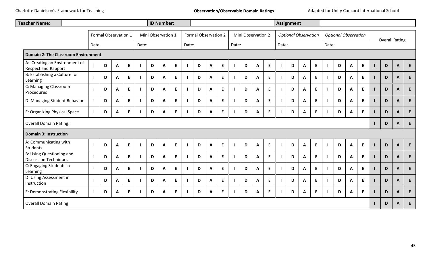| <b>Teacher Name:</b>                                            |  |                      |   |   |   |  |       | <b>ID Number:</b>  |   |  |                             |              |              |   |       |                    |    | <b>Assignment</b> |       |                             |    |  |       |                             |    |                       |             |              |    |  |
|-----------------------------------------------------------------|--|----------------------|---|---|---|--|-------|--------------------|---|--|-----------------------------|--------------|--------------|---|-------|--------------------|----|-------------------|-------|-----------------------------|----|--|-------|-----------------------------|----|-----------------------|-------------|--------------|----|--|
|                                                                 |  | Formal Observation 1 |   |   |   |  |       | Mini Observation 1 |   |  | <b>Formal Observation 2</b> |              |              |   |       | Mini Observation 2 |    |                   |       | <b>Optional Observation</b> |    |  |       | <b>Optional Observation</b> |    | <b>Overall Rating</b> |             |              |    |  |
|                                                                 |  | Date:                |   |   |   |  | Date: |                    |   |  | Date:                       |              |              |   | Date: |                    |    |                   | Date: |                             |    |  | Date: |                             |    |                       |             |              |    |  |
| <b>Domain 2: The Classroom Environment</b>                      |  |                      |   |   |   |  |       |                    |   |  |                             |              |              |   |       |                    |    |                   |       |                             |    |  |       |                             |    |                       |             |              |    |  |
| A: Creating an Environment of<br><b>Respect and Rapport</b>     |  |                      | D | A | E |  | D     | A                  | E |  | D                           | $\mathbf{A}$ | E            |   | D     | A                  | E  |                   | D     | $\boldsymbol{A}$            | E  |  | D     | A                           | E. |                       | $\mathbf D$ | $\mathsf{A}$ | E  |  |
| B: Establishing a Culture for<br>Learning                       |  |                      | D | A | E |  | D     | $\mathbf{A}$       | E |  | D                           | $\mathbf{A}$ | E            |   | D     | A                  | E  |                   | D     | A                           | E. |  | D     | A                           | E  |                       | D           | A            | E  |  |
| C: Managing Classroom<br>Procedures                             |  |                      | D | A | E |  | D     | A                  | E |  | D                           | $\mathbf{A}$ | E            |   | D     | $\mathsf{A}$       | E  |                   | D     | $\mathbf{A}$                | E. |  | D     | A                           | E  | $\mathbf{L}$          | D           | $\mathbf{A}$ | E  |  |
| D: Managing Student Behavior                                    |  |                      | D | A | E |  | D     | A                  | E |  | D                           | $\mathbf{A}$ | E            |   | D     | A                  | E  |                   | D     | A                           | E. |  | D     | A                           | E  |                       | D           | $\mathbf{A}$ | E  |  |
| E: Organizing Physical Space                                    |  |                      | D | A | E |  | D     | A                  | E |  | D                           | $\mathbf{A}$ | E            |   | D     | A                  | E  |                   | D     | $\boldsymbol{A}$            | E  |  | D     | A                           | E  |                       | D           | $\mathbf{A}$ | E  |  |
| <b>Overall Domain Rating:</b>                                   |  |                      |   |   |   |  |       |                    |   |  |                             | D            | $\mathbf{A}$ | E |       |                    |    |                   |       |                             |    |  |       |                             |    |                       |             |              |    |  |
| <b>Domain 3: Instruction</b>                                    |  |                      |   |   |   |  |       |                    |   |  |                             |              |              |   |       |                    |    |                   |       |                             |    |  |       |                             |    |                       |             |              |    |  |
| A: Communicating with<br><b>Students</b>                        |  |                      | D | A | E |  | D     | A                  | E |  | D                           | $\mathbf{A}$ | E            |   | D     | $\mathbf{A}$       | E  |                   | D     | $\mathbf{A}$                | E  |  | D     | $\mathbf{A}$                | E  | $\mathbf{I}$          | $\mathsf D$ | $\mathbf{A}$ | E  |  |
| <b>B: Using Questioning and</b><br><b>Discussion Techniques</b> |  |                      | D | A | E |  | D     | A                  | E |  | D                           | $\mathbf{A}$ | E.           |   | D     | A                  | E. |                   | D     | A                           | E. |  | D     | A                           | E. |                       | D           | $\mathbf{A}$ | E  |  |
| C: Engaging Students in<br>Learning                             |  |                      | D | A | E |  | D     | $\mathbf{A}$       | E |  | D                           | $\mathbf{A}$ | E            |   | D     | A                  | E  |                   | D     | A                           | E. |  | D     | $\mathbf{A}$                | E  |                       | D           | $\mathbf{A}$ | E. |  |
| D: Using Assessment in<br>Instruction                           |  |                      | D | A | E |  | D     | A                  | E |  | D                           | $\mathbf{A}$ | E            |   | D     | $\mathbf{A}$       | E  |                   | D     | $\mathbf{A}$                | E. |  | D     | A                           | E. | $\mathbf{I}$          | D           | $\mathbf{A}$ | E  |  |
| E: Demonstrating Flexibility                                    |  |                      | D | A | E |  | D     | A                  | E |  | D                           | A            | E            |   | D     | Α                  | E. |                   | D     | A                           | E. |  | D     | A                           | E  |                       | D           | $\mathbf{A}$ | E  |  |
| <b>Overall Domain Rating</b>                                    |  |                      |   |   |   |  |       |                    |   |  |                             |              |              |   |       |                    |    |                   |       |                             |    |  |       |                             |    |                       | D           | A            | E  |  |